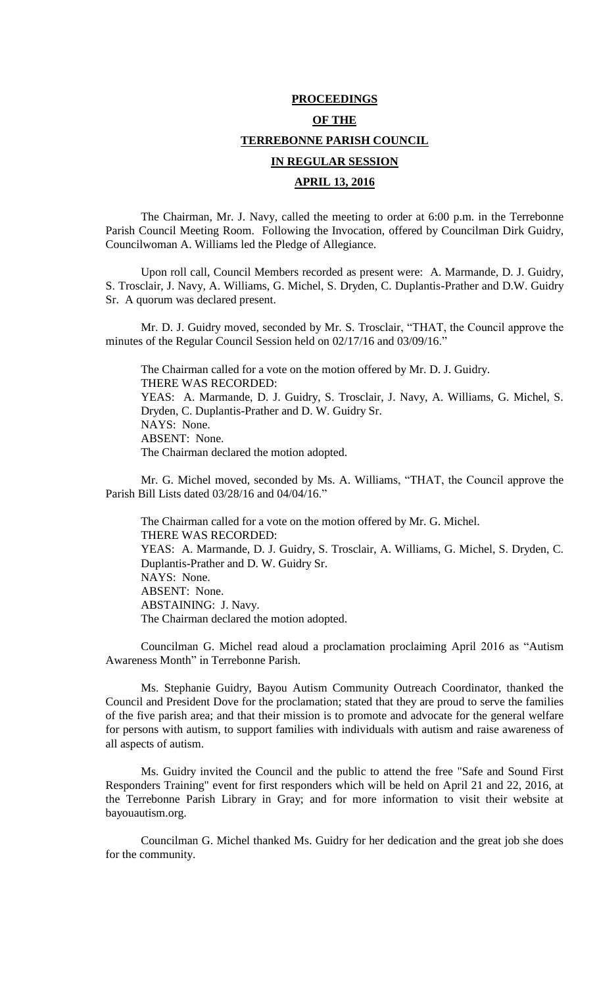# **PROCEEDINGS OF THE TERREBONNE PARISH COUNCIL IN REGULAR SESSION APRIL 13, 2016**

The Chairman, Mr. J. Navy, called the meeting to order at 6:00 p.m. in the Terrebonne Parish Council Meeting Room. Following the Invocation, offered by Councilman Dirk Guidry, Councilwoman A. Williams led the Pledge of Allegiance.

Upon roll call, Council Members recorded as present were: A. Marmande, D. J. Guidry, S. Trosclair, J. Navy, A. Williams, G. Michel, S. Dryden, C. Duplantis-Prather and D.W. Guidry Sr. A quorum was declared present.

Mr. D. J. Guidry moved, seconded by Mr. S. Trosclair, "THAT, the Council approve the minutes of the Regular Council Session held on 02/17/16 and 03/09/16."

The Chairman called for a vote on the motion offered by Mr. D. J. Guidry. THERE WAS RECORDED: YEAS: A. Marmande, D. J. Guidry, S. Trosclair, J. Navy, A. Williams, G. Michel, S. Dryden, C. Duplantis-Prather and D. W. Guidry Sr. NAYS: None. ABSENT: None. The Chairman declared the motion adopted.

Mr. G. Michel moved, seconded by Ms. A. Williams, "THAT, the Council approve the Parish Bill Lists dated 03/28/16 and 04/04/16."

The Chairman called for a vote on the motion offered by Mr. G. Michel. THERE WAS RECORDED: YEAS: A. Marmande, D. J. Guidry, S. Trosclair, A. Williams, G. Michel, S. Dryden, C. Duplantis-Prather and D. W. Guidry Sr. NAYS: None. ABSENT: None. ABSTAINING: J. Navy. The Chairman declared the motion adopted.

Councilman G. Michel read aloud a proclamation proclaiming April 2016 as "Autism Awareness Month" in Terrebonne Parish.

Ms. Stephanie Guidry, Bayou Autism Community Outreach Coordinator, thanked the Council and President Dove for the proclamation; stated that they are proud to serve the families of the five parish area; and that their mission is to promote and advocate for the general welfare for persons with autism, to support families with individuals with autism and raise awareness of all aspects of autism.

Ms. Guidry invited the Council and the public to attend the free "Safe and Sound First Responders Training" event for first responders which will be held on April 21 and 22, 2016, at the Terrebonne Parish Library in Gray; and for more information to visit their website at bayouautism.org.

Councilman G. Michel thanked Ms. Guidry for her dedication and the great job she does for the community.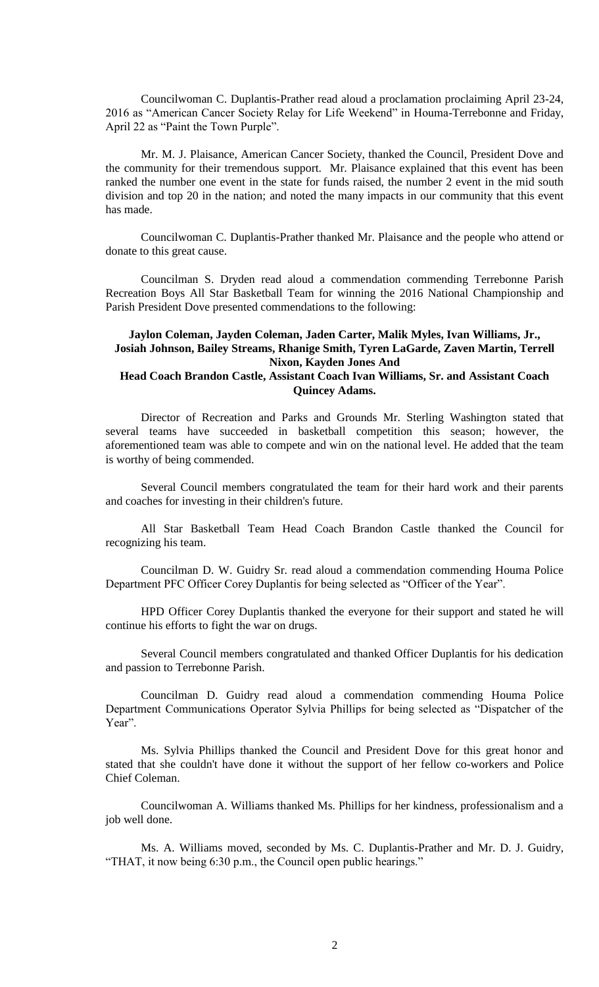Councilwoman C. Duplantis-Prather read aloud a proclamation proclaiming April 23-24, 2016 as "American Cancer Society Relay for Life Weekend" in Houma-Terrebonne and Friday, April 22 as "Paint the Town Purple".

Mr. M. J. Plaisance, American Cancer Society, thanked the Council, President Dove and the community for their tremendous support. Mr. Plaisance explained that this event has been ranked the number one event in the state for funds raised, the number 2 event in the mid south division and top 20 in the nation; and noted the many impacts in our community that this event has made.

Councilwoman C. Duplantis-Prather thanked Mr. Plaisance and the people who attend or donate to this great cause.

Councilman S. Dryden read aloud a commendation commending Terrebonne Parish Recreation Boys All Star Basketball Team for winning the 2016 National Championship and Parish President Dove presented commendations to the following:

# **Jaylon Coleman, Jayden Coleman, Jaden Carter, Malik Myles, Ivan Williams, Jr., Josiah Johnson, Bailey Streams, Rhanige Smith, Tyren LaGarde, Zaven Martin, Terrell Nixon, Kayden Jones And**

# **Head Coach Brandon Castle, Assistant Coach Ivan Williams, Sr. and Assistant Coach Quincey Adams.**

Director of Recreation and Parks and Grounds Mr. Sterling Washington stated that several teams have succeeded in basketball competition this season; however, the aforementioned team was able to compete and win on the national level. He added that the team is worthy of being commended.

Several Council members congratulated the team for their hard work and their parents and coaches for investing in their children's future.

All Star Basketball Team Head Coach Brandon Castle thanked the Council for recognizing his team.

Councilman D. W. Guidry Sr. read aloud a commendation commending Houma Police Department PFC Officer Corey Duplantis for being selected as "Officer of the Year".

HPD Officer Corey Duplantis thanked the everyone for their support and stated he will continue his efforts to fight the war on drugs.

Several Council members congratulated and thanked Officer Duplantis for his dedication and passion to Terrebonne Parish.

Councilman D. Guidry read aloud a commendation commending Houma Police Department Communications Operator Sylvia Phillips for being selected as "Dispatcher of the Year".

Ms. Sylvia Phillips thanked the Council and President Dove for this great honor and stated that she couldn't have done it without the support of her fellow co-workers and Police Chief Coleman.

Councilwoman A. Williams thanked Ms. Phillips for her kindness, professionalism and a job well done.

Ms. A. Williams moved, seconded by Ms. C. Duplantis-Prather and Mr. D. J. Guidry, "THAT, it now being 6:30 p.m., the Council open public hearings."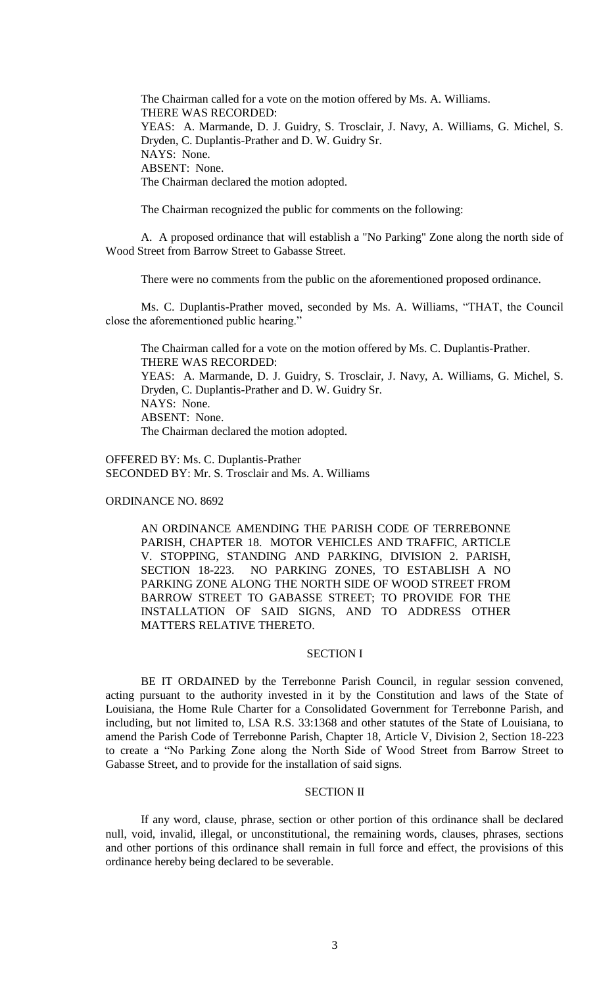The Chairman called for a vote on the motion offered by Ms. A. Williams. THERE WAS RECORDED: YEAS: A. Marmande, D. J. Guidry, S. Trosclair, J. Navy, A. Williams, G. Michel, S. Dryden, C. Duplantis-Prather and D. W. Guidry Sr. NAYS: None. ABSENT: None. The Chairman declared the motion adopted.

The Chairman recognized the public for comments on the following:

A. A proposed ordinance that will establish a "No Parking" Zone along the north side of Wood Street from Barrow Street to Gabasse Street.

There were no comments from the public on the aforementioned proposed ordinance.

Ms. C. Duplantis-Prather moved, seconded by Ms. A. Williams, "THAT, the Council close the aforementioned public hearing."

The Chairman called for a vote on the motion offered by Ms. C. Duplantis-Prather. THERE WAS RECORDED: YEAS: A. Marmande, D. J. Guidry, S. Trosclair, J. Navy, A. Williams, G. Michel, S. Dryden, C. Duplantis-Prather and D. W. Guidry Sr. NAYS: None. ABSENT: None. The Chairman declared the motion adopted.

OFFERED BY: Ms. C. Duplantis-Prather SECONDED BY: Mr. S. Trosclair and Ms. A. Williams

ORDINANCE NO. 8692

AN ORDINANCE AMENDING THE PARISH CODE OF TERREBONNE PARISH, CHAPTER 18. MOTOR VEHICLES AND TRAFFIC, ARTICLE V. STOPPING, STANDING AND PARKING, DIVISION 2. PARISH, SECTION 18-223. NO PARKING ZONES, TO ESTABLISH A NO PARKING ZONE ALONG THE NORTH SIDE OF WOOD STREET FROM BARROW STREET TO GABASSE STREET; TO PROVIDE FOR THE INSTALLATION OF SAID SIGNS, AND TO ADDRESS OTHER MATTERS RELATIVE THERETO.

# SECTION I

BE IT ORDAINED by the Terrebonne Parish Council, in regular session convened, acting pursuant to the authority invested in it by the Constitution and laws of the State of Louisiana, the Home Rule Charter for a Consolidated Government for Terrebonne Parish, and including, but not limited to, LSA R.S. 33:1368 and other statutes of the State of Louisiana, to amend the Parish Code of Terrebonne Parish, Chapter 18, Article V, Division 2, Section 18-223 to create a "No Parking Zone along the North Side of Wood Street from Barrow Street to Gabasse Street, and to provide for the installation of said signs.

# SECTION II

If any word, clause, phrase, section or other portion of this ordinance shall be declared null, void, invalid, illegal, or unconstitutional, the remaining words, clauses, phrases, sections and other portions of this ordinance shall remain in full force and effect, the provisions of this ordinance hereby being declared to be severable.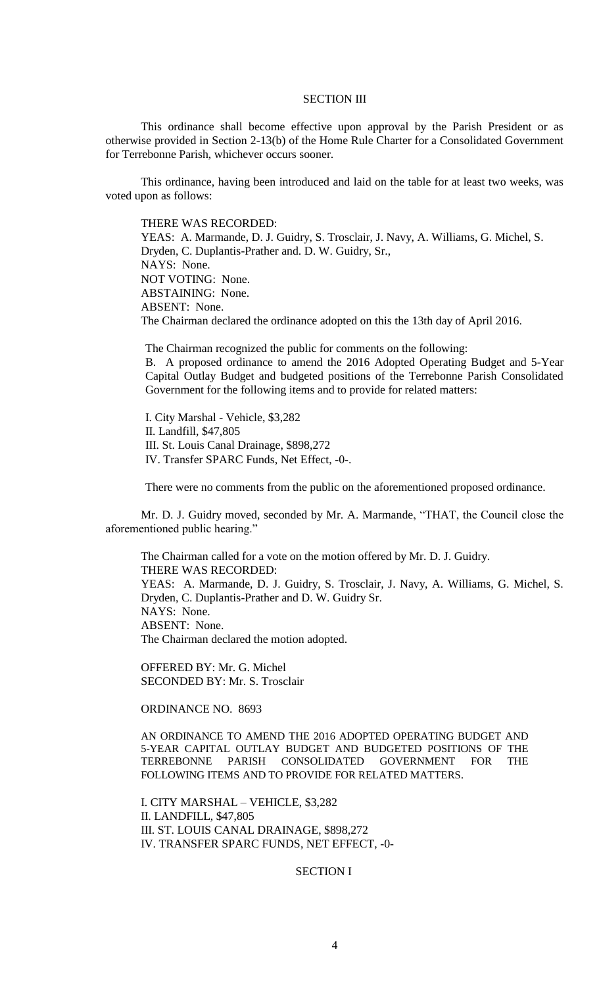### SECTION III

This ordinance shall become effective upon approval by the Parish President or as otherwise provided in Section 2-13(b) of the Home Rule Charter for a Consolidated Government for Terrebonne Parish, whichever occurs sooner.

This ordinance, having been introduced and laid on the table for at least two weeks, was voted upon as follows:

THERE WAS RECORDED:

YEAS: A. Marmande, D. J. Guidry, S. Trosclair, J. Navy, A. Williams, G. Michel, S. Dryden, C. Duplantis-Prather and. D. W. Guidry, Sr., NAYS: None. NOT VOTING: None. ABSTAINING: None. ABSENT: None. The Chairman declared the ordinance adopted on this the 13th day of April 2016.

The Chairman recognized the public for comments on the following: B. A proposed ordinance to amend the 2016 Adopted Operating Budget and 5-Year

Capital Outlay Budget and budgeted positions of the Terrebonne Parish Consolidated Government for the following items and to provide for related matters:

I. City Marshal - Vehicle, \$3,282 II. Landfill, \$47,805 III. St. Louis Canal Drainage, \$898,272 IV. Transfer SPARC Funds, Net Effect, -0-.

There were no comments from the public on the aforementioned proposed ordinance.

Mr. D. J. Guidry moved, seconded by Mr. A. Marmande, "THAT, the Council close the aforementioned public hearing."

The Chairman called for a vote on the motion offered by Mr. D. J. Guidry. THERE WAS RECORDED: YEAS: A. Marmande, D. J. Guidry, S. Trosclair, J. Navy, A. Williams, G. Michel, S. Dryden, C. Duplantis-Prather and D. W. Guidry Sr. NAYS: None. ABSENT: None. The Chairman declared the motion adopted.

OFFERED BY: Mr. G. Michel SECONDED BY: Mr. S. Trosclair

ORDINANCE NO. 8693

AN ORDINANCE TO AMEND THE 2016 ADOPTED OPERATING BUDGET AND 5-YEAR CAPITAL OUTLAY BUDGET AND BUDGETED POSITIONS OF THE TERREBONNE PARISH CONSOLIDATED GOVERNMENT FOR THE FOLLOWING ITEMS AND TO PROVIDE FOR RELATED MATTERS.

I. CITY MARSHAL – VEHICLE, \$3,282 II. LANDFILL, \$47,805 III. ST. LOUIS CANAL DRAINAGE, \$898,272 IV. TRANSFER SPARC FUNDS, NET EFFECT, -0-

### SECTION I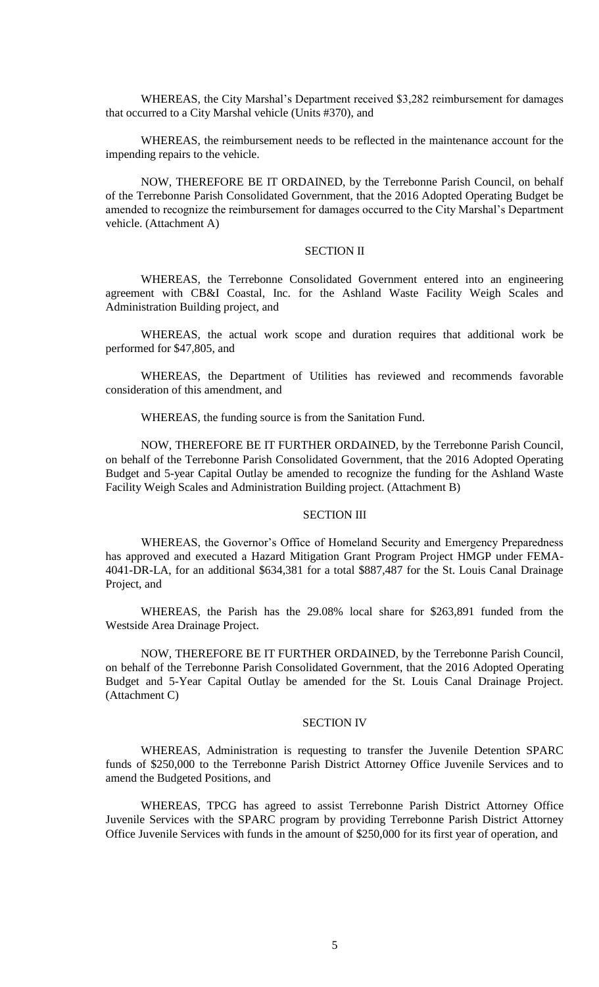WHEREAS, the City Marshal's Department received \$3,282 reimbursement for damages that occurred to a City Marshal vehicle (Units #370), and

WHEREAS, the reimbursement needs to be reflected in the maintenance account for the impending repairs to the vehicle.

NOW, THEREFORE BE IT ORDAINED, by the Terrebonne Parish Council, on behalf of the Terrebonne Parish Consolidated Government, that the 2016 Adopted Operating Budget be amended to recognize the reimbursement for damages occurred to the City Marshal's Department vehicle. (Attachment A)

#### SECTION II

WHEREAS, the Terrebonne Consolidated Government entered into an engineering agreement with CB&I Coastal, Inc. for the Ashland Waste Facility Weigh Scales and Administration Building project, and

WHEREAS, the actual work scope and duration requires that additional work be performed for \$47,805, and

WHEREAS, the Department of Utilities has reviewed and recommends favorable consideration of this amendment, and

WHEREAS, the funding source is from the Sanitation Fund.

NOW, THEREFORE BE IT FURTHER ORDAINED, by the Terrebonne Parish Council, on behalf of the Terrebonne Parish Consolidated Government, that the 2016 Adopted Operating Budget and 5-year Capital Outlay be amended to recognize the funding for the Ashland Waste Facility Weigh Scales and Administration Building project. (Attachment B)

### SECTION III

WHEREAS, the Governor's Office of Homeland Security and Emergency Preparedness has approved and executed a Hazard Mitigation Grant Program Project HMGP under FEMA-4041-DR-LA, for an additional \$634,381 for a total \$887,487 for the St. Louis Canal Drainage Project, and

WHEREAS, the Parish has the 29.08% local share for \$263,891 funded from the Westside Area Drainage Project.

NOW, THEREFORE BE IT FURTHER ORDAINED, by the Terrebonne Parish Council, on behalf of the Terrebonne Parish Consolidated Government, that the 2016 Adopted Operating Budget and 5-Year Capital Outlay be amended for the St. Louis Canal Drainage Project. (Attachment C)

### SECTION IV

WHEREAS, Administration is requesting to transfer the Juvenile Detention SPARC funds of \$250,000 to the Terrebonne Parish District Attorney Office Juvenile Services and to amend the Budgeted Positions, and

WHEREAS, TPCG has agreed to assist Terrebonne Parish District Attorney Office Juvenile Services with the SPARC program by providing Terrebonne Parish District Attorney Office Juvenile Services with funds in the amount of \$250,000 for its first year of operation, and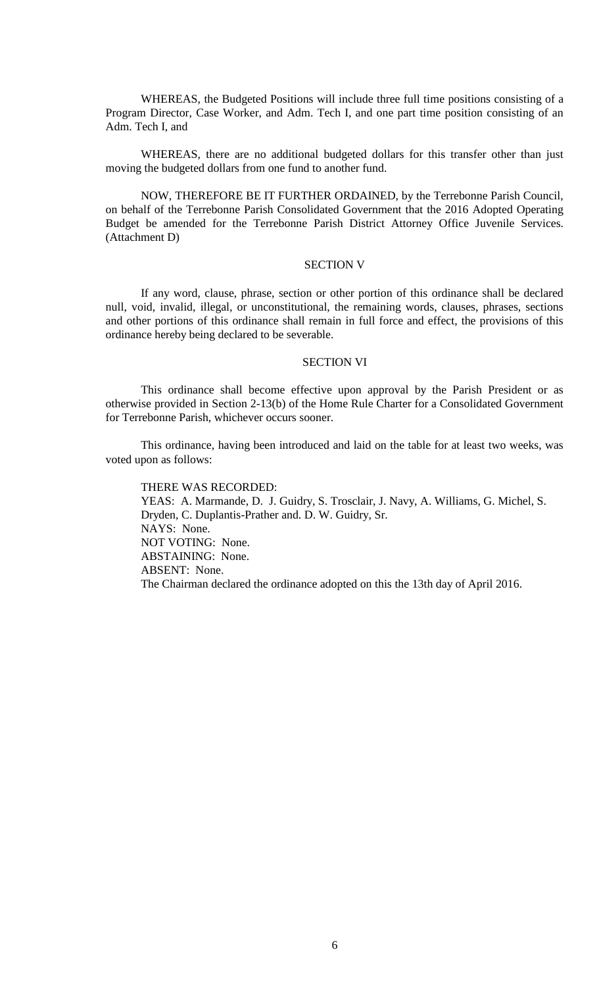WHEREAS, the Budgeted Positions will include three full time positions consisting of a Program Director, Case Worker, and Adm. Tech I, and one part time position consisting of an Adm. Tech I, and

WHEREAS, there are no additional budgeted dollars for this transfer other than just moving the budgeted dollars from one fund to another fund.

NOW, THEREFORE BE IT FURTHER ORDAINED, by the Terrebonne Parish Council, on behalf of the Terrebonne Parish Consolidated Government that the 2016 Adopted Operating Budget be amended for the Terrebonne Parish District Attorney Office Juvenile Services. (Attachment D)

# SECTION V

If any word, clause, phrase, section or other portion of this ordinance shall be declared null, void, invalid, illegal, or unconstitutional, the remaining words, clauses, phrases, sections and other portions of this ordinance shall remain in full force and effect, the provisions of this ordinance hereby being declared to be severable.

### SECTION VI

This ordinance shall become effective upon approval by the Parish President or as otherwise provided in Section 2-13(b) of the Home Rule Charter for a Consolidated Government for Terrebonne Parish, whichever occurs sooner.

This ordinance, having been introduced and laid on the table for at least two weeks, was voted upon as follows:

THERE WAS RECORDED: YEAS: A. Marmande, D. J. Guidry, S. Trosclair, J. Navy, A. Williams, G. Michel, S. Dryden, C. Duplantis-Prather and. D. W. Guidry, Sr. NAYS: None. NOT VOTING: None. ABSTAINING: None. ABSENT: None. The Chairman declared the ordinance adopted on this the 13th day of April 2016.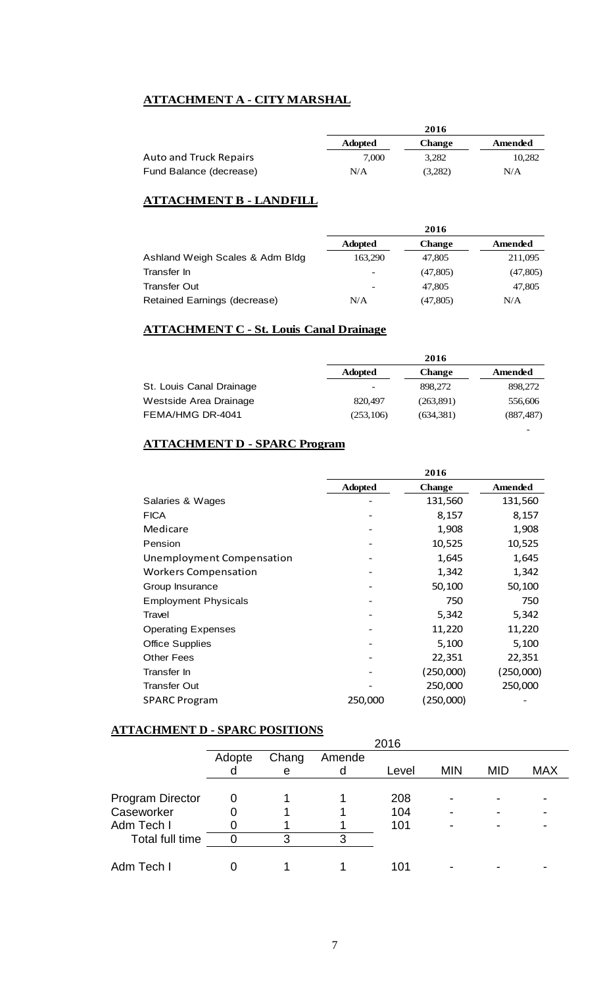# **ATTACHMENT A - CITY MARSHAL**

|                               | 2016           |               |         |  |
|-------------------------------|----------------|---------------|---------|--|
|                               | <b>Adopted</b> | <b>Change</b> | Amended |  |
| <b>Auto and Truck Repairs</b> | 7.000          | 3.282         | 10,282  |  |
| Fund Balance (decrease)       | N/A            | (3,282)       | N/A     |  |

# **ATTACHMENT B - LANDFILL**

|                                 | 2016           |               |          |
|---------------------------------|----------------|---------------|----------|
|                                 | <b>Adopted</b> | <b>Change</b> | Amended  |
| Ashland Weigh Scales & Adm Bldg | 163,290        | 47,805        | 211,095  |
| Transfer In                     |                | (47,805)      | (47,805) |
| <b>Transfer Out</b>             |                | 47,805        | 47,805   |
| Retained Earnings (decrease)    | N/A            | (47, 805)     | N/A      |

# **ATTACHMENT C - St. Louis Canal Drainage**

|                          | 2016           |               |            |  |
|--------------------------|----------------|---------------|------------|--|
|                          | <b>Adopted</b> | <b>Change</b> | Amended    |  |
| St. Louis Canal Drainage |                | 898,272       | 898,272    |  |
| Westside Area Drainage   | 820,497        | (263,891)     | 556,606    |  |
| FEMA/HMG DR-4041         | (253, 106)     | (634, 381)    | (887, 487) |  |

-

# **ATTACHMENT D - SPARC Program**

|                             | 2016           |               |                |  |
|-----------------------------|----------------|---------------|----------------|--|
|                             | <b>Adopted</b> | <b>Change</b> | <b>Amended</b> |  |
| Salaries & Wages            |                | 131,560       | 131,560        |  |
| <b>FICA</b>                 |                | 8,157         | 8,157          |  |
| Medicare                    |                | 1,908         | 1,908          |  |
| Pension                     |                | 10,525        | 10,525         |  |
| Unemployment Compensation   |                | 1,645         | 1,645          |  |
| <b>Workers Compensation</b> |                | 1,342         | 1,342          |  |
| Group Insurance             |                | 50,100        | 50,100         |  |
| <b>Employment Physicals</b> |                | 750           | 750            |  |
| Travel                      |                | 5,342         | 5,342          |  |
| <b>Operating Expenses</b>   |                | 11,220        | 11,220         |  |
| <b>Office Supplies</b>      |                | 5,100         | 5,100          |  |
| <b>Other Fees</b>           |                | 22,351        | 22,351         |  |
| Transfer In                 |                | (250,000)     | (250,000)      |  |
| <b>Transfer Out</b>         |                | 250,000       | 250,000        |  |
| <b>SPARC Program</b>        | 250,000        | (250,000)     |                |  |

# **ATTACHMENT D - SPARC POSITIONS**

| . <del>.</del>          |        | $D$ ---- $C$ - $D$ $D$ --- $O$ |        |       |            |            |            |
|-------------------------|--------|--------------------------------|--------|-------|------------|------------|------------|
|                         | 2016   |                                |        |       |            |            |            |
|                         | Adopte | Chang                          | Amende |       |            |            |            |
|                         |        | е                              |        | Level | <b>MIN</b> | <b>MID</b> | <b>MAX</b> |
|                         |        |                                |        |       |            |            |            |
| <b>Program Director</b> |        |                                |        | 208   | ۰          |            |            |
| Caseworker              |        |                                |        | 104   |            |            |            |
| Adm Tech I              |        |                                |        | 101   |            |            |            |
| Total full time         |        | 3                              |        |       |            |            |            |
|                         |        |                                |        |       |            |            |            |
| Adm Tech I              |        |                                |        | 101   |            |            |            |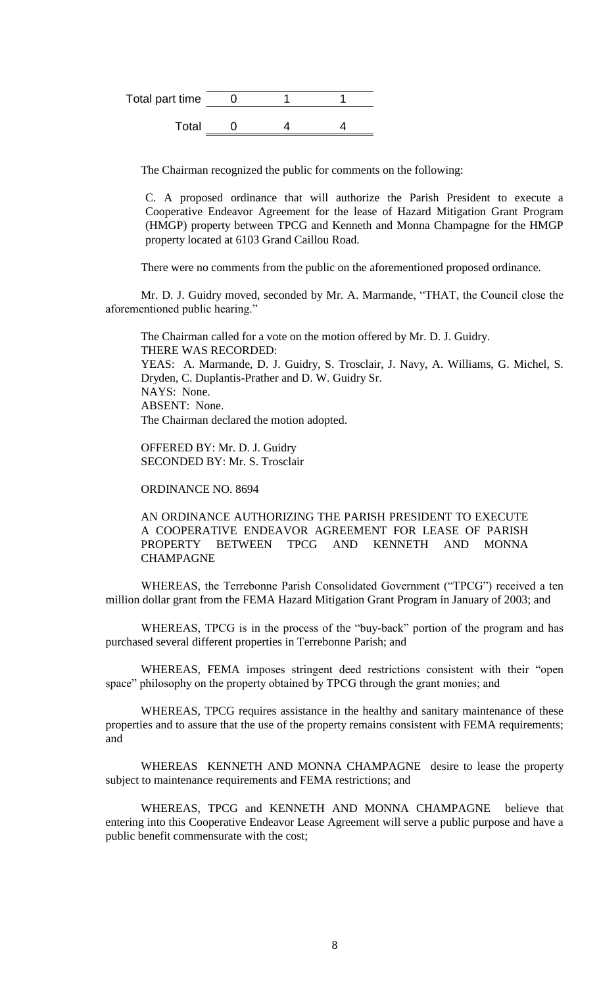| Total part time |  |  |
|-----------------|--|--|
| Total           |  |  |

The Chairman recognized the public for comments on the following:

C. A proposed ordinance that will authorize the Parish President to execute a Cooperative Endeavor Agreement for the lease of Hazard Mitigation Grant Program (HMGP) property between TPCG and Kenneth and Monna Champagne for the HMGP property located at 6103 Grand Caillou Road.

There were no comments from the public on the aforementioned proposed ordinance.

Mr. D. J. Guidry moved, seconded by Mr. A. Marmande, "THAT, the Council close the aforementioned public hearing."

The Chairman called for a vote on the motion offered by Mr. D. J. Guidry. THERE WAS RECORDED: YEAS: A. Marmande, D. J. Guidry, S. Trosclair, J. Navy, A. Williams, G. Michel, S. Dryden, C. Duplantis-Prather and D. W. Guidry Sr. NAYS: None. ABSENT: None. The Chairman declared the motion adopted.

OFFERED BY: Mr. D. J. Guidry SECONDED BY: Mr. S. Trosclair

ORDINANCE NO. 8694

AN ORDINANCE AUTHORIZING THE PARISH PRESIDENT TO EXECUTE A COOPERATIVE ENDEAVOR AGREEMENT FOR LEASE OF PARISH PROPERTY BETWEEN TPCG AND KENNETH AND MONNA CHAMPAGNE

WHEREAS, the Terrebonne Parish Consolidated Government ("TPCG") received a ten million dollar grant from the FEMA Hazard Mitigation Grant Program in January of 2003; and

WHEREAS, TPCG is in the process of the "buy-back" portion of the program and has purchased several different properties in Terrebonne Parish; and

WHEREAS, FEMA imposes stringent deed restrictions consistent with their "open space" philosophy on the property obtained by TPCG through the grant monies; and

WHEREAS, TPCG requires assistance in the healthy and sanitary maintenance of these properties and to assure that the use of the property remains consistent with FEMA requirements; and

WHEREAS KENNETH AND MONNA CHAMPAGNE desire to lease the property subject to maintenance requirements and FEMA restrictions; and

WHEREAS, TPCG and KENNETH AND MONNA CHAMPAGNE believe that entering into this Cooperative Endeavor Lease Agreement will serve a public purpose and have a public benefit commensurate with the cost;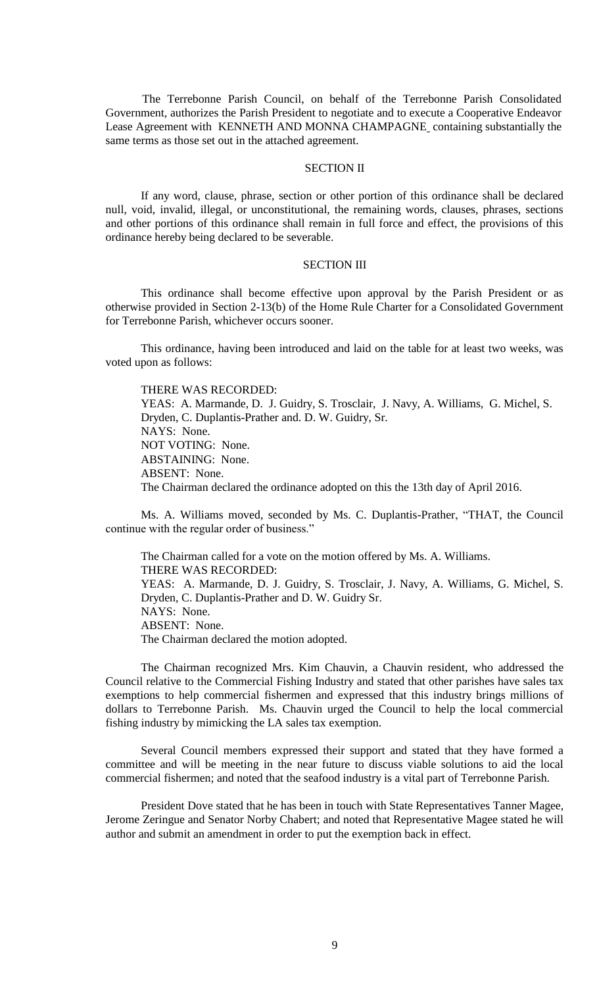The Terrebonne Parish Council, on behalf of the Terrebonne Parish Consolidated Government, authorizes the Parish President to negotiate and to execute a Cooperative Endeavor Lease Agreement with KENNETH AND MONNA CHAMPAGNE containing substantially the same terms as those set out in the attached agreement.

### SECTION II

If any word, clause, phrase, section or other portion of this ordinance shall be declared null, void, invalid, illegal, or unconstitutional, the remaining words, clauses, phrases, sections and other portions of this ordinance shall remain in full force and effect, the provisions of this ordinance hereby being declared to be severable.

# SECTION III

This ordinance shall become effective upon approval by the Parish President or as otherwise provided in Section 2-13(b) of the Home Rule Charter for a Consolidated Government for Terrebonne Parish, whichever occurs sooner.

This ordinance, having been introduced and laid on the table for at least two weeks, was voted upon as follows:

THERE WAS RECORDED: YEAS: A. Marmande, D. J. Guidry, S. Trosclair, J. Navy, A. Williams, G. Michel, S. Dryden, C. Duplantis-Prather and. D. W. Guidry, Sr. NAYS: None. NOT VOTING: None. ABSTAINING: None. ABSENT: None. The Chairman declared the ordinance adopted on this the 13th day of April 2016.

Ms. A. Williams moved, seconded by Ms. C. Duplantis-Prather, "THAT, the Council continue with the regular order of business."

The Chairman called for a vote on the motion offered by Ms. A. Williams. THERE WAS RECORDED: YEAS: A. Marmande, D. J. Guidry, S. Trosclair, J. Navy, A. Williams, G. Michel, S. Dryden, C. Duplantis-Prather and D. W. Guidry Sr. NAYS: None. ABSENT: None. The Chairman declared the motion adopted.

The Chairman recognized Mrs. Kim Chauvin, a Chauvin resident, who addressed the Council relative to the Commercial Fishing Industry and stated that other parishes have sales tax exemptions to help commercial fishermen and expressed that this industry brings millions of dollars to Terrebonne Parish. Ms. Chauvin urged the Council to help the local commercial fishing industry by mimicking the LA sales tax exemption.

Several Council members expressed their support and stated that they have formed a committee and will be meeting in the near future to discuss viable solutions to aid the local commercial fishermen; and noted that the seafood industry is a vital part of Terrebonne Parish.

President Dove stated that he has been in touch with State Representatives Tanner Magee, Jerome Zeringue and Senator Norby Chabert; and noted that Representative Magee stated he will author and submit an amendment in order to put the exemption back in effect.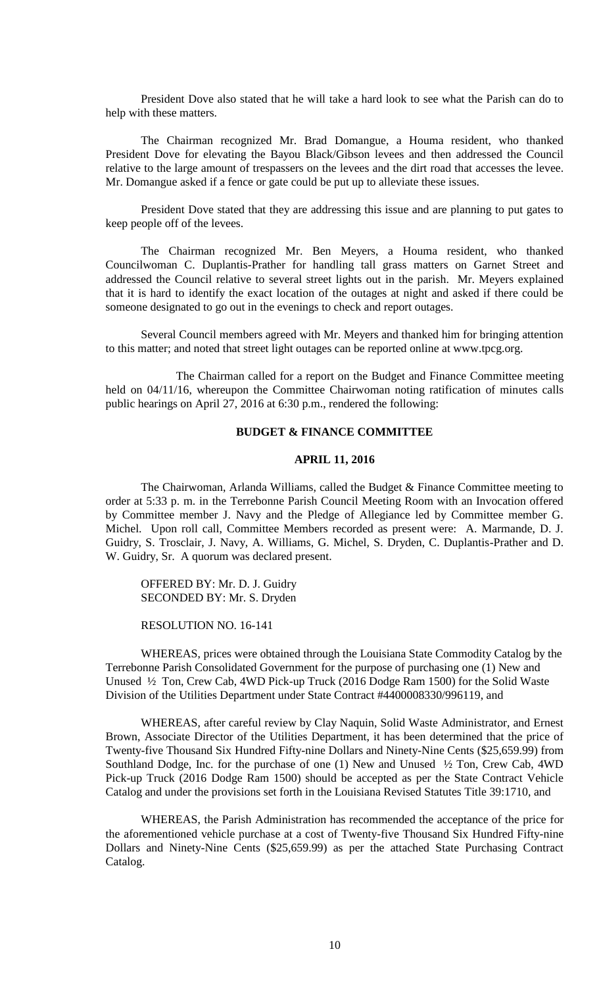President Dove also stated that he will take a hard look to see what the Parish can do to help with these matters.

The Chairman recognized Mr. Brad Domangue, a Houma resident, who thanked President Dove for elevating the Bayou Black/Gibson levees and then addressed the Council relative to the large amount of trespassers on the levees and the dirt road that accesses the levee. Mr. Domangue asked if a fence or gate could be put up to alleviate these issues.

President Dove stated that they are addressing this issue and are planning to put gates to keep people off of the levees.

The Chairman recognized Mr. Ben Meyers, a Houma resident, who thanked Councilwoman C. Duplantis-Prather for handling tall grass matters on Garnet Street and addressed the Council relative to several street lights out in the parish. Mr. Meyers explained that it is hard to identify the exact location of the outages at night and asked if there could be someone designated to go out in the evenings to check and report outages.

Several Council members agreed with Mr. Meyers and thanked him for bringing attention to this matter; and noted that street light outages can be reported online at www.tpcg.org.

The Chairman called for a report on the Budget and Finance Committee meeting held on 04/11/16, whereupon the Committee Chairwoman noting ratification of minutes calls public hearings on April 27, 2016 at 6:30 p.m., rendered the following:

# **BUDGET & FINANCE COMMITTEE**

# **APRIL 11, 2016**

The Chairwoman, Arlanda Williams, called the Budget & Finance Committee meeting to order at 5:33 p. m. in the Terrebonne Parish Council Meeting Room with an Invocation offered by Committee member J. Navy and the Pledge of Allegiance led by Committee member G. Michel. Upon roll call, Committee Members recorded as present were: A. Marmande, D. J. Guidry, S. Trosclair, J. Navy, A. Williams, G. Michel, S. Dryden, C. Duplantis-Prather and D. W. Guidry, Sr. A quorum was declared present.

OFFERED BY: Mr. D. J. Guidry SECONDED BY: Mr. S. Dryden

RESOLUTION NO. 16-141

WHEREAS, prices were obtained through the Louisiana State Commodity Catalog by the Terrebonne Parish Consolidated Government for the purpose of purchasing one (1) New and Unused ½ Ton, Crew Cab, 4WD Pick-up Truck (2016 Dodge Ram 1500) for the Solid Waste Division of the Utilities Department under State Contract #4400008330/996119, and

WHEREAS, after careful review by Clay Naquin, Solid Waste Administrator, and Ernest Brown, Associate Director of the Utilities Department, it has been determined that the price of Twenty-five Thousand Six Hundred Fifty-nine Dollars and Ninety-Nine Cents (\$25,659.99) from Southland Dodge, Inc. for the purchase of one (1) New and Unused ½ Ton, Crew Cab, 4WD Pick-up Truck (2016 Dodge Ram 1500) should be accepted as per the State Contract Vehicle Catalog and under the provisions set forth in the Louisiana Revised Statutes Title 39:1710, and

WHEREAS, the Parish Administration has recommended the acceptance of the price for the aforementioned vehicle purchase at a cost of Twenty-five Thousand Six Hundred Fifty-nine Dollars and Ninety-Nine Cents (\$25,659.99) as per the attached State Purchasing Contract Catalog.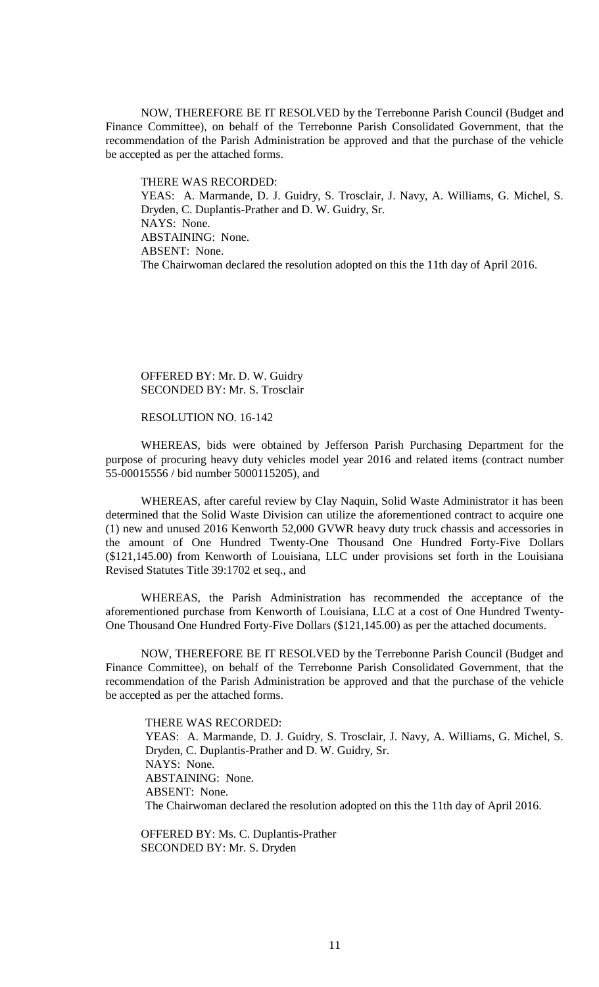NOW, THEREFORE BE IT RESOLVED by the Terrebonne Parish Council (Budget and Finance Committee), on behalf of the Terrebonne Parish Consolidated Government, that the recommendation of the Parish Administration be approved and that the purchase of the vehicle be accepted as per the attached forms.

THERE WAS RECORDED: YEAS: A. Marmande, D. J. Guidry, S. Trosclair, J. Navy, A. Williams, G. Michel, S. Dryden, C. Duplantis-Prather and D. W. Guidry, Sr. NAYS: None. ABSTAINING: None. ABSENT: None. The Chairwoman declared the resolution adopted on this the 11th day of April 2016.

### OFFERED BY: Mr. D. W. Guidry SECONDED BY: Mr. S. Trosclair

#### RESOLUTION NO. 16-142

WHEREAS, bids were obtained by Jefferson Parish Purchasing Department for the purpose of procuring heavy duty vehicles model year 2016 and related items (contract number 55-00015556 / bid number 5000115205), and

WHEREAS, after careful review by Clay Naquin, Solid Waste Administrator it has been determined that the Solid Waste Division can utilize the aforementioned contract to acquire one (1) new and unused 2016 Kenworth 52,000 GVWR heavy duty truck chassis and accessories in the amount of One Hundred Twenty-One Thousand One Hundred Forty-Five Dollars (\$121,145.00) from Kenworth of Louisiana, LLC under provisions set forth in the Louisiana Revised Statutes Title 39:1702 et seq., and

WHEREAS, the Parish Administration has recommended the acceptance of the aforementioned purchase from Kenworth of Louisiana, LLC at a cost of One Hundred Twenty-One Thousand One Hundred Forty-Five Dollars (\$121,145.00) as per the attached documents.

NOW, THEREFORE BE IT RESOLVED by the Terrebonne Parish Council (Budget and Finance Committee), on behalf of the Terrebonne Parish Consolidated Government, that the recommendation of the Parish Administration be approved and that the purchase of the vehicle be accepted as per the attached forms.

THERE WAS RECORDED: YEAS: A. Marmande, D. J. Guidry, S. Trosclair, J. Navy, A. Williams, G. Michel, S. Dryden, C. Duplantis-Prather and D. W. Guidry, Sr. NAYS: None. ABSTAINING: None. ABSENT: None. The Chairwoman declared the resolution adopted on this the 11th day of April 2016.

OFFERED BY: Ms. C. Duplantis-Prather SECONDED BY: Mr. S. Dryden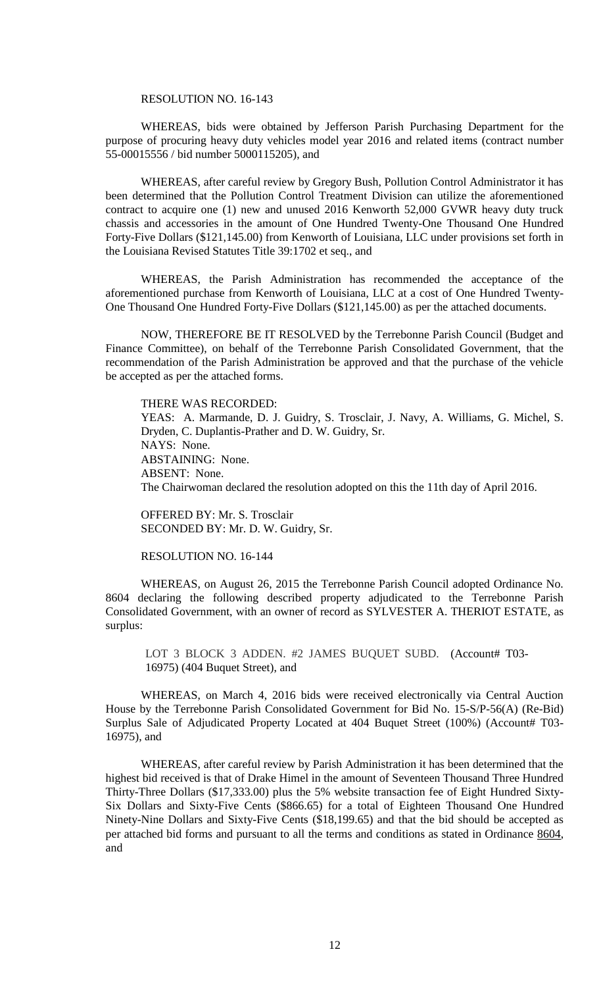### RESOLUTION NO. 16-143

WHEREAS, bids were obtained by Jefferson Parish Purchasing Department for the purpose of procuring heavy duty vehicles model year 2016 and related items (contract number 55-00015556 / bid number 5000115205), and

WHEREAS, after careful review by Gregory Bush, Pollution Control Administrator it has been determined that the Pollution Control Treatment Division can utilize the aforementioned contract to acquire one (1) new and unused 2016 Kenworth 52,000 GVWR heavy duty truck chassis and accessories in the amount of One Hundred Twenty-One Thousand One Hundred Forty-Five Dollars (\$121,145.00) from Kenworth of Louisiana, LLC under provisions set forth in the Louisiana Revised Statutes Title 39:1702 et seq., and

WHEREAS, the Parish Administration has recommended the acceptance of the aforementioned purchase from Kenworth of Louisiana, LLC at a cost of One Hundred Twenty-One Thousand One Hundred Forty-Five Dollars (\$121,145.00) as per the attached documents.

NOW, THEREFORE BE IT RESOLVED by the Terrebonne Parish Council (Budget and Finance Committee), on behalf of the Terrebonne Parish Consolidated Government, that the recommendation of the Parish Administration be approved and that the purchase of the vehicle be accepted as per the attached forms.

THERE WAS RECORDED: YEAS: A. Marmande, D. J. Guidry, S. Trosclair, J. Navy, A. Williams, G. Michel, S. Dryden, C. Duplantis-Prather and D. W. Guidry, Sr. NAYS: None. ABSTAINING: None. ABSENT: None. The Chairwoman declared the resolution adopted on this the 11th day of April 2016.

OFFERED BY: Mr. S. Trosclair SECONDED BY: Mr. D. W. Guidry, Sr.

RESOLUTION NO. 16-144

WHEREAS, on August 26, 2015 the Terrebonne Parish Council adopted Ordinance No. 8604 declaring the following described property adjudicated to the Terrebonne Parish Consolidated Government, with an owner of record as SYLVESTER A. THERIOT ESTATE, as surplus:

LOT 3 BLOCK 3 ADDEN. #2 JAMES BUQUET SUBD. (Account# T03-16975) (404 Buquet Street), and

WHEREAS, on March 4, 2016 bids were received electronically via Central Auction House by the Terrebonne Parish Consolidated Government for Bid No. 15-S/P-56(A) (Re-Bid) Surplus Sale of Adjudicated Property Located at 404 Buquet Street (100%) (Account# T03-16975), and

WHEREAS, after careful review by Parish Administration it has been determined that the highest bid received is that of Drake Himel in the amount of Seventeen Thousand Three Hundred Thirty-Three Dollars (\$17,333.00) plus the 5% website transaction fee of Eight Hundred Sixty-Six Dollars and Sixty-Five Cents (\$866.65) for a total of Eighteen Thousand One Hundred Ninety-Nine Dollars and Sixty-Five Cents (\$18,199.65) and that the bid should be accepted as per attached bid forms and pursuant to all the terms and conditions as stated in Ordinance 8604, and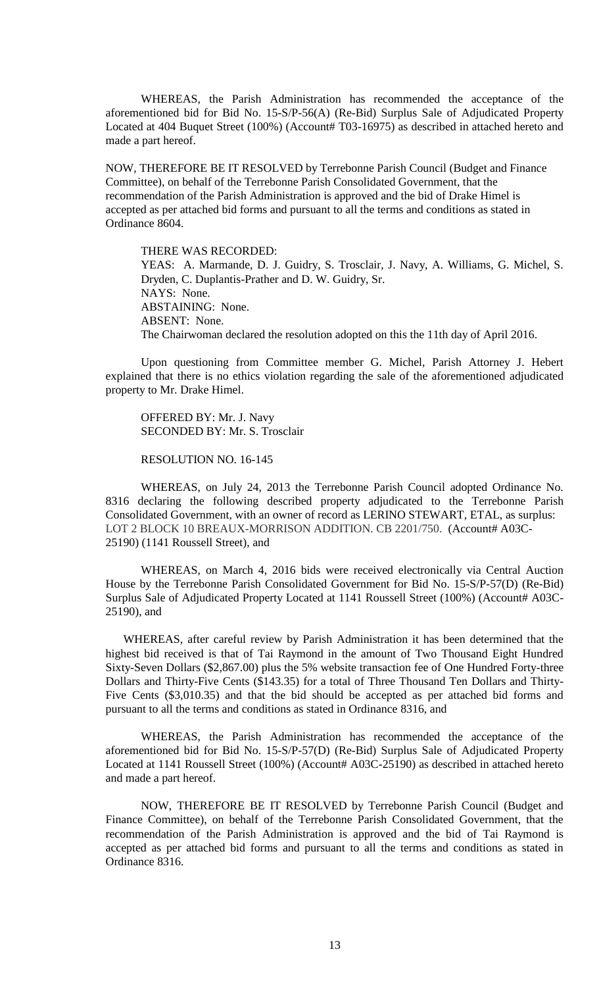WHEREAS, the Parish Administration has recommended the acceptance of the aforementioned bid for Bid No. 15-S/P-56(A) (Re-Bid) Surplus Sale of Adjudicated Property Located at 404 Buquet Street (100%) (Account# T03-16975) as described in attached hereto and made a part hereof.

NOW, THEREFORE BE IT RESOLVED by Terrebonne Parish Council (Budget and Finance Committee), on behalf of the Terrebonne Parish Consolidated Government, that the recommendation of the Parish Administration is approved and the bid of Drake Himel is accepted as per attached bid forms and pursuant to all the terms and conditions as stated in Ordinance 8604.

THERE WAS RECORDED: YEAS: A. Marmande, D. J. Guidry, S. Trosclair, J. Navy, A. Williams, G. Michel, S. Dryden, C. Duplantis-Prather and D. W. Guidry, Sr. NAYS: None. ABSTAINING: None. ABSENT: None. The Chairwoman declared the resolution adopted on this the 11th day of April 2016.

Upon questioning from Committee member G. Michel, Parish Attorney J. Hebert explained that there is no ethics violation regarding the sale of the aforementioned adjudicated property to Mr. Drake Himel.

OFFERED BY: Mr. J. Navy SECONDED BY: Mr. S. Trosclair

RESOLUTION NO. 16-145

WHEREAS, on July 24, 2013 the Terrebonne Parish Council adopted Ordinance No. 8316 declaring the following described property adjudicated to the Terrebonne Parish Consolidated Government, with an owner of record as LERINO STEWART, ETAL, as surplus: LOT 2 BLOCK 10 BREAUX-MORRISON ADDITION. CB 2201/750. (Account# A03C-25190) (1141 Roussell Street), and

WHEREAS, on March 4, 2016 bids were received electronically via Central Auction House by the Terrebonne Parish Consolidated Government for Bid No. 15-S/P-57(D) (Re-Bid) Surplus Sale of Adjudicated Property Located at 1141 Roussell Street (100%) (Account# A03C-25190), and

WHEREAS, after careful review by Parish Administration it has been determined that the highest bid received is that of Tai Raymond in the amount of Two Thousand Eight Hundred Sixty-Seven Dollars (\$2,867.00) plus the 5% website transaction fee of One Hundred Forty-three Dollars and Thirty-Five Cents (\$143.35) for a total of Three Thousand Ten Dollars and Thirty-Five Cents (\$3,010.35) and that the bid should be accepted as per attached bid forms and pursuant to all the terms and conditions as stated in Ordinance 8316, and

WHEREAS, the Parish Administration has recommended the acceptance of the aforementioned bid for Bid No. 15-S/P-57(D) (Re-Bid) Surplus Sale of Adjudicated Property Located at 1141 Roussell Street (100%) (Account# A03C-25190) as described in attached hereto and made a part hereof.

NOW, THEREFORE BE IT RESOLVED by Terrebonne Parish Council (Budget and Finance Committee), on behalf of the Terrebonne Parish Consolidated Government, that the recommendation of the Parish Administration is approved and the bid of Tai Raymond is accepted as per attached bid forms and pursuant to all the terms and conditions as stated in Ordinance 8316.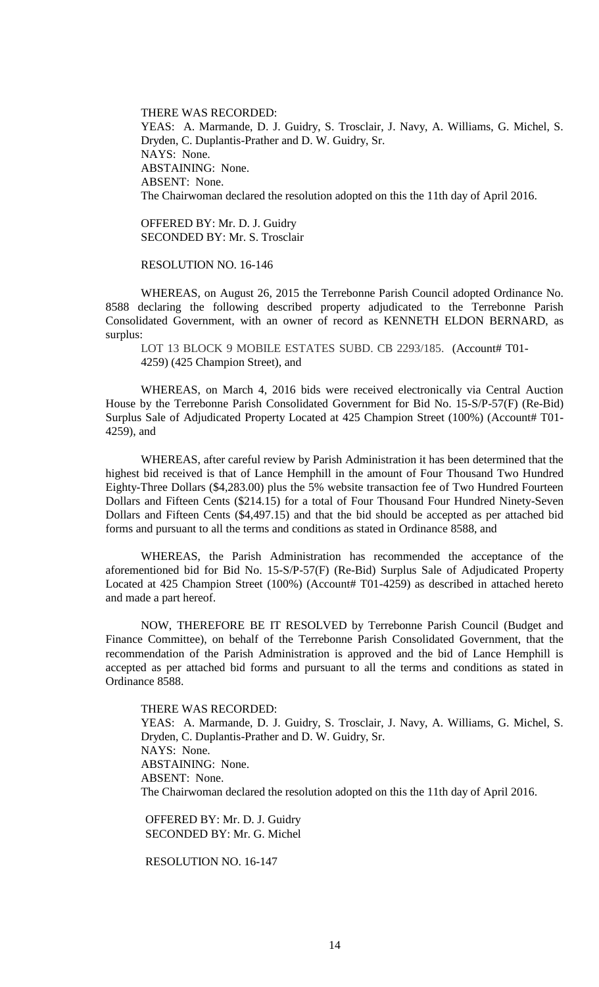THERE WAS RECORDED: YEAS: A. Marmande, D. J. Guidry, S. Trosclair, J. Navy, A. Williams, G. Michel, S. Dryden, C. Duplantis-Prather and D. W. Guidry, Sr. NAYS: None. ABSTAINING: None. ABSENT: None. The Chairwoman declared the resolution adopted on this the 11th day of April 2016.

OFFERED BY: Mr. D. J. Guidry SECONDED BY: Mr. S. Trosclair

RESOLUTION NO. 16-146

WHEREAS, on August 26, 2015 the Terrebonne Parish Council adopted Ordinance No. 8588 declaring the following described property adjudicated to the Terrebonne Parish Consolidated Government, with an owner of record as KENNETH ELDON BERNARD, as surplus:

LOT 13 BLOCK 9 MOBILE ESTATES SUBD. CB 2293/185. (Account# T01-4259) (425 Champion Street), and

WHEREAS, on March 4, 2016 bids were received electronically via Central Auction House by the Terrebonne Parish Consolidated Government for Bid No. 15-S/P-57(F) (Re-Bid) Surplus Sale of Adjudicated Property Located at 425 Champion Street (100%) (Account# T01-4259), and

WHEREAS, after careful review by Parish Administration it has been determined that the highest bid received is that of Lance Hemphill in the amount of Four Thousand Two Hundred Eighty-Three Dollars (\$4,283.00) plus the 5% website transaction fee of Two Hundred Fourteen Dollars and Fifteen Cents (\$214.15) for a total of Four Thousand Four Hundred Ninety-Seven Dollars and Fifteen Cents (\$4,497.15) and that the bid should be accepted as per attached bid forms and pursuant to all the terms and conditions as stated in Ordinance 8588, and

WHEREAS, the Parish Administration has recommended the acceptance of the aforementioned bid for Bid No. 15-S/P-57(F) (Re-Bid) Surplus Sale of Adjudicated Property Located at 425 Champion Street (100%) (Account# T01-4259) as described in attached hereto and made a part hereof.

NOW, THEREFORE BE IT RESOLVED by Terrebonne Parish Council (Budget and Finance Committee), on behalf of the Terrebonne Parish Consolidated Government, that the recommendation of the Parish Administration is approved and the bid of Lance Hemphill is accepted as per attached bid forms and pursuant to all the terms and conditions as stated in Ordinance 8588.

THERE WAS RECORDED: YEAS: A. Marmande, D. J. Guidry, S. Trosclair, J. Navy, A. Williams, G. Michel, S. Dryden, C. Duplantis-Prather and D. W. Guidry, Sr. NAYS: None. ABSTAINING: None. ABSENT: None. The Chairwoman declared the resolution adopted on this the 11th day of April 2016.

OFFERED BY: Mr. D. J. Guidry SECONDED BY: Mr. G. Michel

RESOLUTION NO. 16-147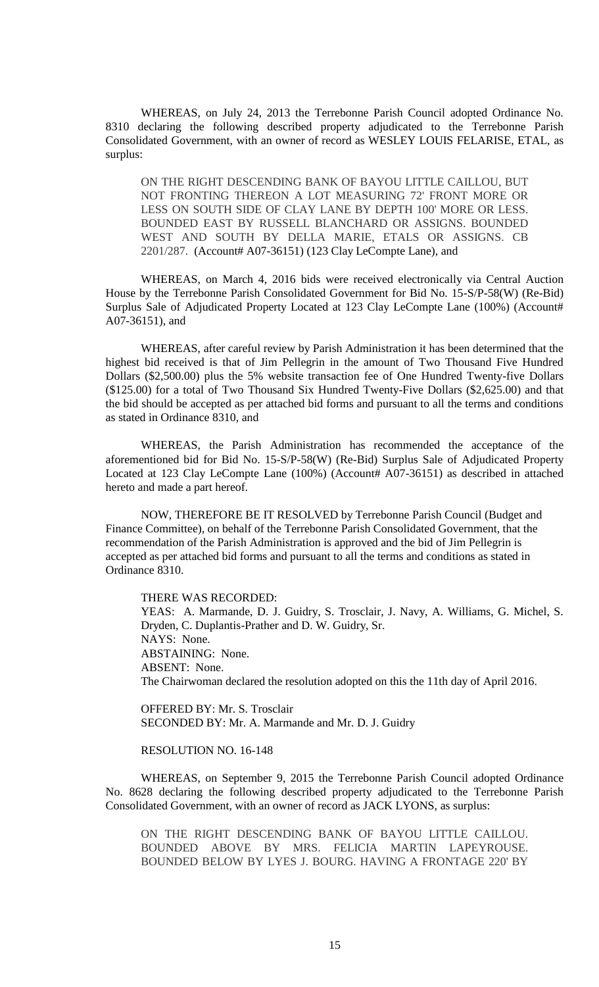WHEREAS, on July 24, 2013 the Terrebonne Parish Council adopted Ordinance No. 8310 declaring the following described property adjudicated to the Terrebonne Parish Consolidated Government, with an owner of record as WESLEY LOUIS FELARISE, ETAL, as surplus:

ON THE RIGHT DESCENDING BANK OF BAYOU LITTLE CAILLOU, BUT NOT FRONTING THEREON A LOT MEASURING 72' FRONT MORE OR LESS ON SOUTH SIDE OF CLAY LANE BY DEPTH 100' MORE OR LESS. BOUNDED EAST BY RUSSELL BLANCHARD OR ASSIGNS. BOUNDED WEST AND SOUTH BY DELLA MARIE, ETALS OR ASSIGNS. CB 2201/287. (Account# A07-36151) (123 Clay LeCompte Lane), and

WHEREAS, on March 4, 2016 bids were received electronically via Central Auction House by the Terrebonne Parish Consolidated Government for Bid No. 15-S/P-58(W) (Re-Bid) Surplus Sale of Adjudicated Property Located at 123 Clay LeCompte Lane (100%) (Account# A07-36151), and

WHEREAS, after careful review by Parish Administration it has been determined that the highest bid received is that of Jim Pellegrin in the amount of Two Thousand Five Hundred Dollars (\$2,500.00) plus the 5% website transaction fee of One Hundred Twenty-five Dollars (\$125.00) for a total of Two Thousand Six Hundred Twenty-Five Dollars (\$2,625.00) and that the bid should be accepted as per attached bid forms and pursuant to all the terms and conditions as stated in Ordinance 8310, and

WHEREAS, the Parish Administration has recommended the acceptance of the aforementioned bid for Bid No. 15-S/P-58(W) (Re-Bid) Surplus Sale of Adjudicated Property Located at 123 Clay LeCompte Lane (100%) (Account# A07-36151) as described in attached hereto and made a part hereof.

NOW, THEREFORE BE IT RESOLVED by Terrebonne Parish Council (Budget and Finance Committee), on behalf of the Terrebonne Parish Consolidated Government, that the recommendation of the Parish Administration is approved and the bid of Jim Pellegrin is accepted as per attached bid forms and pursuant to all the terms and conditions as stated in Ordinance 8310.

THERE WAS RECORDED:

YEAS: A. Marmande, D. J. Guidry, S. Trosclair, J. Navy, A. Williams, G. Michel, S. Dryden, C. Duplantis-Prather and D. W. Guidry, Sr. NAYS: None. ABSTAINING: None. ABSENT: None. The Chairwoman declared the resolution adopted on this the 11th day of April 2016.

OFFERED BY: Mr. S. Trosclair SECONDED BY: Mr. A. Marmande and Mr. D. J. Guidry

### RESOLUTION NO. 16-148

WHEREAS, on September 9, 2015 the Terrebonne Parish Council adopted Ordinance No. 8628 declaring the following described property adjudicated to the Terrebonne Parish Consolidated Government, with an owner of record as JACK LYONS, as surplus:

ON THE RIGHT DESCENDING BANK OF BAYOU LITTLE CAILLOU. BOUNDED ABOVE BY MRS. FELICIA MARTIN LAPEYROUSE. BOUNDED BELOW BY LYES J. BOURG. HAVING A FRONTAGE 220' BY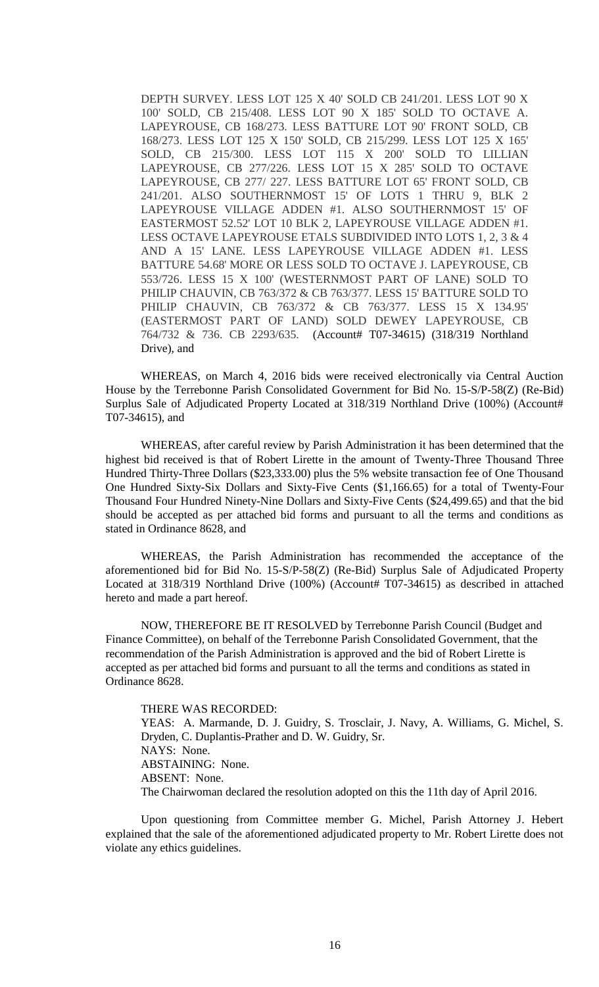DEPTH SURVEY. LESS LOT 125 X 40' SOLD CB 241/201. LESS LOT 90 X 100' SOLD, CB 215/408. LESS LOT 90 X 185' SOLD TO OCTAVE A. LAPEYROUSE, CB 168/273. LESS BATTURE LOT 90' FRONT SOLD, CB 168/273. LESS LOT 125 X 150' SOLD, CB 215/299. LESS LOT 125 X 165' SOLD, CB 215/300. LESS LOT 115 X 200' SOLD TO LILLIAN LAPEYROUSE, CB 277/226. LESS LOT 15 X 285' SOLD TO OCTAVE LAPEYROUSE, CB 277/ 227. LESS BATTURE LOT 65' FRONT SOLD, CB 241/201. ALSO SOUTHERNMOST 15' OF LOTS 1 THRU 9, BLK 2 LAPEYROUSE VILLAGE ADDEN #1. ALSO SOUTHERNMOST 15' OF EASTERMOST 52.52' LOT 10 BLK 2, LAPEYROUSE VILLAGE ADDEN #1. LESS OCTAVE LAPEYROUSE ETALS SUBDIVIDED INTO LOTS 1, 2, 3 & 4 AND A 15' LANE. LESS LAPEYROUSE VILLAGE ADDEN #1. LESS BATTURE 54.68' MORE OR LESS SOLD TO OCTAVE J. LAPEYROUSE, CB 553/726. LESS 15 X 100' (WESTERNMOST PART OF LANE) SOLD TO PHILIP CHAUVIN, CB 763/372 & CB 763/377. LESS 15' BATTURE SOLD TO PHILIP CHAUVIN, CB 763/372 & CB 763/377. LESS 15 X 134.95' (EASTERMOST PART OF LAND) SOLD DEWEY LAPEYROUSE, CB 764/732 & 736. CB 2293/635. (Account# T07-34615) (318/319 Northland Drive), and

WHEREAS, on March 4, 2016 bids were received electronically via Central Auction House by the Terrebonne Parish Consolidated Government for Bid No. 15-S/P-58(Z) (Re-Bid) Surplus Sale of Adjudicated Property Located at 318/319 Northland Drive (100%) (Account# T07-34615), and

WHEREAS, after careful review by Parish Administration it has been determined that the highest bid received is that of Robert Lirette in the amount of Twenty-Three Thousand Three Hundred Thirty-Three Dollars (\$23,333.00) plus the 5% website transaction fee of One Thousand One Hundred Sixty-Six Dollars and Sixty-Five Cents (\$1,166.65) for a total of Twenty-Four Thousand Four Hundred Ninety-Nine Dollars and Sixty-Five Cents (\$24,499.65) and that the bid should be accepted as per attached bid forms and pursuant to all the terms and conditions as stated in Ordinance 8628, and

WHEREAS, the Parish Administration has recommended the acceptance of the aforementioned bid for Bid No. 15-S/P-58(Z) (Re-Bid) Surplus Sale of Adjudicated Property Located at 318/319 Northland Drive (100%) (Account# T07-34615) as described in attached hereto and made a part hereof.

NOW, THEREFORE BE IT RESOLVED by Terrebonne Parish Council (Budget and Finance Committee), on behalf of the Terrebonne Parish Consolidated Government, that the recommendation of the Parish Administration is approved and the bid of Robert Lirette is accepted as per attached bid forms and pursuant to all the terms and conditions as stated in Ordinance 8628.

# THERE WAS RECORDED:

YEAS: A. Marmande, D. J. Guidry, S. Trosclair, J. Navy, A. Williams, G. Michel, S. Dryden, C. Duplantis-Prather and D. W. Guidry, Sr. NAYS: None. ABSTAINING: None. ABSENT: None. The Chairwoman declared the resolution adopted on this the 11th day of April 2016.

Upon questioning from Committee member G. Michel, Parish Attorney J. Hebert explained that the sale of the aforementioned adjudicated property to Mr. Robert Lirette does not violate any ethics guidelines.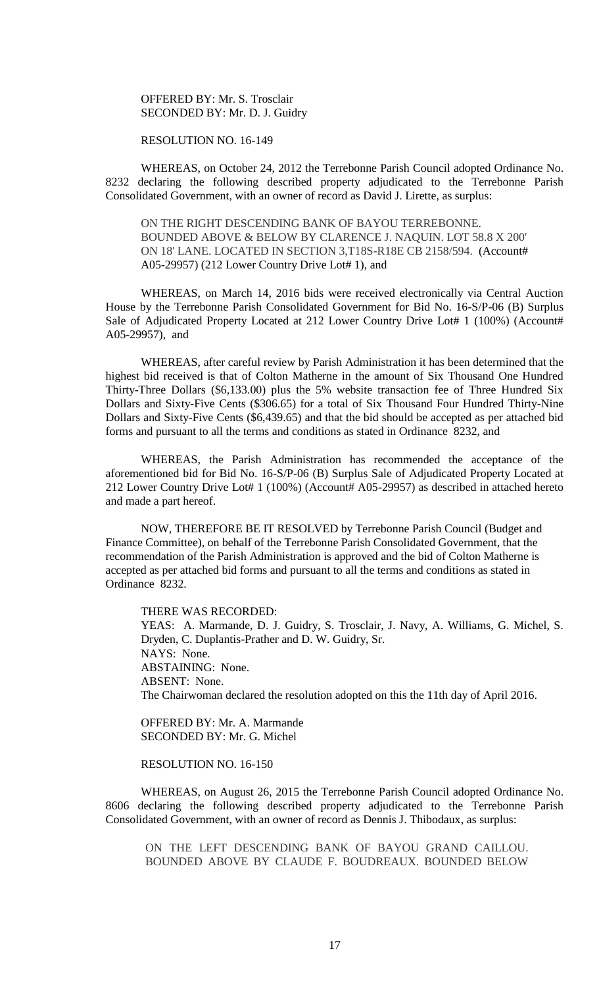OFFERED BY: Mr. S. Trosclair SECONDED BY: Mr. D. J. Guidry

RESOLUTION NO. 16-149

WHEREAS, on October 24, 2012 the Terrebonne Parish Council adopted Ordinance No. 8232 declaring the following described property adjudicated to the Terrebonne Parish Consolidated Government, with an owner of record as David J. Lirette, as surplus:

ON THE RIGHT DESCENDING BANK OF BAYOU TERREBONNE. BOUNDED ABOVE & BELOW BY CLARENCE J. NAQUIN. LOT 58.8 X 200' ON 18' LANE. LOCATED IN SECTION 3,T18S-R18E CB 2158/594. (Account# A05-29957) (212 Lower Country Drive Lot# 1), and

WHEREAS, on March 14, 2016 bids were received electronically via Central Auction House by the Terrebonne Parish Consolidated Government for Bid No. 16-S/P-06 (B) Surplus Sale of Adjudicated Property Located at 212 Lower Country Drive Lot# 1 (100%) (Account# A05-29957), and

WHEREAS, after careful review by Parish Administration it has been determined that the highest bid received is that of Colton Matherne in the amount of Six Thousand One Hundred Thirty-Three Dollars (\$6,133.00) plus the 5% website transaction fee of Three Hundred Six Dollars and Sixty-Five Cents (\$306.65) for a total of Six Thousand Four Hundred Thirty-Nine Dollars and Sixty-Five Cents (\$6,439.65) and that the bid should be accepted as per attached bid forms and pursuant to all the terms and conditions as stated in Ordinance 8232, and

WHEREAS, the Parish Administration has recommended the acceptance of the aforementioned bid for Bid No. 16-S/P-06 (B) Surplus Sale of Adjudicated Property Located at 212 Lower Country Drive Lot# 1 (100%) (Account# A05-29957) as described in attached hereto and made a part hereof.

NOW, THEREFORE BE IT RESOLVED by Terrebonne Parish Council (Budget and Finance Committee), on behalf of the Terrebonne Parish Consolidated Government, that the recommendation of the Parish Administration is approved and the bid of Colton Matherne is accepted as per attached bid forms and pursuant to all the terms and conditions as stated in Ordinance 8232.

THERE WAS RECORDED: YEAS: A. Marmande, D. J. Guidry, S. Trosclair, J. Navy, A. Williams, G. Michel, S. Dryden, C. Duplantis-Prather and D. W. Guidry, Sr. NAYS: None. ABSTAINING: None. ABSENT: None. The Chairwoman declared the resolution adopted on this the 11th day of April 2016.

OFFERED BY: Mr. A. Marmande SECONDED BY: Mr. G. Michel

RESOLUTION NO. 16-150

WHEREAS, on August 26, 2015 the Terrebonne Parish Council adopted Ordinance No. 8606 declaring the following described property adjudicated to the Terrebonne Parish Consolidated Government, with an owner of record as Dennis J. Thibodaux, as surplus:

ON THE LEFT DESCENDING BANK OF BAYOU GRAND CAILLOU. BOUNDED ABOVE BY CLAUDE F. BOUDREAUX. BOUNDED BELOW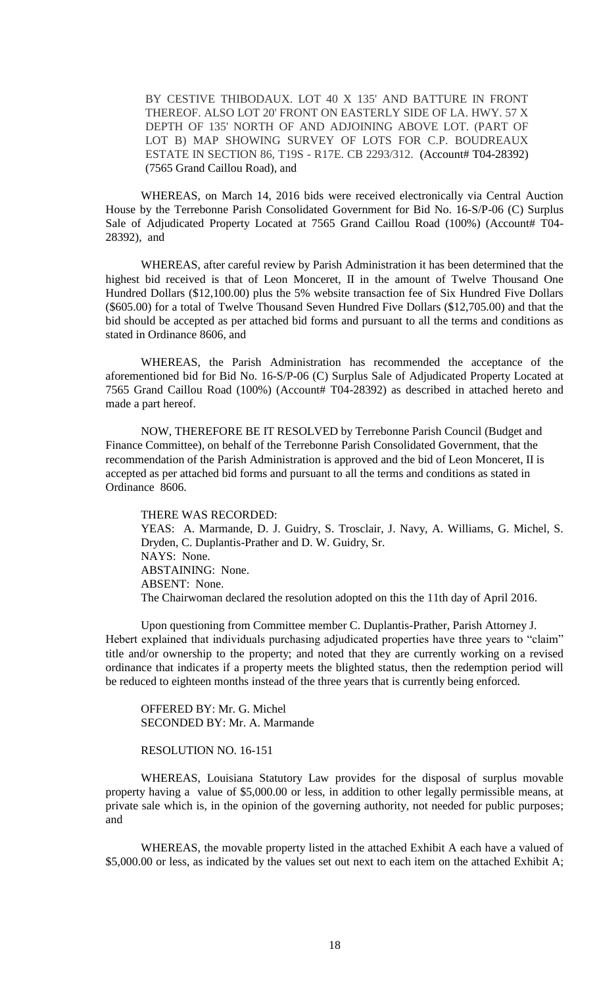BY CESTIVE THIBODAUX. LOT 40 X 135' AND BATTURE IN FRONT THEREOF. ALSO LOT 20' FRONT ON EASTERLY SIDE OF LA. HWY. 57 X DEPTH OF 135' NORTH OF AND ADJOINING ABOVE LOT. (PART OF LOT B) MAP SHOWING SURVEY OF LOTS FOR C.P. BOUDREAUX ESTATE IN SECTION 86, T19S - R17E. CB 2293/312. (Account# T04-28392) (7565 Grand Caillou Road), and

WHEREAS, on March 14, 2016 bids were received electronically via Central Auction House by the Terrebonne Parish Consolidated Government for Bid No. 16-S/P-06 (C) Surplus Sale of Adjudicated Property Located at 7565 Grand Caillou Road (100%) (Account# T04-28392), and

WHEREAS, after careful review by Parish Administration it has been determined that the highest bid received is that of Leon Monceret, II in the amount of Twelve Thousand One Hundred Dollars (\$12,100.00) plus the 5% website transaction fee of Six Hundred Five Dollars (\$605.00) for a total of Twelve Thousand Seven Hundred Five Dollars (\$12,705.00) and that the bid should be accepted as per attached bid forms and pursuant to all the terms and conditions as stated in Ordinance 8606, and

WHEREAS, the Parish Administration has recommended the acceptance of the aforementioned bid for Bid No. 16-S/P-06 (C) Surplus Sale of Adjudicated Property Located at 7565 Grand Caillou Road (100%) (Account# T04-28392) as described in attached hereto and made a part hereof.

NOW, THEREFORE BE IT RESOLVED by Terrebonne Parish Council (Budget and Finance Committee), on behalf of the Terrebonne Parish Consolidated Government, that the recommendation of the Parish Administration is approved and the bid of Leon Monceret, II is accepted as per attached bid forms and pursuant to all the terms and conditions as stated in Ordinance 8606.

THERE WAS RECORDED: YEAS: A. Marmande, D. J. Guidry, S. Trosclair, J. Navy, A. Williams, G. Michel, S. Dryden, C. Duplantis-Prather and D. W. Guidry, Sr. NAYS: None. ABSTAINING: None. ABSENT: None. The Chairwoman declared the resolution adopted on this the 11th day of April 2016.

Upon questioning from Committee member C. Duplantis-Prather, Parish Attorney J. Hebert explained that individuals purchasing adjudicated properties have three years to "claim" title and/or ownership to the property; and noted that they are currently working on a revised ordinance that indicates if a property meets the blighted status, then the redemption period will be reduced to eighteen months instead of the three years that is currently being enforced.

OFFERED BY: Mr. G. Michel SECONDED BY: Mr. A. Marmande

### RESOLUTION NO. 16-151

WHEREAS, Louisiana Statutory Law provides for the disposal of surplus movable property having a value of \$5,000.00 or less, in addition to other legally permissible means, at private sale which is, in the opinion of the governing authority, not needed for public purposes; and

WHEREAS, the movable property listed in the attached Exhibit A each have a valued of \$5,000.00 or less, as indicated by the values set out next to each item on the attached Exhibit A;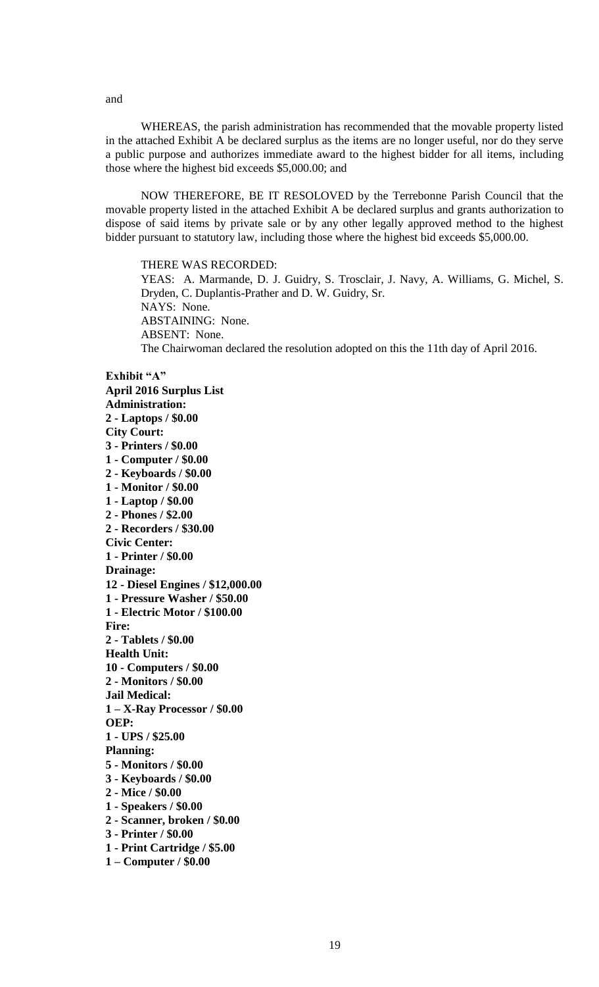WHEREAS, the parish administration has recommended that the movable property listed in the attached Exhibit A be declared surplus as the items are no longer useful, nor do they serve a public purpose and authorizes immediate award to the highest bidder for all items, including those where the highest bid exceeds \$5,000.00; and

NOW THEREFORE, BE IT RESOLOVED by the Terrebonne Parish Council that the movable property listed in the attached Exhibit A be declared surplus and grants authorization to dispose of said items by private sale or by any other legally approved method to the highest bidder pursuant to statutory law, including those where the highest bid exceeds \$5,000.00.

THERE WAS RECORDED:

YEAS: A. Marmande, D. J. Guidry, S. Trosclair, J. Navy, A. Williams, G. Michel, S. Dryden, C. Duplantis-Prather and D. W. Guidry, Sr. NAYS: None. ABSTAINING: None. ABSENT: None. The Chairwoman declared the resolution adopted on this the 11th day of April 2016.

**Exhibit "A" April 2016 Surplus List Administration: 2 - Laptops / \$0.00 City Court: 3 - Printers / \$0.00 1 - Computer / \$0.00 2 - Keyboards / \$0.00 1 - Monitor / \$0.00 1 - Laptop / \$0.00 2 - Phones / \$2.00 2 - Recorders / \$30.00 Civic Center: 1 - Printer / \$0.00 Drainage: 12 - Diesel Engines / \$12,000.00 1 - Pressure Washer / \$50.00 1 - Electric Motor / \$100.00 Fire: 2 - Tablets / \$0.00 Health Unit: 10 - Computers / \$0.00 2 - Monitors / \$0.00 Jail Medical: 1 – X-Ray Processor / \$0.00 OEP: 1 - UPS / \$25.00 Planning: 5 - Monitors / \$0.00 3 - Keyboards / \$0.00 2 - Mice / \$0.00 1 - Speakers / \$0.00 2 - Scanner, broken / \$0.00 3 - Printer / \$0.00**

**1 - Print Cartridge / \$5.00**

**1 – Computer / \$0.00**

and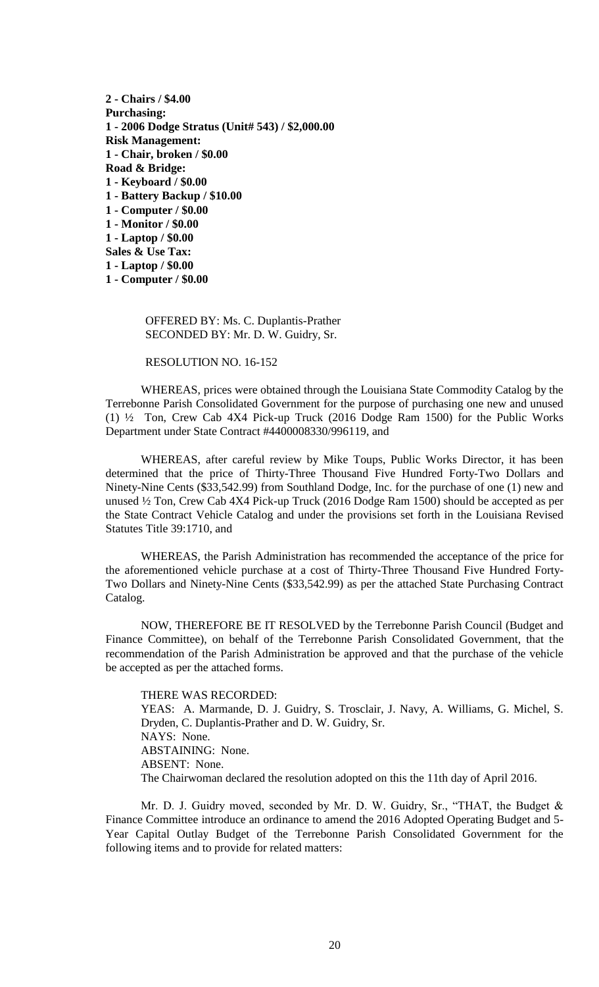**2 - Chairs / \$4.00 Purchasing: 1 - 2006 Dodge Stratus (Unit# 543) / \$2,000.00 Risk Management: 1 - Chair, broken / \$0.00 Road & Bridge: 1 - Keyboard / \$0.00 1 - Battery Backup / \$10.00 1 - Computer / \$0.00 1 - Monitor / \$0.00 1 - Laptop / \$0.00 Sales & Use Tax: 1 - Laptop / \$0.00 1 - Computer / \$0.00**

> OFFERED BY: Ms. C. Duplantis-Prather SECONDED BY: Mr. D. W. Guidry, Sr.

RESOLUTION NO. 16-152

WHEREAS, prices were obtained through the Louisiana State Commodity Catalog by the Terrebonne Parish Consolidated Government for the purpose of purchasing one new and unused (1) ½ Ton, Crew Cab 4X4 Pick-up Truck (2016 Dodge Ram 1500) for the Public Works Department under State Contract #4400008330/996119, and

WHEREAS, after careful review by Mike Toups, Public Works Director, it has been determined that the price of Thirty-Three Thousand Five Hundred Forty-Two Dollars and Ninety-Nine Cents (\$33,542.99) from Southland Dodge, Inc. for the purchase of one (1) new and unused ½ Ton, Crew Cab 4X4 Pick-up Truck (2016 Dodge Ram 1500) should be accepted as per the State Contract Vehicle Catalog and under the provisions set forth in the Louisiana Revised Statutes Title 39:1710, and

WHEREAS, the Parish Administration has recommended the acceptance of the price for the aforementioned vehicle purchase at a cost of Thirty-Three Thousand Five Hundred Forty-Two Dollars and Ninety-Nine Cents (\$33,542.99) as per the attached State Purchasing Contract Catalog.

NOW, THEREFORE BE IT RESOLVED by the Terrebonne Parish Council (Budget and Finance Committee), on behalf of the Terrebonne Parish Consolidated Government, that the recommendation of the Parish Administration be approved and that the purchase of the vehicle be accepted as per the attached forms.

THERE WAS RECORDED: YEAS: A. Marmande, D. J. Guidry, S. Trosclair, J. Navy, A. Williams, G. Michel, S. Dryden, C. Duplantis-Prather and D. W. Guidry, Sr. NAYS: None. ABSTAINING: None. ABSENT: None. The Chairwoman declared the resolution adopted on this the 11th day of April 2016.

Mr. D. J. Guidry moved, seconded by Mr. D. W. Guidry, Sr., "THAT, the Budget & Finance Committee introduce an ordinance to amend the 2016 Adopted Operating Budget and 5- Year Capital Outlay Budget of the Terrebonne Parish Consolidated Government for the following items and to provide for related matters: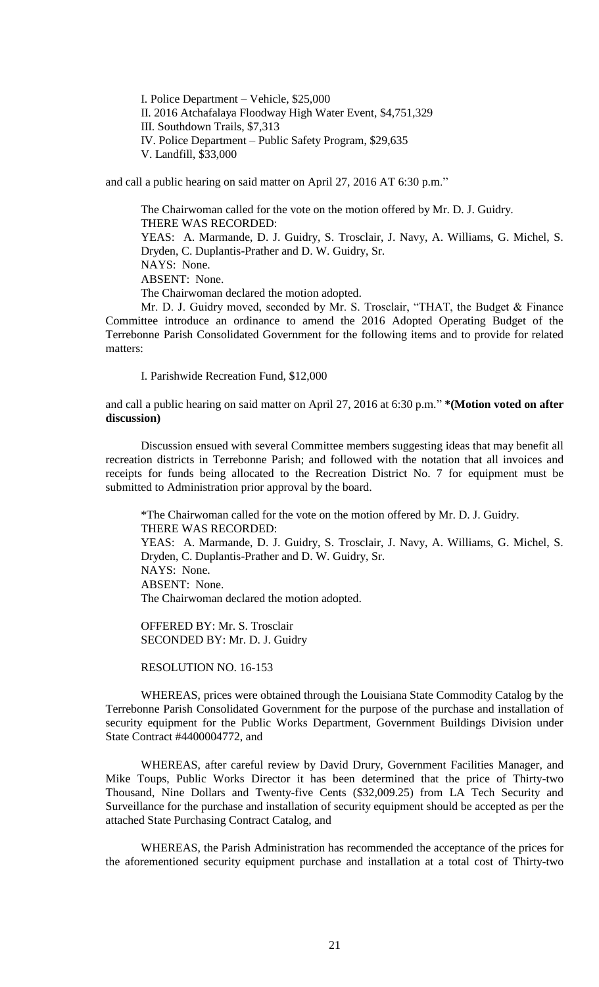I. Police Department – Vehicle, \$25,000 II. 2016 Atchafalaya Floodway High Water Event, \$4,751,329 III. Southdown Trails, \$7,313 IV. Police Department – Public Safety Program, \$29,635 V. Landfill, \$33,000

and call a public hearing on said matter on April 27, 2016 AT 6:30 p.m."

The Chairwoman called for the vote on the motion offered by Mr. D. J. Guidry. THERE WAS RECORDED: YEAS: A. Marmande, D. J. Guidry, S. Trosclair, J. Navy, A. Williams, G. Michel, S. Dryden, C. Duplantis-Prather and D. W. Guidry, Sr. NAYS: None. ABSENT: None. The Chairwoman declared the motion adopted.

Mr. D. J. Guidry moved, seconded by Mr. S. Trosclair, "THAT, the Budget & Finance Committee introduce an ordinance to amend the 2016 Adopted Operating Budget of the Terrebonne Parish Consolidated Government for the following items and to provide for related matters:

I. Parishwide Recreation Fund, \$12,000

and call a public hearing on said matter on April 27, 2016 at 6:30 p.m." **\*(Motion voted on after discussion)** 

Discussion ensued with several Committee members suggesting ideas that may benefit all recreation districts in Terrebonne Parish; and followed with the notation that all invoices and receipts for funds being allocated to the Recreation District No. 7 for equipment must be submitted to Administration prior approval by the board.

\*The Chairwoman called for the vote on the motion offered by Mr. D. J. Guidry. THERE WAS RECORDED: YEAS: A. Marmande, D. J. Guidry, S. Trosclair, J. Navy, A. Williams, G. Michel, S. Dryden, C. Duplantis-Prather and D. W. Guidry, Sr. NAYS: None. ABSENT: None. The Chairwoman declared the motion adopted.

OFFERED BY: Mr. S. Trosclair SECONDED BY: Mr. D. J. Guidry

RESOLUTION NO. 16-153

WHEREAS, prices were obtained through the Louisiana State Commodity Catalog by the Terrebonne Parish Consolidated Government for the purpose of the purchase and installation of security equipment for the Public Works Department, Government Buildings Division under State Contract #4400004772, and

WHEREAS, after careful review by David Drury, Government Facilities Manager, and Mike Toups, Public Works Director it has been determined that the price of Thirty-two Thousand, Nine Dollars and Twenty-five Cents (\$32,009.25) from LA Tech Security and Surveillance for the purchase and installation of security equipment should be accepted as per the attached State Purchasing Contract Catalog, and

WHEREAS, the Parish Administration has recommended the acceptance of the prices for the aforementioned security equipment purchase and installation at a total cost of Thirty-two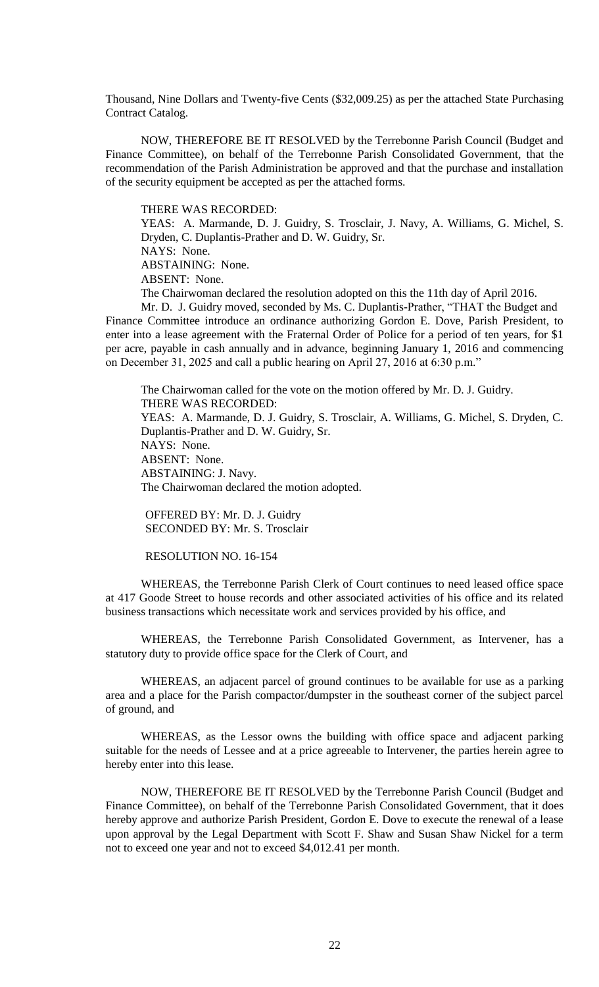Thousand, Nine Dollars and Twenty-five Cents (\$32,009.25) as per the attached State Purchasing Contract Catalog.

NOW, THEREFORE BE IT RESOLVED by the Terrebonne Parish Council (Budget and Finance Committee), on behalf of the Terrebonne Parish Consolidated Government, that the recommendation of the Parish Administration be approved and that the purchase and installation of the security equipment be accepted as per the attached forms.

THERE WAS RECORDED:

YEAS: A. Marmande, D. J. Guidry, S. Trosclair, J. Navy, A. Williams, G. Michel, S. Dryden, C. Duplantis-Prather and D. W. Guidry, Sr. NAYS: None.

ABSTAINING: None.

ABSENT: None.

The Chairwoman declared the resolution adopted on this the 11th day of April 2016.

Mr. D. J. Guidry moved, seconded by Ms. C. Duplantis-Prather, "THAT the Budget and Finance Committee introduce an ordinance authorizing Gordon E. Dove, Parish President, to enter into a lease agreement with the Fraternal Order of Police for a period of ten years, for \$1 per acre, payable in cash annually and in advance, beginning January 1, 2016 and commencing on December 31, 2025 and call a public hearing on April 27, 2016 at 6:30 p.m."

The Chairwoman called for the vote on the motion offered by Mr. D. J. Guidry. THERE WAS RECORDED: YEAS: A. Marmande, D. J. Guidry, S. Trosclair, A. Williams, G. Michel, S. Dryden, C. Duplantis-Prather and D. W. Guidry, Sr. NAYS: None. ABSENT: None. ABSTAINING: J. Navy. The Chairwoman declared the motion adopted.

OFFERED BY: Mr. D. J. Guidry SECONDED BY: Mr. S. Trosclair

RESOLUTION NO. 16-154

WHEREAS, the Terrebonne Parish Clerk of Court continues to need leased office space at 417 Goode Street to house records and other associated activities of his office and its related business transactions which necessitate work and services provided by his office, and

WHEREAS, the Terrebonne Parish Consolidated Government, as Intervener, has a statutory duty to provide office space for the Clerk of Court, and

WHEREAS, an adjacent parcel of ground continues to be available for use as a parking area and a place for the Parish compactor/dumpster in the southeast corner of the subject parcel of ground, and

WHEREAS, as the Lessor owns the building with office space and adjacent parking suitable for the needs of Lessee and at a price agreeable to Intervener, the parties herein agree to hereby enter into this lease.

NOW, THEREFORE BE IT RESOLVED by the Terrebonne Parish Council (Budget and Finance Committee), on behalf of the Terrebonne Parish Consolidated Government, that it does hereby approve and authorize Parish President, Gordon E. Dove to execute the renewal of a lease upon approval by the Legal Department with Scott F. Shaw and Susan Shaw Nickel for a term not to exceed one year and not to exceed \$4,012.41 per month.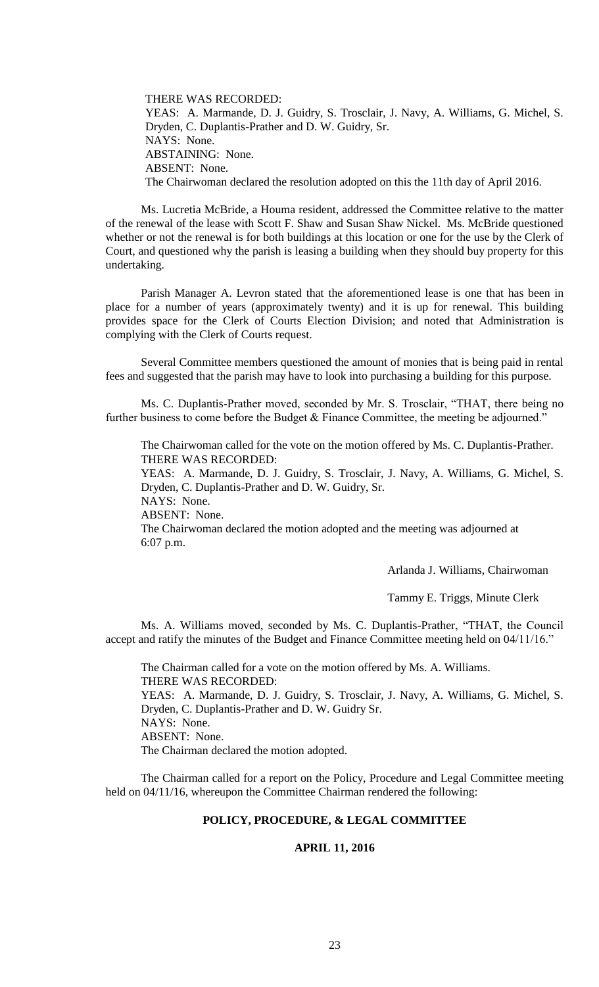THERE WAS RECORDED: YEAS: A. Marmande, D. J. Guidry, S. Trosclair, J. Navy, A. Williams, G. Michel, S. Dryden, C. Duplantis-Prather and D. W. Guidry, Sr. NAYS: None. ABSTAINING: None. ABSENT: None. The Chairwoman declared the resolution adopted on this the 11th day of April 2016.

Ms. Lucretia McBride, a Houma resident, addressed the Committee relative to the matter of the renewal of the lease with Scott F. Shaw and Susan Shaw Nickel. Ms. McBride questioned whether or not the renewal is for both buildings at this location or one for the use by the Clerk of Court, and questioned why the parish is leasing a building when they should buy property for this undertaking.

Parish Manager A. Levron stated that the aforementioned lease is one that has been in place for a number of years (approximately twenty) and it is up for renewal. This building provides space for the Clerk of Courts Election Division; and noted that Administration is complying with the Clerk of Courts request.

Several Committee members questioned the amount of monies that is being paid in rental fees and suggested that the parish may have to look into purchasing a building for this purpose.

Ms. C. Duplantis-Prather moved, seconded by Mr. S. Trosclair, "THAT, there being no further business to come before the Budget & Finance Committee, the meeting be adjourned."

The Chairwoman called for the vote on the motion offered by Ms. C. Duplantis-Prather. THERE WAS RECORDED:

YEAS: A. Marmande, D. J. Guidry, S. Trosclair, J. Navy, A. Williams, G. Michel, S. Dryden, C. Duplantis-Prather and D. W. Guidry, Sr.

NAYS: None. ABSENT: None.

The Chairwoman declared the motion adopted and the meeting was adjourned at 6:07 p.m.

Arlanda J. Williams, Chairwoman

Tammy E. Triggs, Minute Clerk

Ms. A. Williams moved, seconded by Ms. C. Duplantis-Prather, "THAT, the Council accept and ratify the minutes of the Budget and Finance Committee meeting held on 04/11/16."

The Chairman called for a vote on the motion offered by Ms. A. Williams. THERE WAS RECORDED: YEAS: A. Marmande, D. J. Guidry, S. Trosclair, J. Navy, A. Williams, G. Michel, S. Dryden, C. Duplantis-Prather and D. W. Guidry Sr. NAYS: None. ABSENT: None. The Chairman declared the motion adopted.

The Chairman called for a report on the Policy, Procedure and Legal Committee meeting held on 04/11/16, whereupon the Committee Chairman rendered the following:

# **POLICY, PROCEDURE, & LEGAL COMMITTEE**

#### **APRIL 11, 2016**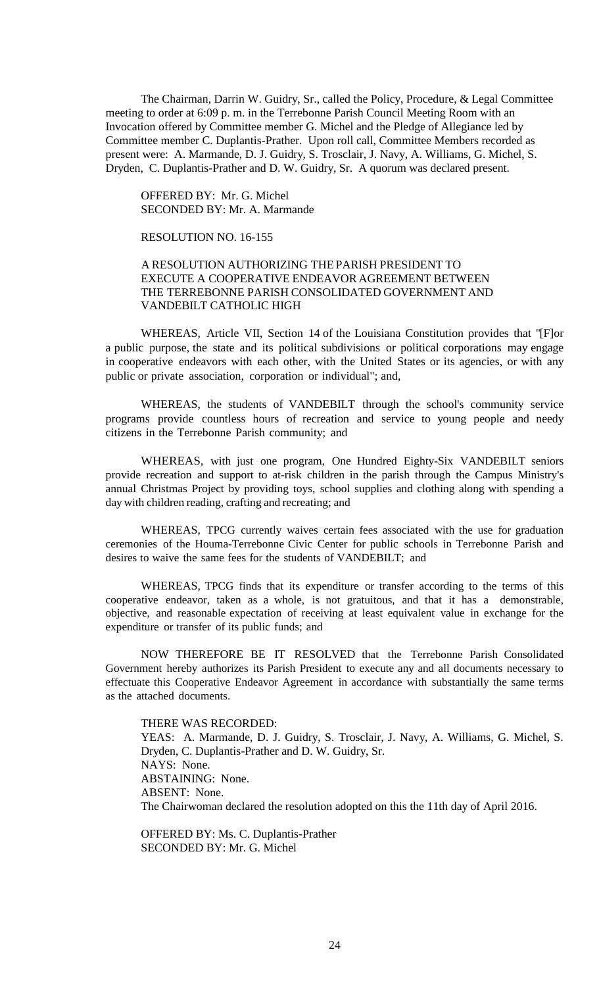The Chairman, Darrin W. Guidry, Sr., called the Policy, Procedure, & Legal Committee meeting to order at 6:09 p. m. in the Terrebonne Parish Council Meeting Room with an Invocation offered by Committee member G. Michel and the Pledge of Allegiance led by Committee member C. Duplantis-Prather. Upon roll call, Committee Members recorded as present were: A. Marmande, D. J. Guidry, S. Trosclair, J. Navy, A. Williams, G. Michel, S. Dryden, C. Duplantis-Prather and D. W. Guidry, Sr. A quorum was declared present.

OFFERED BY: Mr. G. Michel SECONDED BY: Mr. A. Marmande

RESOLUTION NO. 16-155

# A RESOLUTION AUTHORIZING THE PARISH PRESIDENT TO EXECUTE A COOPERATIVE ENDEAVOR AGREEMENT BETWEEN THE TERREBONNE PARISH CONSOLIDATED GOVERNMENT AND VANDEBILT CATHOLIC HIGH

WHEREAS, Article VII, Section 14 of the Louisiana Constitution provides that "[F]or a public purpose, the state and its political subdivisions or political corporations may engage in cooperative endeavors with each other, with the United States or its agencies, or with any public or private association, corporation or individual"; and,

WHEREAS, the students of VANDEBILT through the school's community service programs provide countless hours of recreation and service to young people and needy citizens in the Terrebonne Parish community; and

WHEREAS, with just one program, One Hundred Eighty-Six VANDEBILT seniors provide recreation and support to at-risk children in the parish through the Campus Ministry's annual Christmas Project by providing toys, school supplies and clothing along with spending a day with children reading, crafting and recreating; and

WHEREAS, TPCG currently waives certain fees associated with the use for graduation ceremonies of the Houma-Terrebonne Civic Center for public schools in Terrebonne Parish and desires to waive the same fees for the students of VANDEBILT; and

WHEREAS, TPCG finds that its expenditure or transfer according to the terms of this cooperative endeavor, taken as a whole, is not gratuitous, and that it has a demonstrable, objective, and reasonable expectation of receiving at least equivalent value in exchange for the expenditure or transfer of its public funds; and

NOW THEREFORE BE IT RESOLVED that the Terrebonne Parish Consolidated Government hereby authorizes its Parish President to execute any and all documents necessary to effectuate this Cooperative Endeavor Agreement in accordance with substantially the same terms as the attached documents.

THERE WAS RECORDED: YEAS: A. Marmande, D. J. Guidry, S. Trosclair, J. Navy, A. Williams, G. Michel, S. Dryden, C. Duplantis-Prather and D. W. Guidry, Sr. NAYS: None. ABSTAINING: None. ABSENT: None. The Chairwoman declared the resolution adopted on this the 11th day of April 2016.

OFFERED BY: Ms. C. Duplantis-Prather SECONDED BY: Mr. G. Michel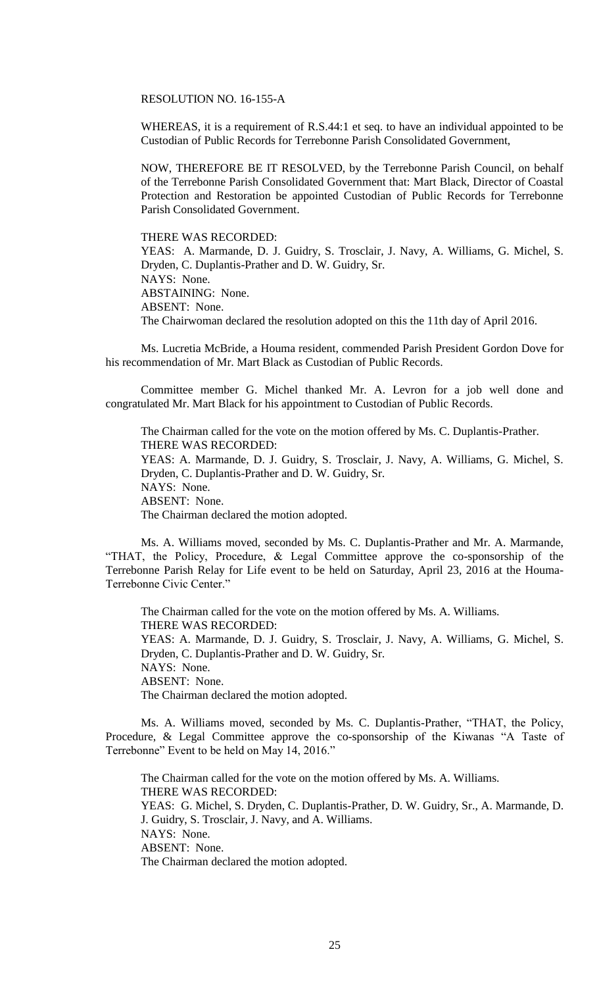RESOLUTION NO. 16-155-A

WHEREAS, it is a requirement of R.S.44:1 et seq. to have an individual appointed to be Custodian of Public Records for Terrebonne Parish Consolidated Government,

NOW, THEREFORE BE IT RESOLVED, by the Terrebonne Parish Council, on behalf of the Terrebonne Parish Consolidated Government that: Mart Black, Director of Coastal Protection and Restoration be appointed Custodian of Public Records for Terrebonne Parish Consolidated Government.

THERE WAS RECORDED:

YEAS: A. Marmande, D. J. Guidry, S. Trosclair, J. Navy, A. Williams, G. Michel, S. Dryden, C. Duplantis-Prather and D. W. Guidry, Sr. NAYS: None. ABSTAINING: None. ABSENT: None. The Chairwoman declared the resolution adopted on this the 11th day of April 2016.

Ms. Lucretia McBride, a Houma resident, commended Parish President Gordon Dove for his recommendation of Mr. Mart Black as Custodian of Public Records.

Committee member G. Michel thanked Mr. A. Levron for a job well done and congratulated Mr. Mart Black for his appointment to Custodian of Public Records.

The Chairman called for the vote on the motion offered by Ms. C. Duplantis-Prather. THERE WAS RECORDED: YEAS: A. Marmande, D. J. Guidry, S. Trosclair, J. Navy, A. Williams, G. Michel, S. Dryden, C. Duplantis-Prather and D. W. Guidry, Sr. NAYS: None. ABSENT: None. The Chairman declared the motion adopted.

Ms. A. Williams moved, seconded by Ms. C. Duplantis-Prather and Mr. A. Marmande, "THAT, the Policy, Procedure, & Legal Committee approve the co-sponsorship of the Terrebonne Parish Relay for Life event to be held on Saturday, April 23, 2016 at the Houma-Terrebonne Civic Center."

The Chairman called for the vote on the motion offered by Ms. A. Williams. THERE WAS RECORDED: YEAS: A. Marmande, D. J. Guidry, S. Trosclair, J. Navy, A. Williams, G. Michel, S. Dryden, C. Duplantis-Prather and D. W. Guidry, Sr. NAYS: None. ABSENT: None. The Chairman declared the motion adopted.

Ms. A. Williams moved, seconded by Ms. C. Duplantis-Prather, "THAT, the Policy, Procedure, & Legal Committee approve the co-sponsorship of the Kiwanas "A Taste of Terrebonne" Event to be held on May 14, 2016."

The Chairman called for the vote on the motion offered by Ms. A. Williams. THERE WAS RECORDED: YEAS: G. Michel, S. Dryden, C. Duplantis-Prather, D. W. Guidry, Sr., A. Marmande, D. J. Guidry, S. Trosclair, J. Navy, and A. Williams. NAYS: None. ABSENT: None. The Chairman declared the motion adopted.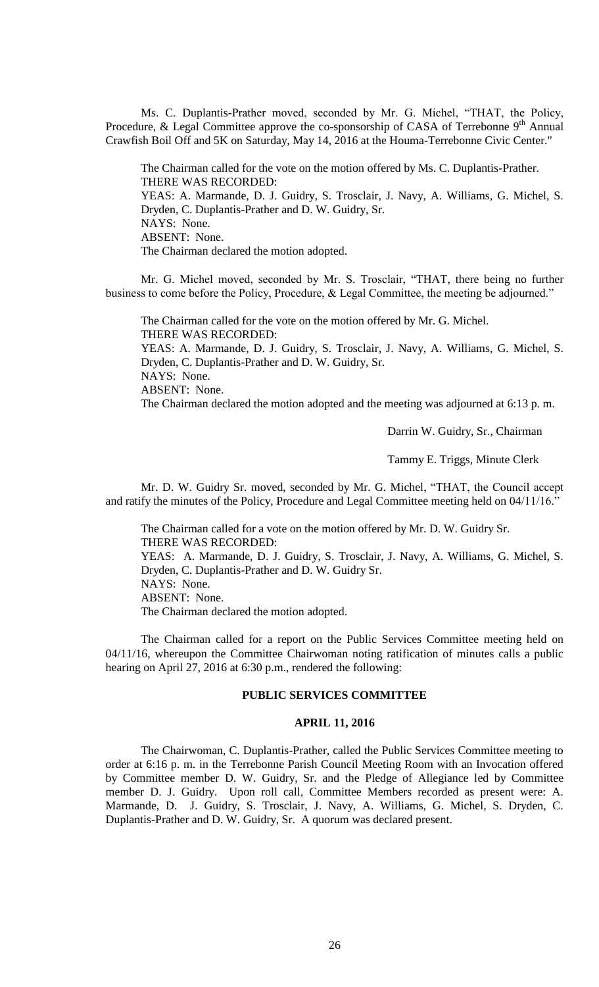Ms. C. Duplantis-Prather moved, seconded by Mr. G. Michel, "THAT, the Policy, Procedure, & Legal Committee approve the co-sponsorship of CASA of Terrebonne 9<sup>th</sup> Annual Crawfish Boil Off and 5K on Saturday, May 14, 2016 at the Houma-Terrebonne Civic Center."

The Chairman called for the vote on the motion offered by Ms. C. Duplantis-Prather. THERE WAS RECORDED: YEAS: A. Marmande, D. J. Guidry, S. Trosclair, J. Navy, A. Williams, G. Michel, S. Dryden, C. Duplantis-Prather and D. W. Guidry, Sr. NAYS: None. ABSENT: None. The Chairman declared the motion adopted.

Mr. G. Michel moved, seconded by Mr. S. Trosclair, "THAT, there being no further business to come before the Policy, Procedure, & Legal Committee, the meeting be adjourned."

The Chairman called for the vote on the motion offered by Mr. G. Michel. THERE WAS RECORDED: YEAS: A. Marmande, D. J. Guidry, S. Trosclair, J. Navy, A. Williams, G. Michel, S. Dryden, C. Duplantis-Prather and D. W. Guidry, Sr. NAYS: None. ABSENT: None.

The Chairman declared the motion adopted and the meeting was adjourned at 6:13 p. m.

Darrin W. Guidry, Sr., Chairman

Tammy E. Triggs, Minute Clerk

Mr. D. W. Guidry Sr. moved, seconded by Mr. G. Michel, "THAT, the Council accept and ratify the minutes of the Policy, Procedure and Legal Committee meeting held on 04/11/16."

The Chairman called for a vote on the motion offered by Mr. D. W. Guidry Sr. THERE WAS RECORDED: YEAS: A. Marmande, D. J. Guidry, S. Trosclair, J. Navy, A. Williams, G. Michel, S. Dryden, C. Duplantis-Prather and D. W. Guidry Sr. NAYS: None. ABSENT: None. The Chairman declared the motion adopted.

The Chairman called for a report on the Public Services Committee meeting held on 04/11/16, whereupon the Committee Chairwoman noting ratification of minutes calls a public hearing on April 27, 2016 at 6:30 p.m., rendered the following:

### **PUBLIC SERVICES COMMITTEE**

# **APRIL 11, 2016**

The Chairwoman, C. Duplantis-Prather, called the Public Services Committee meeting to order at 6:16 p. m. in the Terrebonne Parish Council Meeting Room with an Invocation offered by Committee member D. W. Guidry, Sr. and the Pledge of Allegiance led by Committee member D. J. Guidry. Upon roll call, Committee Members recorded as present were: A. Marmande, D. J. Guidry, S. Trosclair, J. Navy, A. Williams, G. Michel, S. Dryden, C. Duplantis-Prather and D. W. Guidry, Sr. A quorum was declared present.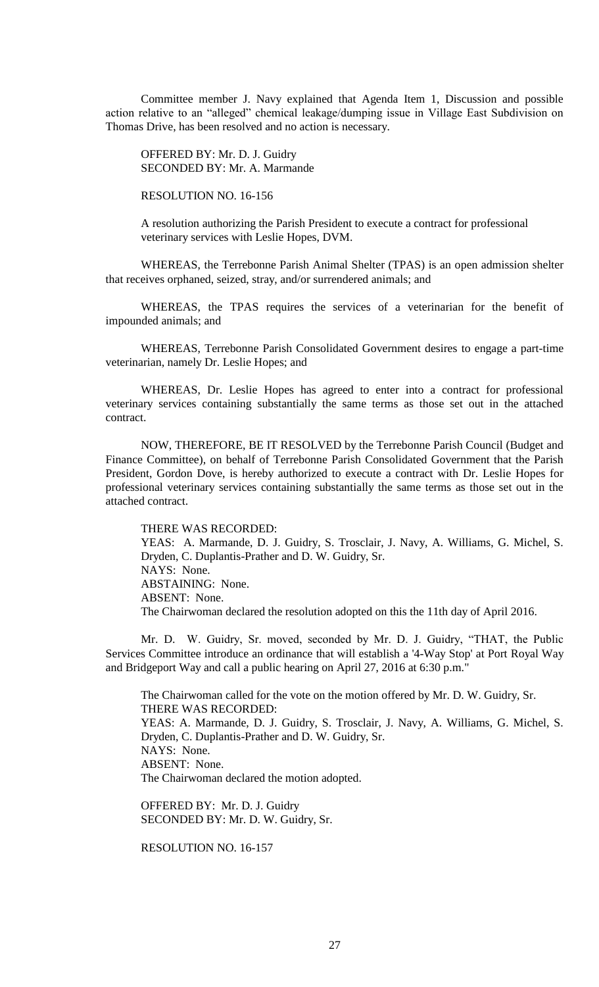Committee member J. Navy explained that Agenda Item 1, Discussion and possible action relative to an "alleged" chemical leakage/dumping issue in Village East Subdivision on Thomas Drive, has been resolved and no action is necessary.

OFFERED BY: Mr. D. J. Guidry SECONDED BY: Mr. A. Marmande

RESOLUTION NO. 16-156

A resolution authorizing the Parish President to execute a contract for professional veterinary services with Leslie Hopes, DVM.

WHEREAS, the Terrebonne Parish Animal Shelter (TPAS) is an open admission shelter that receives orphaned, seized, stray, and/or surrendered animals; and

WHEREAS, the TPAS requires the services of a veterinarian for the benefit of impounded animals; and

WHEREAS, Terrebonne Parish Consolidated Government desires to engage a part-time veterinarian, namely Dr. Leslie Hopes; and

WHEREAS, Dr. Leslie Hopes has agreed to enter into a contract for professional veterinary services containing substantially the same terms as those set out in the attached contract.

NOW, THEREFORE, BE IT RESOLVED by the Terrebonne Parish Council (Budget and Finance Committee), on behalf of Terrebonne Parish Consolidated Government that the Parish President, Gordon Dove, is hereby authorized to execute a contract with Dr. Leslie Hopes for professional veterinary services containing substantially the same terms as those set out in the attached contract.

THERE WAS RECORDED:

YEAS: A. Marmande, D. J. Guidry, S. Trosclair, J. Navy, A. Williams, G. Michel, S. Dryden, C. Duplantis-Prather and D. W. Guidry, Sr. NAYS: None. ABSTAINING: None. ABSENT: None. The Chairwoman declared the resolution adopted on this the 11th day of April 2016.

Mr. D. W. Guidry, Sr. moved, seconded by Mr. D. J. Guidry, "THAT, the Public Services Committee introduce an ordinance that will establish a '4-Way Stop' at Port Royal Way and Bridgeport Way and call a public hearing on April 27, 2016 at 6:30 p.m."

The Chairwoman called for the vote on the motion offered by Mr. D. W. Guidry, Sr. THERE WAS RECORDED: YEAS: A. Marmande, D. J. Guidry, S. Trosclair, J. Navy, A. Williams, G. Michel, S. Dryden, C. Duplantis-Prather and D. W. Guidry, Sr. NAYS: None. ABSENT: None. The Chairwoman declared the motion adopted.

OFFERED BY: Mr. D. J. Guidry SECONDED BY: Mr. D. W. Guidry, Sr.

RESOLUTION NO. 16-157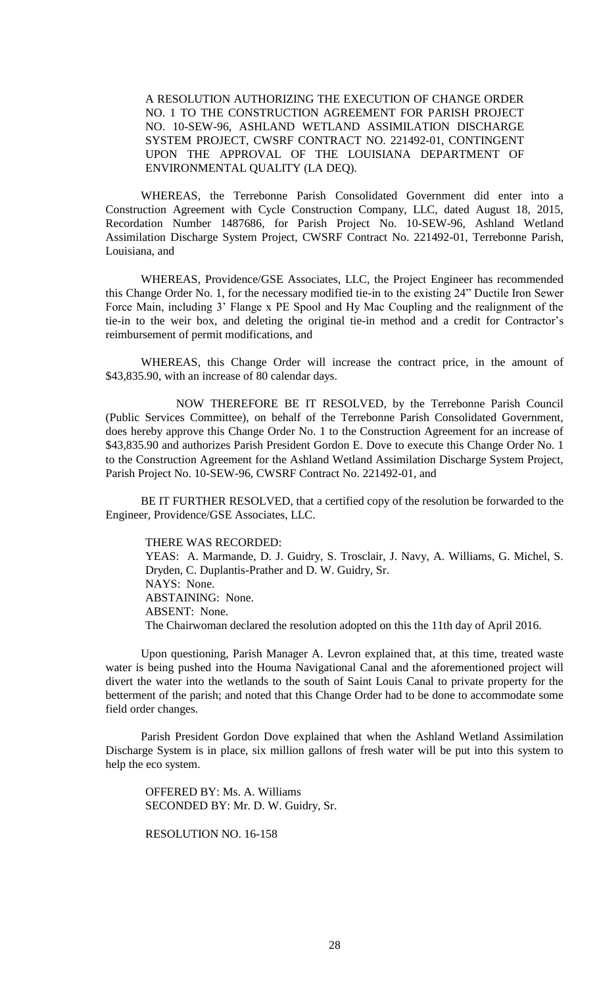A RESOLUTION AUTHORIZING THE EXECUTION OF CHANGE ORDER NO. 1 TO THE CONSTRUCTION AGREEMENT FOR PARISH PROJECT NO. 10-SEW-96, ASHLAND WETLAND ASSIMILATION DISCHARGE SYSTEM PROJECT, CWSRF CONTRACT NO. 221492-01, CONTINGENT UPON THE APPROVAL OF THE LOUISIANA DEPARTMENT OF ENVIRONMENTAL QUALITY (LA DEQ).

WHEREAS, the Terrebonne Parish Consolidated Government did enter into a Construction Agreement with Cycle Construction Company, LLC, dated August 18, 2015, Recordation Number 1487686, for Parish Project No. 10-SEW-96, Ashland Wetland Assimilation Discharge System Project, CWSRF Contract No. 221492-01, Terrebonne Parish, Louisiana, and

WHEREAS, Providence/GSE Associates, LLC, the Project Engineer has recommended this Change Order No. 1, for the necessary modified tie-in to the existing 24" Ductile Iron Sewer Force Main, including 3' Flange x PE Spool and Hy Mac Coupling and the realignment of the tie-in to the weir box, and deleting the original tie-in method and a credit for Contractor's reimbursement of permit modifications, and

WHEREAS, this Change Order will increase the contract price, in the amount of \$43,835.90, with an increase of 80 calendar days.

NOW THEREFORE BE IT RESOLVED, by the Terrebonne Parish Council (Public Services Committee), on behalf of the Terrebonne Parish Consolidated Government, does hereby approve this Change Order No. 1 to the Construction Agreement for an increase of \$43,835.90 and authorizes Parish President Gordon E. Dove to execute this Change Order No. 1 to the Construction Agreement for the Ashland Wetland Assimilation Discharge System Project, Parish Project No. 10-SEW-96, CWSRF Contract No. 221492-01, and

BE IT FURTHER RESOLVED, that a certified copy of the resolution be forwarded to the Engineer, Providence/GSE Associates, LLC.

THERE WAS RECORDED: YEAS: A. Marmande, D. J. Guidry, S. Trosclair, J. Navy, A. Williams, G. Michel, S. Dryden, C. Duplantis-Prather and D. W. Guidry, Sr. NAYS: None. ABSTAINING: None. ABSENT: None. The Chairwoman declared the resolution adopted on this the 11th day of April 2016.

Upon questioning, Parish Manager A. Levron explained that, at this time, treated waste water is being pushed into the Houma Navigational Canal and the aforementioned project will divert the water into the wetlands to the south of Saint Louis Canal to private property for the betterment of the parish; and noted that this Change Order had to be done to accommodate some field order changes.

Parish President Gordon Dove explained that when the Ashland Wetland Assimilation Discharge System is in place, six million gallons of fresh water will be put into this system to help the eco system.

OFFERED BY: Ms. A. Williams SECONDED BY: Mr. D. W. Guidry, Sr.

RESOLUTION NO. 16-158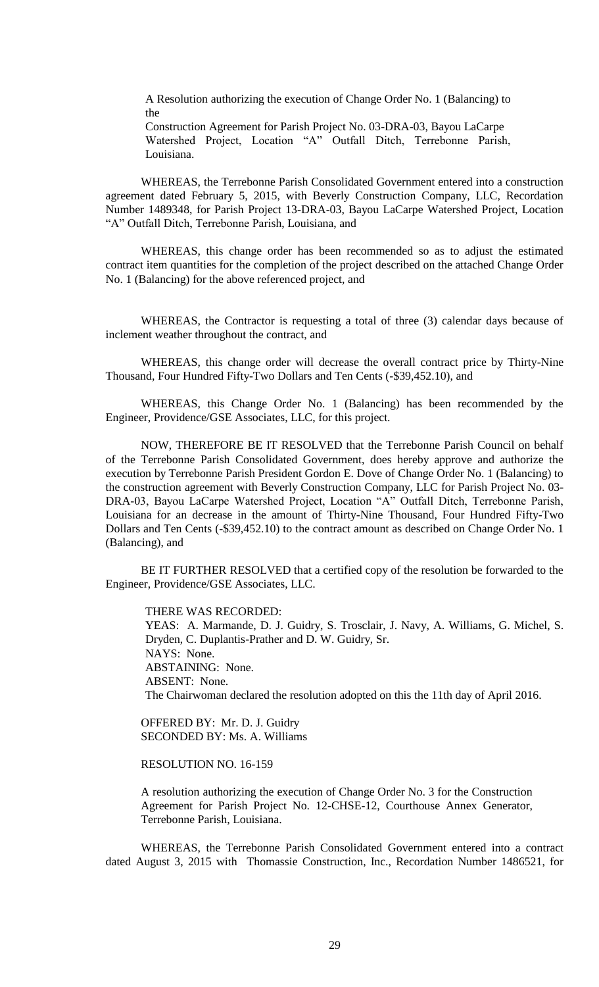A Resolution authorizing the execution of Change Order No. 1 (Balancing) to the

Construction Agreement for Parish Project No. 03-DRA-03, Bayou LaCarpe Watershed Project, Location "A" Outfall Ditch, Terrebonne Parish, Louisiana.

WHEREAS, the Terrebonne Parish Consolidated Government entered into a construction agreement dated February 5, 2015, with Beverly Construction Company, LLC, Recordation Number 1489348, for Parish Project 13-DRA-03, Bayou LaCarpe Watershed Project, Location "A" Outfall Ditch, Terrebonne Parish, Louisiana, and

WHEREAS, this change order has been recommended so as to adjust the estimated contract item quantities for the completion of the project described on the attached Change Order No. 1 (Balancing) for the above referenced project, and

WHEREAS, the Contractor is requesting a total of three (3) calendar days because of inclement weather throughout the contract, and

WHEREAS, this change order will decrease the overall contract price by Thirty-Nine Thousand, Four Hundred Fifty-Two Dollars and Ten Cents (-\$39,452.10), and

WHEREAS, this Change Order No. 1 (Balancing) has been recommended by the Engineer, Providence/GSE Associates, LLC, for this project.

NOW, THEREFORE BE IT RESOLVED that the Terrebonne Parish Council on behalf of the Terrebonne Parish Consolidated Government, does hereby approve and authorize the execution by Terrebonne Parish President Gordon E. Dove of Change Order No. 1 (Balancing) to the construction agreement with Beverly Construction Company, LLC for Parish Project No. 03- DRA-03, Bayou LaCarpe Watershed Project, Location "A" Outfall Ditch, Terrebonne Parish, Louisiana for an decrease in the amount of Thirty-Nine Thousand, Four Hundred Fifty-Two Dollars and Ten Cents (-\$39,452.10) to the contract amount as described on Change Order No. 1 (Balancing), and

BE IT FURTHER RESOLVED that a certified copy of the resolution be forwarded to the Engineer, Providence/GSE Associates, LLC.

THERE WAS RECORDED: YEAS: A. Marmande, D. J. Guidry, S. Trosclair, J. Navy, A. Williams, G. Michel, S. Dryden, C. Duplantis-Prather and D. W. Guidry, Sr. NAYS: None. ABSTAINING: None. ABSENT: None. The Chairwoman declared the resolution adopted on this the 11th day of April 2016.

OFFERED BY: Mr. D. J. Guidry SECONDED BY: Ms. A. Williams

# RESOLUTION NO. 16-159

A resolution authorizing the execution of Change Order No. 3 for the Construction Agreement for Parish Project No. 12-CHSE-12, Courthouse Annex Generator, Terrebonne Parish, Louisiana.

WHEREAS, the Terrebonne Parish Consolidated Government entered into a contract dated August 3, 2015 with Thomassie Construction, Inc., Recordation Number 1486521, for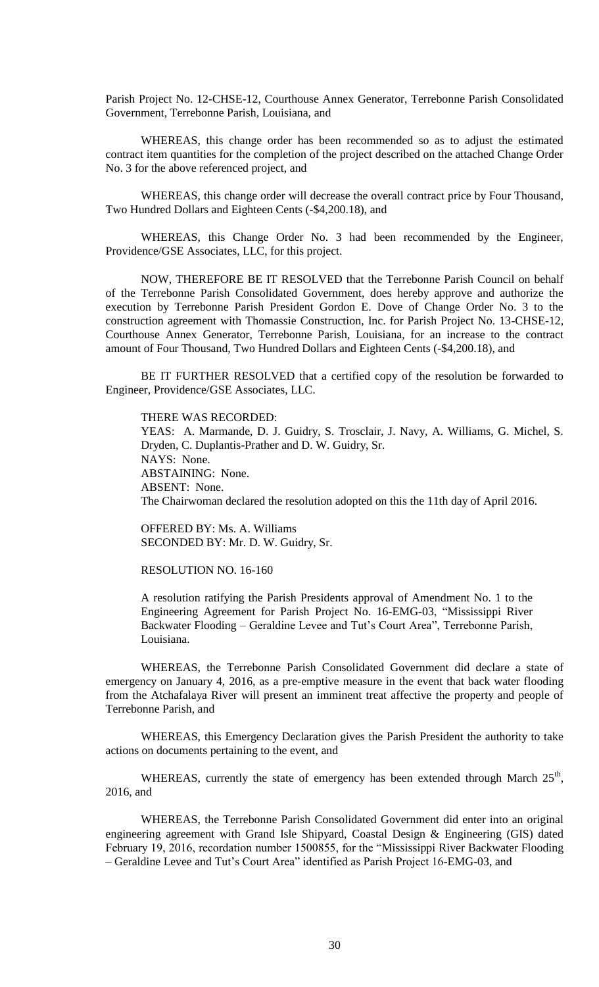Parish Project No. 12-CHSE-12, Courthouse Annex Generator, Terrebonne Parish Consolidated Government, Terrebonne Parish, Louisiana, and

WHEREAS, this change order has been recommended so as to adjust the estimated contract item quantities for the completion of the project described on the attached Change Order No. 3 for the above referenced project, and

WHEREAS, this change order will decrease the overall contract price by Four Thousand, Two Hundred Dollars and Eighteen Cents (-\$4,200.18), and

WHEREAS, this Change Order No. 3 had been recommended by the Engineer, Providence/GSE Associates, LLC, for this project.

NOW, THEREFORE BE IT RESOLVED that the Terrebonne Parish Council on behalf of the Terrebonne Parish Consolidated Government, does hereby approve and authorize the execution by Terrebonne Parish President Gordon E. Dove of Change Order No. 3 to the construction agreement with Thomassie Construction, Inc. for Parish Project No. 13-CHSE-12, Courthouse Annex Generator, Terrebonne Parish, Louisiana, for an increase to the contract amount of Four Thousand, Two Hundred Dollars and Eighteen Cents (-\$4,200.18), and

BE IT FURTHER RESOLVED that a certified copy of the resolution be forwarded to Engineer, Providence/GSE Associates, LLC.

THERE WAS RECORDED: YEAS: A. Marmande, D. J. Guidry, S. Trosclair, J. Navy, A. Williams, G. Michel, S. Dryden, C. Duplantis-Prather and D. W. Guidry, Sr. NAYS: None. ABSTAINING: None. ABSENT: None. The Chairwoman declared the resolution adopted on this the 11th day of April 2016.

OFFERED BY: Ms. A. Williams SECONDED BY: Mr. D. W. Guidry, Sr.

# RESOLUTION NO. 16-160

A resolution ratifying the Parish Presidents approval of Amendment No. 1 to the Engineering Agreement for Parish Project No. 16-EMG-03, "Mississippi River Backwater Flooding – Geraldine Levee and Tut's Court Area", Terrebonne Parish, Louisiana.

WHEREAS, the Terrebonne Parish Consolidated Government did declare a state of emergency on January 4, 2016, as a pre-emptive measure in the event that back water flooding from the Atchafalaya River will present an imminent treat affective the property and people of Terrebonne Parish, and

WHEREAS, this Emergency Declaration gives the Parish President the authority to take actions on documents pertaining to the event, and

WHEREAS, currently the state of emergency has been extended through March  $25<sup>th</sup>$ , 2016, and

WHEREAS, the Terrebonne Parish Consolidated Government did enter into an original engineering agreement with Grand Isle Shipyard, Coastal Design & Engineering (GIS) dated February 19, 2016, recordation number 1500855, for the "Mississippi River Backwater Flooding – Geraldine Levee and Tut's Court Area" identified as Parish Project 16-EMG-03, and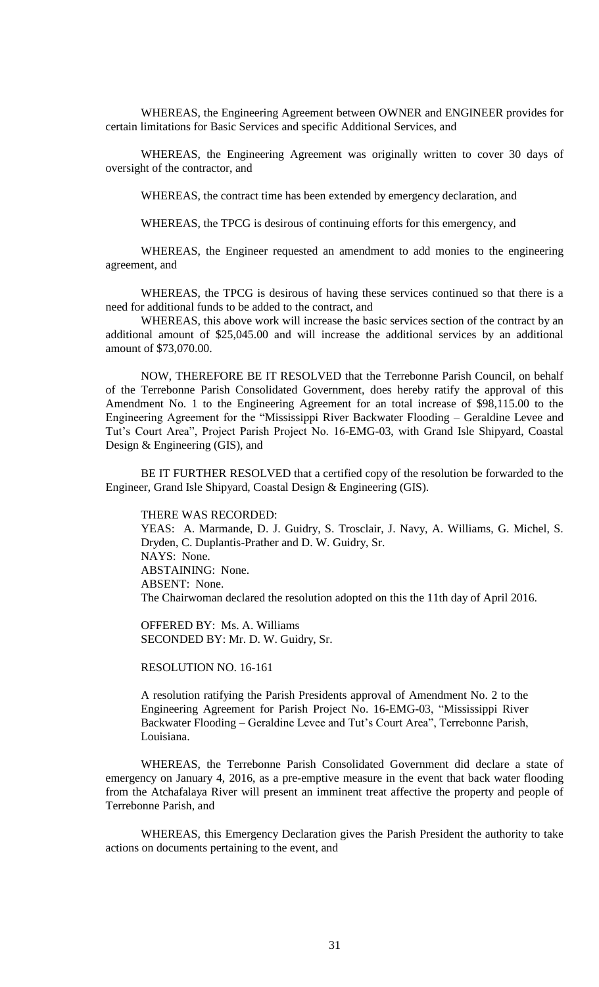WHEREAS, the Engineering Agreement between OWNER and ENGINEER provides for certain limitations for Basic Services and specific Additional Services, and

WHEREAS, the Engineering Agreement was originally written to cover 30 days of oversight of the contractor, and

WHEREAS, the contract time has been extended by emergency declaration, and

WHEREAS, the TPCG is desirous of continuing efforts for this emergency, and

WHEREAS, the Engineer requested an amendment to add monies to the engineering agreement, and

WHEREAS, the TPCG is desirous of having these services continued so that there is a need for additional funds to be added to the contract, and

WHEREAS, this above work will increase the basic services section of the contract by an additional amount of \$25,045.00 and will increase the additional services by an additional amount of \$73,070.00.

NOW, THEREFORE BE IT RESOLVED that the Terrebonne Parish Council, on behalf of the Terrebonne Parish Consolidated Government, does hereby ratify the approval of this Amendment No. 1 to the Engineering Agreement for an total increase of \$98,115.00 to the Engineering Agreement for the "Mississippi River Backwater Flooding – Geraldine Levee and Tut's Court Area", Project Parish Project No. 16-EMG-03, with Grand Isle Shipyard, Coastal Design & Engineering (GIS), and

BE IT FURTHER RESOLVED that a certified copy of the resolution be forwarded to the Engineer, Grand Isle Shipyard, Coastal Design & Engineering (GIS).

THERE WAS RECORDED:

YEAS: A. Marmande, D. J. Guidry, S. Trosclair, J. Navy, A. Williams, G. Michel, S. Dryden, C. Duplantis-Prather and D. W. Guidry, Sr. NAYS: None. ABSTAINING: None. ABSENT: None. The Chairwoman declared the resolution adopted on this the 11th day of April 2016.

OFFERED BY: Ms. A. Williams SECONDED BY: Mr. D. W. Guidry, Sr.

RESOLUTION NO. 16-161

A resolution ratifying the Parish Presidents approval of Amendment No. 2 to the Engineering Agreement for Parish Project No. 16-EMG-03, "Mississippi River Backwater Flooding – Geraldine Levee and Tut's Court Area", Terrebonne Parish, Louisiana.

WHEREAS, the Terrebonne Parish Consolidated Government did declare a state of emergency on January 4, 2016, as a pre-emptive measure in the event that back water flooding from the Atchafalaya River will present an imminent treat affective the property and people of Terrebonne Parish, and

WHEREAS, this Emergency Declaration gives the Parish President the authority to take actions on documents pertaining to the event, and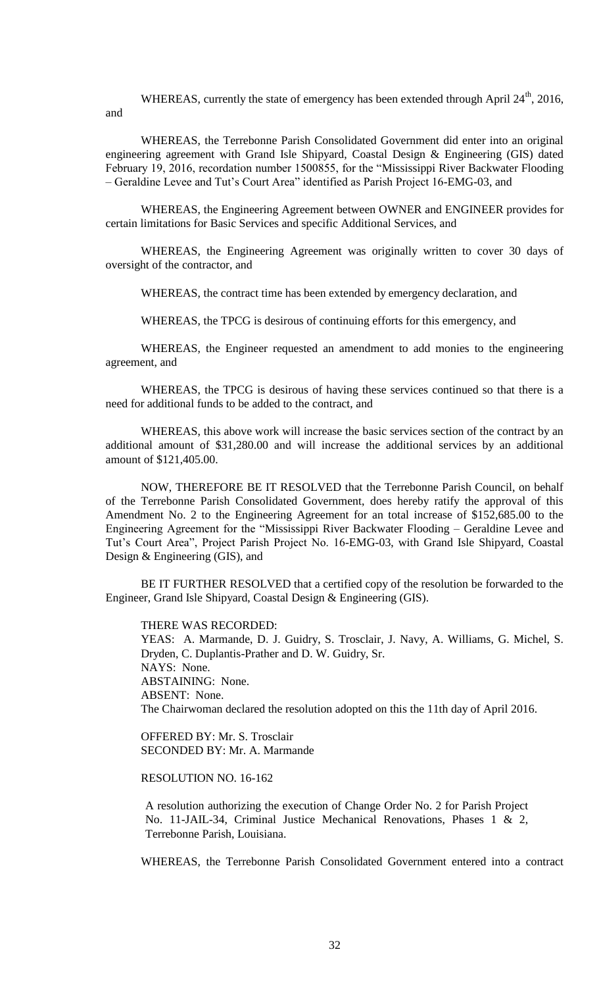WHEREAS, currently the state of emergency has been extended through April  $24<sup>th</sup>$ ,  $2016$ , and

WHEREAS, the Terrebonne Parish Consolidated Government did enter into an original engineering agreement with Grand Isle Shipyard, Coastal Design & Engineering (GIS) dated February 19, 2016, recordation number 1500855, for the "Mississippi River Backwater Flooding – Geraldine Levee and Tut's Court Area" identified as Parish Project 16-EMG-03, and

WHEREAS, the Engineering Agreement between OWNER and ENGINEER provides for certain limitations for Basic Services and specific Additional Services, and

WHEREAS, the Engineering Agreement was originally written to cover 30 days of oversight of the contractor, and

WHEREAS, the contract time has been extended by emergency declaration, and

WHEREAS, the TPCG is desirous of continuing efforts for this emergency, and

WHEREAS, the Engineer requested an amendment to add monies to the engineering agreement, and

WHEREAS, the TPCG is desirous of having these services continued so that there is a need for additional funds to be added to the contract, and

WHEREAS, this above work will increase the basic services section of the contract by an additional amount of \$31,280.00 and will increase the additional services by an additional amount of \$121,405.00.

NOW, THEREFORE BE IT RESOLVED that the Terrebonne Parish Council, on behalf of the Terrebonne Parish Consolidated Government, does hereby ratify the approval of this Amendment No. 2 to the Engineering Agreement for an total increase of \$152,685.00 to the Engineering Agreement for the "Mississippi River Backwater Flooding – Geraldine Levee and Tut's Court Area", Project Parish Project No. 16-EMG-03, with Grand Isle Shipyard, Coastal Design & Engineering (GIS), and

BE IT FURTHER RESOLVED that a certified copy of the resolution be forwarded to the Engineer, Grand Isle Shipyard, Coastal Design & Engineering (GIS).

#### THERE WAS RECORDED:

YEAS: A. Marmande, D. J. Guidry, S. Trosclair, J. Navy, A. Williams, G. Michel, S. Dryden, C. Duplantis-Prather and D. W. Guidry, Sr. NAYS: None. ABSTAINING: None. ABSENT: None. The Chairwoman declared the resolution adopted on this the 11th day of April 2016.

OFFERED BY: Mr. S. Trosclair SECONDED BY: Mr. A. Marmande

RESOLUTION NO. 16-162

A resolution authorizing the execution of Change Order No. 2 for Parish Project No. 11-JAIL-34, Criminal Justice Mechanical Renovations, Phases 1 & 2, Terrebonne Parish, Louisiana.

WHEREAS, the Terrebonne Parish Consolidated Government entered into a contract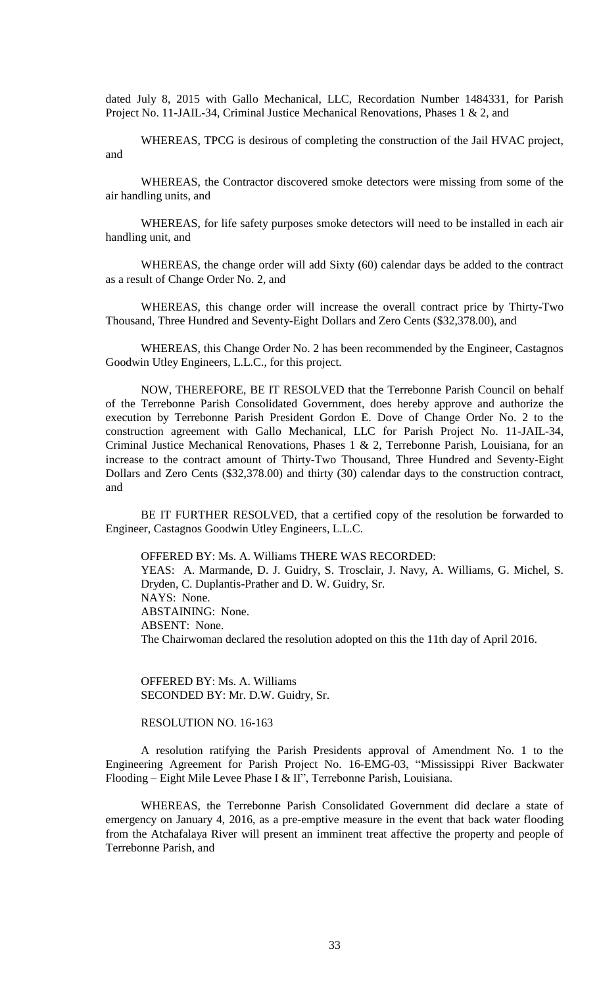dated July 8, 2015 with Gallo Mechanical, LLC, Recordation Number 1484331, for Parish Project No. 11-JAIL-34, Criminal Justice Mechanical Renovations, Phases 1 & 2, and

WHEREAS, TPCG is desirous of completing the construction of the Jail HVAC project, and

WHEREAS, the Contractor discovered smoke detectors were missing from some of the air handling units, and

WHEREAS, for life safety purposes smoke detectors will need to be installed in each air handling unit, and

WHEREAS, the change order will add Sixty (60) calendar days be added to the contract as a result of Change Order No. 2, and

WHEREAS, this change order will increase the overall contract price by Thirty-Two Thousand, Three Hundred and Seventy-Eight Dollars and Zero Cents (\$32,378.00), and

WHEREAS, this Change Order No. 2 has been recommended by the Engineer, Castagnos Goodwin Utley Engineers, L.L.C., for this project.

NOW, THEREFORE, BE IT RESOLVED that the Terrebonne Parish Council on behalf of the Terrebonne Parish Consolidated Government, does hereby approve and authorize the execution by Terrebonne Parish President Gordon E. Dove of Change Order No. 2 to the construction agreement with Gallo Mechanical, LLC for Parish Project No. 11-JAIL-34, Criminal Justice Mechanical Renovations, Phases 1 & 2, Terrebonne Parish, Louisiana, for an increase to the contract amount of Thirty-Two Thousand, Three Hundred and Seventy-Eight Dollars and Zero Cents (\$32,378.00) and thirty (30) calendar days to the construction contract, and

BE IT FURTHER RESOLVED, that a certified copy of the resolution be forwarded to Engineer, Castagnos Goodwin Utley Engineers, L.L.C.

OFFERED BY: Ms. A. Williams THERE WAS RECORDED: YEAS: A. Marmande, D. J. Guidry, S. Trosclair, J. Navy, A. Williams, G. Michel, S. Dryden, C. Duplantis-Prather and D. W. Guidry, Sr. NAYS: None. ABSTAINING: None. ABSENT: None. The Chairwoman declared the resolution adopted on this the 11th day of April 2016.

OFFERED BY: Ms. A. Williams SECONDED BY: Mr. D.W. Guidry, Sr.

RESOLUTION NO. 16-163

A resolution ratifying the Parish Presidents approval of Amendment No. 1 to the Engineering Agreement for Parish Project No. 16-EMG-03, "Mississippi River Backwater Flooding – Eight Mile Levee Phase I & II", Terrebonne Parish, Louisiana.

WHEREAS, the Terrebonne Parish Consolidated Government did declare a state of emergency on January 4, 2016, as a pre-emptive measure in the event that back water flooding from the Atchafalaya River will present an imminent treat affective the property and people of Terrebonne Parish, and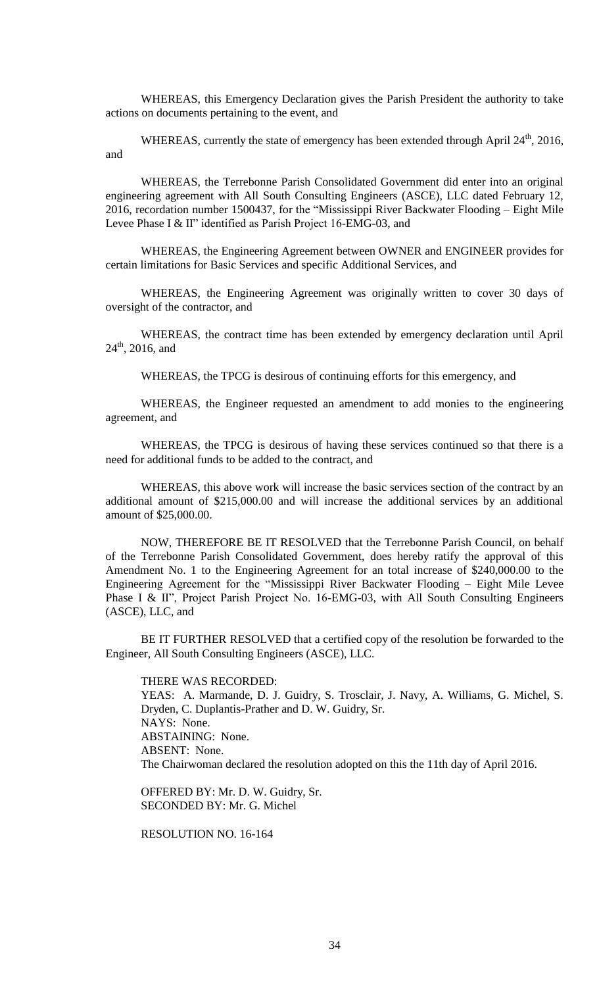WHEREAS, this Emergency Declaration gives the Parish President the authority to take actions on documents pertaining to the event, and

WHEREAS, currently the state of emergency has been extended through April  $24<sup>th</sup>$ , 2016, and

WHEREAS, the Terrebonne Parish Consolidated Government did enter into an original engineering agreement with All South Consulting Engineers (ASCE), LLC dated February 12, 2016, recordation number 1500437, for the "Mississippi River Backwater Flooding – Eight Mile Levee Phase I & II" identified as Parish Project 16-EMG-03, and

WHEREAS, the Engineering Agreement between OWNER and ENGINEER provides for certain limitations for Basic Services and specific Additional Services, and

WHEREAS, the Engineering Agreement was originally written to cover 30 days of oversight of the contractor, and

WHEREAS, the contract time has been extended by emergency declaration until April  $24<sup>th</sup>$ , 2016, and

WHEREAS, the TPCG is desirous of continuing efforts for this emergency, and

WHEREAS, the Engineer requested an amendment to add monies to the engineering agreement, and

WHEREAS, the TPCG is desirous of having these services continued so that there is a need for additional funds to be added to the contract, and

WHEREAS, this above work will increase the basic services section of the contract by an additional amount of \$215,000.00 and will increase the additional services by an additional amount of \$25,000.00.

NOW, THEREFORE BE IT RESOLVED that the Terrebonne Parish Council, on behalf of the Terrebonne Parish Consolidated Government, does hereby ratify the approval of this Amendment No. 1 to the Engineering Agreement for an total increase of \$240,000.00 to the Engineering Agreement for the "Mississippi River Backwater Flooding – Eight Mile Levee Phase I & II", Project Parish Project No. 16-EMG-03, with All South Consulting Engineers (ASCE), LLC, and

BE IT FURTHER RESOLVED that a certified copy of the resolution be forwarded to the Engineer, All South Consulting Engineers (ASCE), LLC.

THERE WAS RECORDED: YEAS: A. Marmande, D. J. Guidry, S. Trosclair, J. Navy, A. Williams, G. Michel, S. Dryden, C. Duplantis-Prather and D. W. Guidry, Sr. NAYS: None. ABSTAINING: None. ABSENT: None. The Chairwoman declared the resolution adopted on this the 11th day of April 2016.

OFFERED BY: Mr. D. W. Guidry, Sr. SECONDED BY: Mr. G. Michel

RESOLUTION NO. 16-164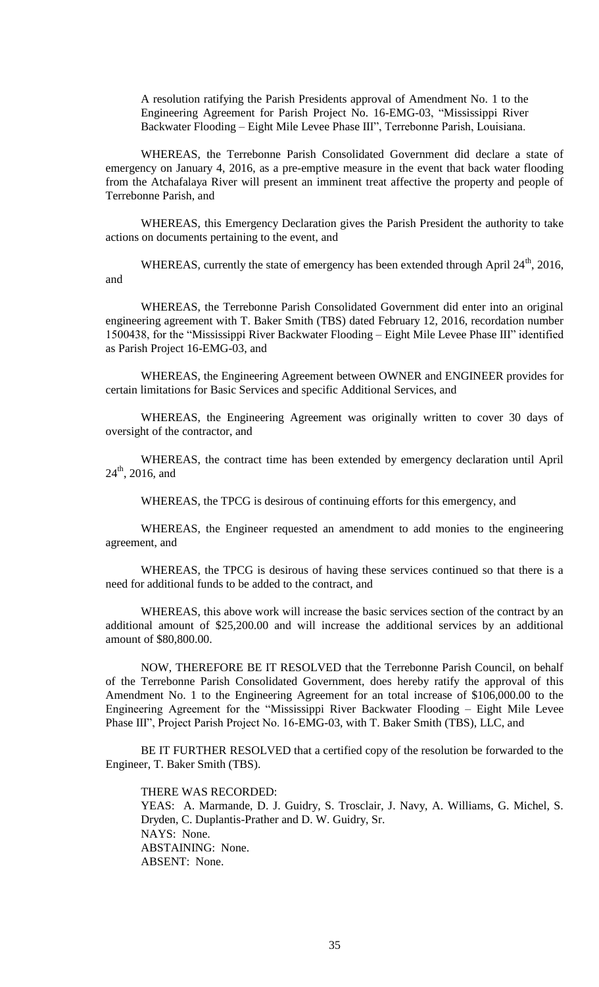A resolution ratifying the Parish Presidents approval of Amendment No. 1 to the Engineering Agreement for Parish Project No. 16-EMG-03, "Mississippi River Backwater Flooding – Eight Mile Levee Phase III", Terrebonne Parish, Louisiana.

WHEREAS, the Terrebonne Parish Consolidated Government did declare a state of emergency on January 4, 2016, as a pre-emptive measure in the event that back water flooding from the Atchafalaya River will present an imminent treat affective the property and people of Terrebonne Parish, and

WHEREAS, this Emergency Declaration gives the Parish President the authority to take actions on documents pertaining to the event, and

WHEREAS, currently the state of emergency has been extended through April 24<sup>th</sup>, 2016, and

WHEREAS, the Terrebonne Parish Consolidated Government did enter into an original engineering agreement with T. Baker Smith (TBS) dated February 12, 2016, recordation number 1500438, for the "Mississippi River Backwater Flooding – Eight Mile Levee Phase III" identified as Parish Project 16-EMG-03, and

WHEREAS, the Engineering Agreement between OWNER and ENGINEER provides for certain limitations for Basic Services and specific Additional Services, and

WHEREAS, the Engineering Agreement was originally written to cover 30 days of oversight of the contractor, and

WHEREAS, the contract time has been extended by emergency declaration until April  $24<sup>th</sup>$ , 2016, and

WHEREAS, the TPCG is desirous of continuing efforts for this emergency, and

WHEREAS, the Engineer requested an amendment to add monies to the engineering agreement, and

WHEREAS, the TPCG is desirous of having these services continued so that there is a need for additional funds to be added to the contract, and

WHEREAS, this above work will increase the basic services section of the contract by an additional amount of \$25,200.00 and will increase the additional services by an additional amount of \$80,800.00.

NOW, THEREFORE BE IT RESOLVED that the Terrebonne Parish Council, on behalf of the Terrebonne Parish Consolidated Government, does hereby ratify the approval of this Amendment No. 1 to the Engineering Agreement for an total increase of \$106,000.00 to the Engineering Agreement for the "Mississippi River Backwater Flooding – Eight Mile Levee Phase III", Project Parish Project No. 16-EMG-03, with T. Baker Smith (TBS), LLC, and

BE IT FURTHER RESOLVED that a certified copy of the resolution be forwarded to the Engineer, T. Baker Smith (TBS).

THERE WAS RECORDED:

YEAS: A. Marmande, D. J. Guidry, S. Trosclair, J. Navy, A. Williams, G. Michel, S. Dryden, C. Duplantis-Prather and D. W. Guidry, Sr. NAYS: None. ABSTAINING: None. ABSENT: None.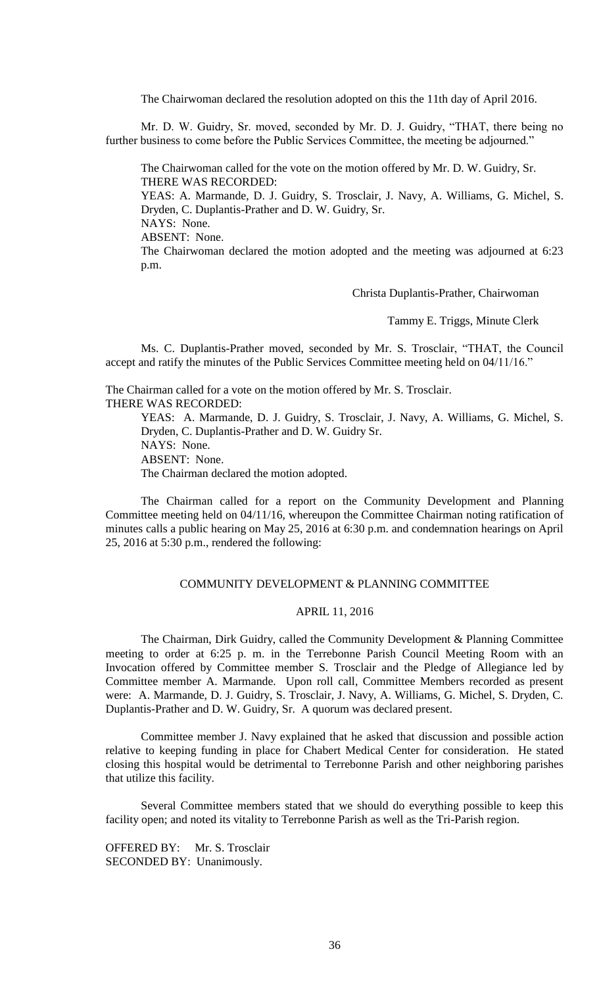The Chairwoman declared the resolution adopted on this the 11th day of April 2016.

Mr. D. W. Guidry, Sr. moved, seconded by Mr. D. J. Guidry, "THAT, there being no further business to come before the Public Services Committee, the meeting be adjourned."

The Chairwoman called for the vote on the motion offered by Mr. D. W. Guidry, Sr. THERE WAS RECORDED:

YEAS: A. Marmande, D. J. Guidry, S. Trosclair, J. Navy, A. Williams, G. Michel, S. Dryden, C. Duplantis-Prather and D. W. Guidry, Sr. NAYS: None.

ABSENT: None.

The Chairwoman declared the motion adopted and the meeting was adjourned at 6:23 p.m.

Christa Duplantis-Prather, Chairwoman

Tammy E. Triggs, Minute Clerk

Ms. C. Duplantis-Prather moved, seconded by Mr. S. Trosclair, "THAT, the Council accept and ratify the minutes of the Public Services Committee meeting held on 04/11/16."

The Chairman called for a vote on the motion offered by Mr. S. Trosclair. THERE WAS RECORDED: YEAS: A. Marmande, D. J. Guidry, S. Trosclair, J. Navy, A. Williams, G. Michel, S.

Dryden, C. Duplantis-Prather and D. W. Guidry Sr. NAYS: None. ABSENT: None. The Chairman declared the motion adopted.

The Chairman called for a report on the Community Development and Planning Committee meeting held on 04/11/16, whereupon the Committee Chairman noting ratification of minutes calls a public hearing on May 25, 2016 at 6:30 p.m. and condemnation hearings on April 25, 2016 at 5:30 p.m., rendered the following:

# COMMUNITY DEVELOPMENT & PLANNING COMMITTEE

# APRIL 11, 2016

The Chairman, Dirk Guidry, called the Community Development & Planning Committee meeting to order at 6:25 p. m. in the Terrebonne Parish Council Meeting Room with an Invocation offered by Committee member S. Trosclair and the Pledge of Allegiance led by Committee member A. Marmande. Upon roll call, Committee Members recorded as present were: A. Marmande, D. J. Guidry, S. Trosclair, J. Navy, A. Williams, G. Michel, S. Dryden, C. Duplantis-Prather and D. W. Guidry, Sr. A quorum was declared present.

Committee member J. Navy explained that he asked that discussion and possible action relative to keeping funding in place for Chabert Medical Center for consideration. He stated closing this hospital would be detrimental to Terrebonne Parish and other neighboring parishes that utilize this facility.

Several Committee members stated that we should do everything possible to keep this facility open; and noted its vitality to Terrebonne Parish as well as the Tri-Parish region.

OFFERED BY: Mr. S. Trosclair SECONDED BY: Unanimously.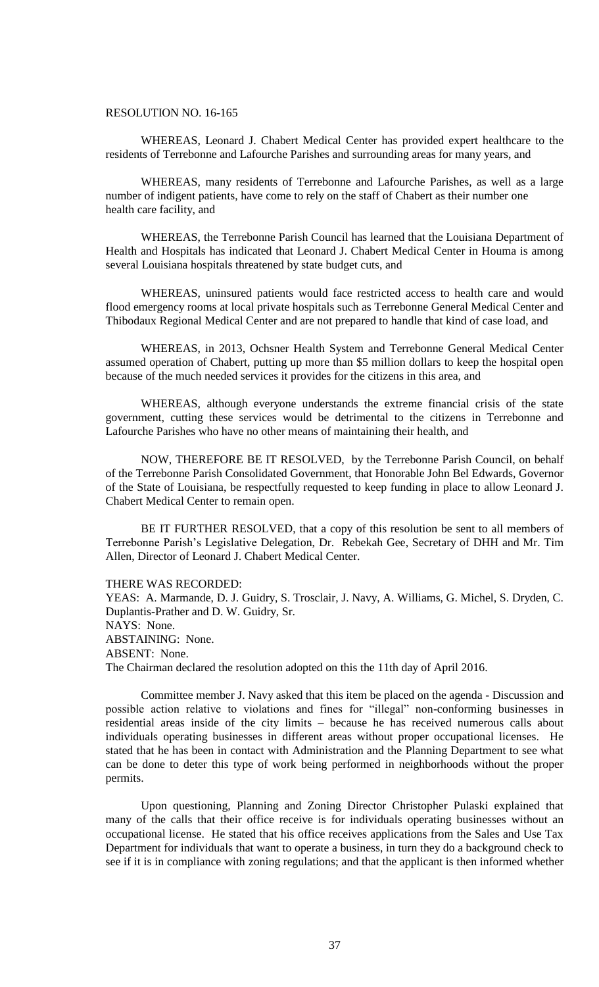### RESOLUTION NO. 16-165

WHEREAS, Leonard J. Chabert Medical Center has provided expert healthcare to the residents of Terrebonne and Lafourche Parishes and surrounding areas for many years, and

WHEREAS, many residents of Terrebonne and Lafourche Parishes, as well as a large number of indigent patients, have come to rely on the staff of Chabert as their number one health care facility, and

WHEREAS, the Terrebonne Parish Council has learned that the Louisiana Department of Health and Hospitals has indicated that Leonard J. Chabert Medical Center in Houma is among several Louisiana hospitals threatened by state budget cuts, and

WHEREAS, uninsured patients would face restricted access to health care and would flood emergency rooms at local private hospitals such as Terrebonne General Medical Center and Thibodaux Regional Medical Center and are not prepared to handle that kind of case load, and

WHEREAS, in 2013, Ochsner Health System and Terrebonne General Medical Center assumed operation of Chabert, putting up more than \$5 million dollars to keep the hospital open because of the much needed services it provides for the citizens in this area, and

WHEREAS, although everyone understands the extreme financial crisis of the state government, cutting these services would be detrimental to the citizens in Terrebonne and Lafourche Parishes who have no other means of maintaining their health, and

NOW, THEREFORE BE IT RESOLVED, by the Terrebonne Parish Council, on behalf of the Terrebonne Parish Consolidated Government, that Honorable John Bel Edwards, Governor of the State of Louisiana, be respectfully requested to keep funding in place to allow Leonard J. Chabert Medical Center to remain open.

BE IT FURTHER RESOLVED, that a copy of this resolution be sent to all members of Terrebonne Parish's Legislative Delegation, Dr. Rebekah Gee, Secretary of DHH and Mr. Tim Allen, Director of Leonard J. Chabert Medical Center.

#### THERE WAS RECORDED:

YEAS: A. Marmande, D. J. Guidry, S. Trosclair, J. Navy, A. Williams, G. Michel, S. Dryden, C. Duplantis-Prather and D. W. Guidry, Sr. NAYS: None. ABSTAINING: None. ABSENT: None. The Chairman declared the resolution adopted on this the 11th day of April 2016.

Committee member J. Navy asked that this item be placed on the agenda - Discussion and possible action relative to violations and fines for "illegal" non-conforming businesses in residential areas inside of the city limits – because he has received numerous calls about individuals operating businesses in different areas without proper occupational licenses. He stated that he has been in contact with Administration and the Planning Department to see what can be done to deter this type of work being performed in neighborhoods without the proper permits.

Upon questioning, Planning and Zoning Director Christopher Pulaski explained that many of the calls that their office receive is for individuals operating businesses without an occupational license. He stated that his office receives applications from the Sales and Use Tax Department for individuals that want to operate a business, in turn they do a background check to see if it is in compliance with zoning regulations; and that the applicant is then informed whether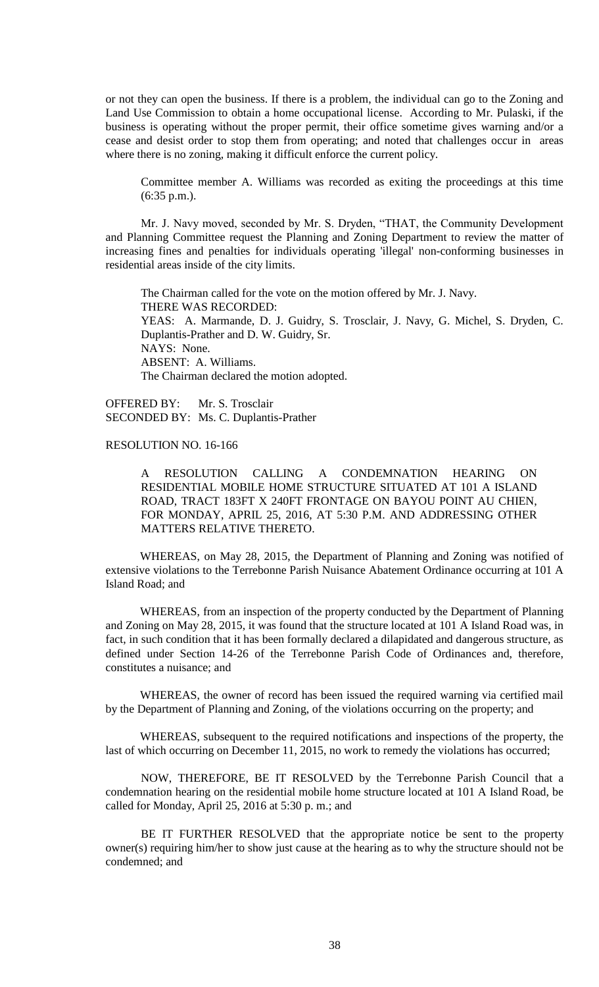or not they can open the business. If there is a problem, the individual can go to the Zoning and Land Use Commission to obtain a home occupational license. According to Mr. Pulaski, if the business is operating without the proper permit, their office sometime gives warning and/or a cease and desist order to stop them from operating; and noted that challenges occur in areas where there is no zoning, making it difficult enforce the current policy.

Committee member A. Williams was recorded as exiting the proceedings at this time (6:35 p.m.).

Mr. J. Navy moved, seconded by Mr. S. Dryden, "THAT, the Community Development and Planning Committee request the Planning and Zoning Department to review the matter of increasing fines and penalties for individuals operating 'illegal' non-conforming businesses in residential areas inside of the city limits.

The Chairman called for the vote on the motion offered by Mr. J. Navy. THERE WAS RECORDED: YEAS: A. Marmande, D. J. Guidry, S. Trosclair, J. Navy, G. Michel, S. Dryden, C. Duplantis-Prather and D. W. Guidry, Sr. NAYS: None. ABSENT: A. Williams. The Chairman declared the motion adopted.

OFFERED BY: Mr. S. Trosclair SECONDED BY: Ms. C. Duplantis-Prather

# RESOLUTION NO. 16-166

A RESOLUTION CALLING A CONDEMNATION HEARING ON RESIDENTIAL MOBILE HOME STRUCTURE SITUATED AT 101 A ISLAND ROAD, TRACT 183FT X 240FT FRONTAGE ON BAYOU POINT AU CHIEN, FOR MONDAY, APRIL 25, 2016, AT 5:30 P.M. AND ADDRESSING OTHER MATTERS RELATIVE THERETO.

WHEREAS, on May 28, 2015, the Department of Planning and Zoning was notified of extensive violations to the Terrebonne Parish Nuisance Abatement Ordinance occurring at 101 A Island Road; and

WHEREAS, from an inspection of the property conducted by the Department of Planning and Zoning on May 28, 2015, it was found that the structure located at 101 A Island Road was, in fact, in such condition that it has been formally declared a dilapidated and dangerous structure, as defined under Section 14-26 of the Terrebonne Parish Code of Ordinances and, therefore, constitutes a nuisance; and

WHEREAS, the owner of record has been issued the required warning via certified mail by the Department of Planning and Zoning, of the violations occurring on the property; and

WHEREAS, subsequent to the required notifications and inspections of the property, the last of which occurring on December 11, 2015, no work to remedy the violations has occurred;

NOW, THEREFORE, BE IT RESOLVED by the Terrebonne Parish Council that a condemnation hearing on the residential mobile home structure located at 101 A Island Road, be called for Monday, April 25, 2016 at 5:30 p. m.; and

BE IT FURTHER RESOLVED that the appropriate notice be sent to the property owner(s) requiring him/her to show just cause at the hearing as to why the structure should not be condemned; and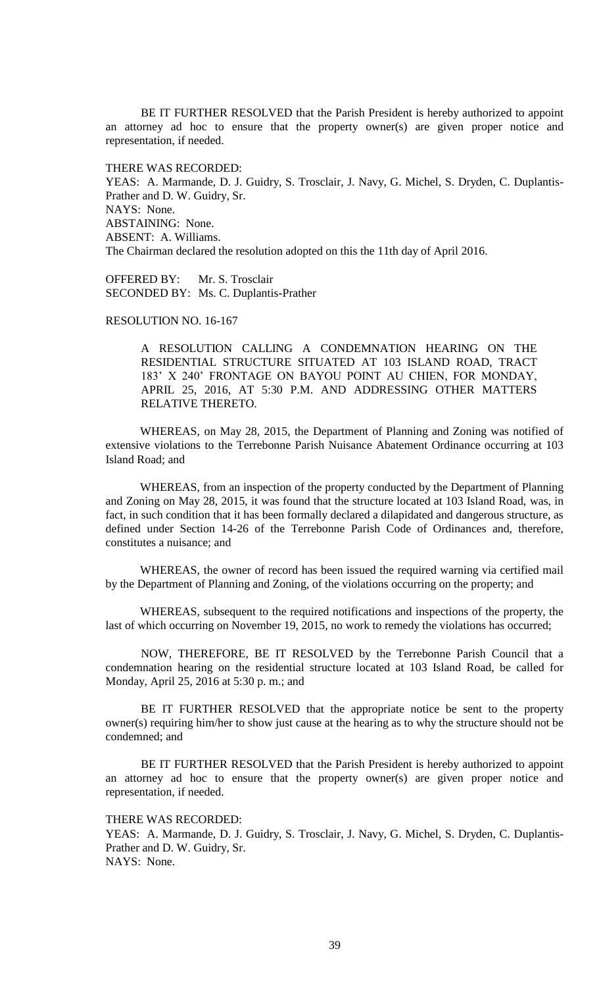BE IT FURTHER RESOLVED that the Parish President is hereby authorized to appoint an attorney ad hoc to ensure that the property owner(s) are given proper notice and representation, if needed.

THERE WAS RECORDED:

YEAS: A. Marmande, D. J. Guidry, S. Trosclair, J. Navy, G. Michel, S. Dryden, C. Duplantis-Prather and D. W. Guidry, Sr. NAYS: None. ABSTAINING: None. ABSENT: A. Williams. The Chairman declared the resolution adopted on this the 11th day of April 2016.

OFFERED BY: Mr. S. Trosclair SECONDED BY: Ms. C. Duplantis-Prather

# RESOLUTION NO. 16-167

A RESOLUTION CALLING A CONDEMNATION HEARING ON THE RESIDENTIAL STRUCTURE SITUATED AT 103 ISLAND ROAD, TRACT 183' X 240' FRONTAGE ON BAYOU POINT AU CHIEN, FOR MONDAY, APRIL 25, 2016, AT 5:30 P.M. AND ADDRESSING OTHER MATTERS RELATIVE THERETO.

WHEREAS, on May 28, 2015, the Department of Planning and Zoning was notified of extensive violations to the Terrebonne Parish Nuisance Abatement Ordinance occurring at 103 Island Road; and

WHEREAS, from an inspection of the property conducted by the Department of Planning and Zoning on May 28, 2015, it was found that the structure located at 103 Island Road, was, in fact, in such condition that it has been formally declared a dilapidated and dangerous structure, as defined under Section 14-26 of the Terrebonne Parish Code of Ordinances and, therefore, constitutes a nuisance; and

WHEREAS, the owner of record has been issued the required warning via certified mail by the Department of Planning and Zoning, of the violations occurring on the property; and

WHEREAS, subsequent to the required notifications and inspections of the property, the last of which occurring on November 19, 2015, no work to remedy the violations has occurred;

NOW, THEREFORE, BE IT RESOLVED by the Terrebonne Parish Council that a condemnation hearing on the residential structure located at 103 Island Road, be called for Monday, April 25, 2016 at 5:30 p. m.; and

BE IT FURTHER RESOLVED that the appropriate notice be sent to the property owner(s) requiring him/her to show just cause at the hearing as to why the structure should not be condemned; and

BE IT FURTHER RESOLVED that the Parish President is hereby authorized to appoint an attorney ad hoc to ensure that the property owner(s) are given proper notice and representation, if needed.

THERE WAS RECORDED:

YEAS: A. Marmande, D. J. Guidry, S. Trosclair, J. Navy, G. Michel, S. Dryden, C. Duplantis-Prather and D. W. Guidry, Sr. NAYS: None.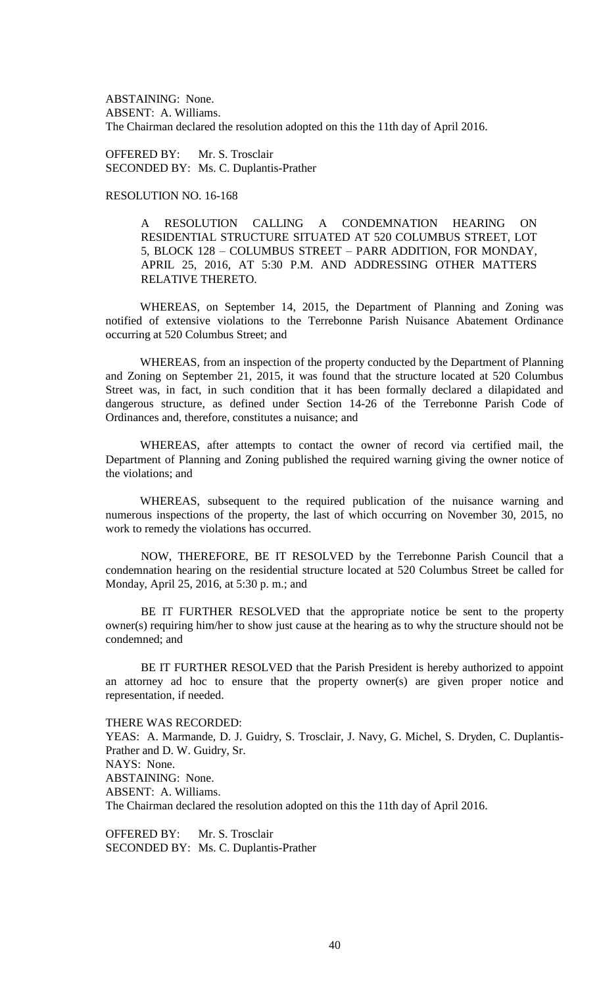ABSTAINING: None. ABSENT: A. Williams. The Chairman declared the resolution adopted on this the 11th day of April 2016.

OFFERED BY: Mr. S. Trosclair SECONDED BY: Ms. C. Duplantis-Prather

# RESOLUTION NO. 16-168

A RESOLUTION CALLING A CONDEMNATION HEARING ON RESIDENTIAL STRUCTURE SITUATED AT 520 COLUMBUS STREET, LOT 5, BLOCK 128 – COLUMBUS STREET – PARR ADDITION, FOR MONDAY, APRIL 25, 2016, AT 5:30 P.M. AND ADDRESSING OTHER MATTERS RELATIVE THERETO.

WHEREAS, on September 14, 2015, the Department of Planning and Zoning was notified of extensive violations to the Terrebonne Parish Nuisance Abatement Ordinance occurring at 520 Columbus Street; and

WHEREAS, from an inspection of the property conducted by the Department of Planning and Zoning on September 21, 2015, it was found that the structure located at 520 Columbus Street was, in fact, in such condition that it has been formally declared a dilapidated and dangerous structure, as defined under Section 14-26 of the Terrebonne Parish Code of Ordinances and, therefore, constitutes a nuisance; and

WHEREAS, after attempts to contact the owner of record via certified mail, the Department of Planning and Zoning published the required warning giving the owner notice of the violations; and

WHEREAS, subsequent to the required publication of the nuisance warning and numerous inspections of the property, the last of which occurring on November 30, 2015, no work to remedy the violations has occurred.

NOW, THEREFORE, BE IT RESOLVED by the Terrebonne Parish Council that a condemnation hearing on the residential structure located at 520 Columbus Street be called for Monday, April 25, 2016, at 5:30 p. m.; and

BE IT FURTHER RESOLVED that the appropriate notice be sent to the property owner(s) requiring him/her to show just cause at the hearing as to why the structure should not be condemned; and

BE IT FURTHER RESOLVED that the Parish President is hereby authorized to appoint an attorney ad hoc to ensure that the property owner(s) are given proper notice and representation, if needed.

THERE WAS RECORDED:

YEAS: A. Marmande, D. J. Guidry, S. Trosclair, J. Navy, G. Michel, S. Dryden, C. Duplantis-Prather and D. W. Guidry, Sr. NAYS: None. ABSTAINING: None. ABSENT: A. Williams. The Chairman declared the resolution adopted on this the 11th day of April 2016.

OFFERED BY: Mr. S. Trosclair SECONDED BY: Ms. C. Duplantis-Prather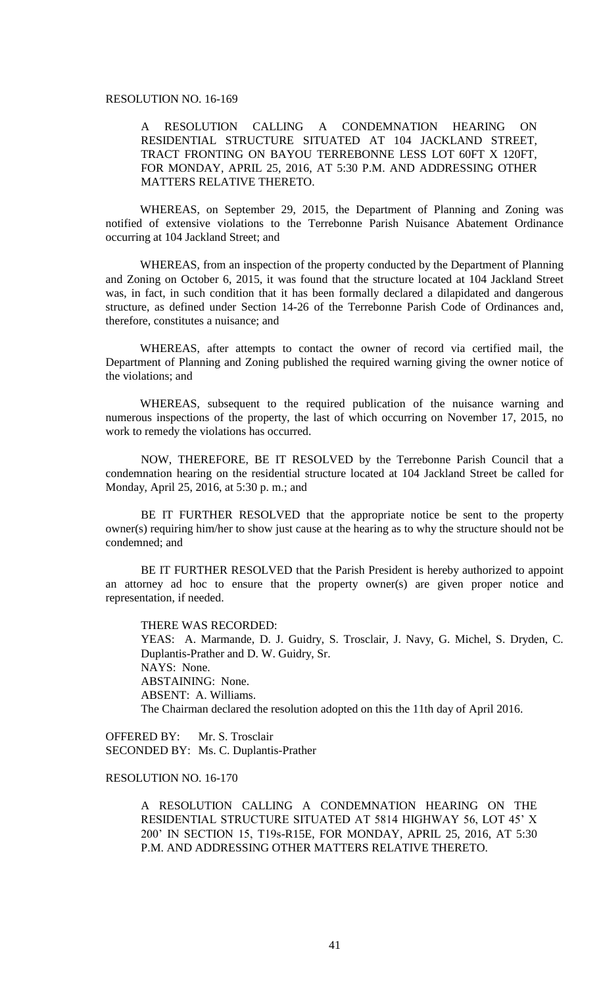### RESOLUTION NO. 16-169

A RESOLUTION CALLING A CONDEMNATION HEARING ON RESIDENTIAL STRUCTURE SITUATED AT 104 JACKLAND STREET, TRACT FRONTING ON BAYOU TERREBONNE LESS LOT 60FT X 120FT, FOR MONDAY, APRIL 25, 2016, AT 5:30 P.M. AND ADDRESSING OTHER MATTERS RELATIVE THERETO.

WHEREAS, on September 29, 2015, the Department of Planning and Zoning was notified of extensive violations to the Terrebonne Parish Nuisance Abatement Ordinance occurring at 104 Jackland Street; and

WHEREAS, from an inspection of the property conducted by the Department of Planning and Zoning on October 6, 2015, it was found that the structure located at 104 Jackland Street was, in fact, in such condition that it has been formally declared a dilapidated and dangerous structure, as defined under Section 14-26 of the Terrebonne Parish Code of Ordinances and, therefore, constitutes a nuisance; and

WHEREAS, after attempts to contact the owner of record via certified mail, the Department of Planning and Zoning published the required warning giving the owner notice of the violations; and

WHEREAS, subsequent to the required publication of the nuisance warning and numerous inspections of the property, the last of which occurring on November 17, 2015, no work to remedy the violations has occurred.

NOW, THEREFORE, BE IT RESOLVED by the Terrebonne Parish Council that a condemnation hearing on the residential structure located at 104 Jackland Street be called for Monday, April 25, 2016, at 5:30 p. m.; and

BE IT FURTHER RESOLVED that the appropriate notice be sent to the property owner(s) requiring him/her to show just cause at the hearing as to why the structure should not be condemned; and

BE IT FURTHER RESOLVED that the Parish President is hereby authorized to appoint an attorney ad hoc to ensure that the property owner(s) are given proper notice and representation, if needed.

THERE WAS RECORDED: YEAS: A. Marmande, D. J. Guidry, S. Trosclair, J. Navy, G. Michel, S. Dryden, C. Duplantis-Prather and D. W. Guidry, Sr. NAYS: None. ABSTAINING: None. ABSENT: A. Williams. The Chairman declared the resolution adopted on this the 11th day of April 2016.

OFFERED BY: Mr. S. Trosclair SECONDED BY: Ms. C. Duplantis-Prather

# RESOLUTION NO. 16-170

A RESOLUTION CALLING A CONDEMNATION HEARING ON THE RESIDENTIAL STRUCTURE SITUATED AT 5814 HIGHWAY 56, LOT 45' X 200' IN SECTION 15, T19s-R15E, FOR MONDAY, APRIL 25, 2016, AT 5:30 P.M. AND ADDRESSING OTHER MATTERS RELATIVE THERETO.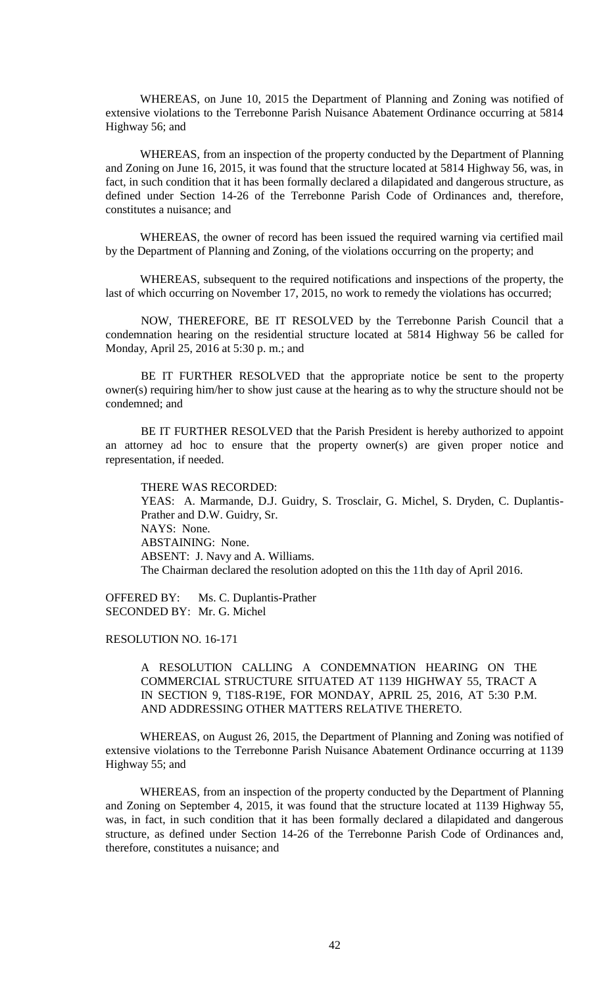WHEREAS, on June 10, 2015 the Department of Planning and Zoning was notified of extensive violations to the Terrebonne Parish Nuisance Abatement Ordinance occurring at 5814 Highway 56; and

WHEREAS, from an inspection of the property conducted by the Department of Planning and Zoning on June 16, 2015, it was found that the structure located at 5814 Highway 56, was, in fact, in such condition that it has been formally declared a dilapidated and dangerous structure, as defined under Section 14-26 of the Terrebonne Parish Code of Ordinances and, therefore, constitutes a nuisance; and

WHEREAS, the owner of record has been issued the required warning via certified mail by the Department of Planning and Zoning, of the violations occurring on the property; and

WHEREAS, subsequent to the required notifications and inspections of the property, the last of which occurring on November 17, 2015, no work to remedy the violations has occurred;

NOW, THEREFORE, BE IT RESOLVED by the Terrebonne Parish Council that a condemnation hearing on the residential structure located at 5814 Highway 56 be called for Monday, April 25, 2016 at 5:30 p. m.; and

BE IT FURTHER RESOLVED that the appropriate notice be sent to the property owner(s) requiring him/her to show just cause at the hearing as to why the structure should not be condemned; and

BE IT FURTHER RESOLVED that the Parish President is hereby authorized to appoint an attorney ad hoc to ensure that the property owner(s) are given proper notice and representation, if needed.

THERE WAS RECORDED: YEAS: A. Marmande, D.J. Guidry, S. Trosclair, G. Michel, S. Dryden, C. Duplantis-Prather and D.W. Guidry, Sr. NAYS: None. ABSTAINING: None. ABSENT: J. Navy and A. Williams. The Chairman declared the resolution adopted on this the 11th day of April 2016.

OFFERED BY: Ms. C. Duplantis-Prather SECONDED BY: Mr. G. Michel

RESOLUTION NO. 16-171

A RESOLUTION CALLING A CONDEMNATION HEARING ON THE COMMERCIAL STRUCTURE SITUATED AT 1139 HIGHWAY 55, TRACT A IN SECTION 9, T18S-R19E, FOR MONDAY, APRIL 25, 2016, AT 5:30 P.M. AND ADDRESSING OTHER MATTERS RELATIVE THERETO.

WHEREAS, on August 26, 2015, the Department of Planning and Zoning was notified of extensive violations to the Terrebonne Parish Nuisance Abatement Ordinance occurring at 1139 Highway 55; and

WHEREAS, from an inspection of the property conducted by the Department of Planning and Zoning on September 4, 2015, it was found that the structure located at 1139 Highway 55, was, in fact, in such condition that it has been formally declared a dilapidated and dangerous structure, as defined under Section 14-26 of the Terrebonne Parish Code of Ordinances and, therefore, constitutes a nuisance; and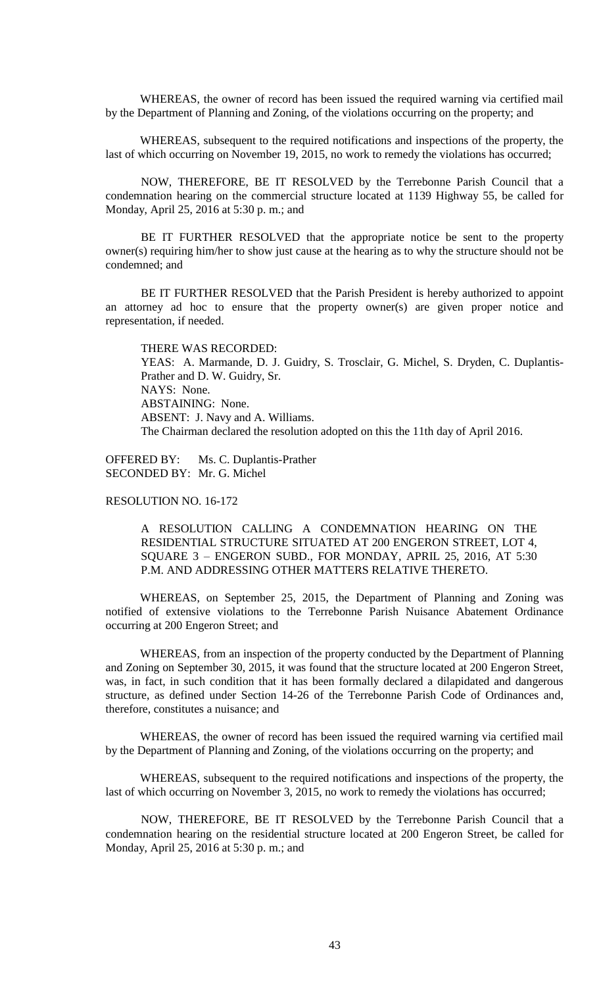WHEREAS, the owner of record has been issued the required warning via certified mail by the Department of Planning and Zoning, of the violations occurring on the property; and

WHEREAS, subsequent to the required notifications and inspections of the property, the last of which occurring on November 19, 2015, no work to remedy the violations has occurred;

NOW, THEREFORE, BE IT RESOLVED by the Terrebonne Parish Council that a condemnation hearing on the commercial structure located at 1139 Highway 55, be called for Monday, April 25, 2016 at 5:30 p. m.; and

BE IT FURTHER RESOLVED that the appropriate notice be sent to the property owner(s) requiring him/her to show just cause at the hearing as to why the structure should not be condemned; and

BE IT FURTHER RESOLVED that the Parish President is hereby authorized to appoint an attorney ad hoc to ensure that the property owner(s) are given proper notice and representation, if needed.

THERE WAS RECORDED: YEAS: A. Marmande, D. J. Guidry, S. Trosclair, G. Michel, S. Dryden, C. Duplantis-Prather and D. W. Guidry, Sr. NAYS: None. ABSTAINING: None. ABSENT: J. Navy and A. Williams. The Chairman declared the resolution adopted on this the 11th day of April 2016.

OFFERED BY: Ms. C. Duplantis-Prather SECONDED BY: Mr. G. Michel

# RESOLUTION NO. 16-172

A RESOLUTION CALLING A CONDEMNATION HEARING ON THE RESIDENTIAL STRUCTURE SITUATED AT 200 ENGERON STREET, LOT 4, SQUARE 3 – ENGERON SUBD., FOR MONDAY, APRIL 25, 2016, AT 5:30 P.M. AND ADDRESSING OTHER MATTERS RELATIVE THERETO.

WHEREAS, on September 25, 2015, the Department of Planning and Zoning was notified of extensive violations to the Terrebonne Parish Nuisance Abatement Ordinance occurring at 200 Engeron Street; and

WHEREAS, from an inspection of the property conducted by the Department of Planning and Zoning on September 30, 2015, it was found that the structure located at 200 Engeron Street, was, in fact, in such condition that it has been formally declared a dilapidated and dangerous structure, as defined under Section 14-26 of the Terrebonne Parish Code of Ordinances and, therefore, constitutes a nuisance; and

WHEREAS, the owner of record has been issued the required warning via certified mail by the Department of Planning and Zoning, of the violations occurring on the property; and

WHEREAS, subsequent to the required notifications and inspections of the property, the last of which occurring on November 3, 2015, no work to remedy the violations has occurred;

NOW, THEREFORE, BE IT RESOLVED by the Terrebonne Parish Council that a condemnation hearing on the residential structure located at 200 Engeron Street, be called for Monday, April 25, 2016 at 5:30 p. m.; and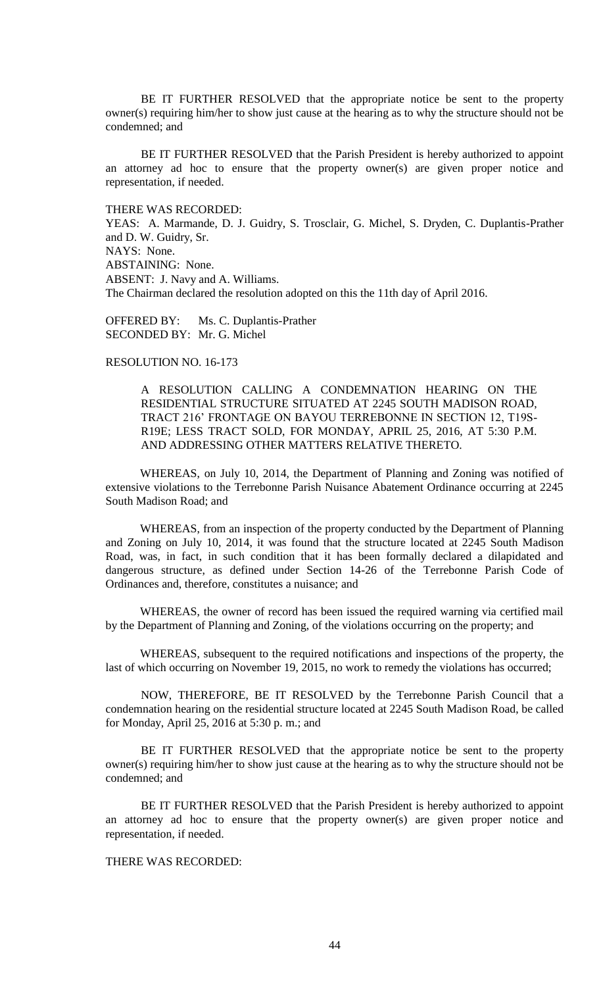BE IT FURTHER RESOLVED that the appropriate notice be sent to the property owner(s) requiring him/her to show just cause at the hearing as to why the structure should not be condemned; and

BE IT FURTHER RESOLVED that the Parish President is hereby authorized to appoint an attorney ad hoc to ensure that the property owner(s) are given proper notice and representation, if needed.

THERE WAS RECORDED: YEAS: A. Marmande, D. J. Guidry, S. Trosclair, G. Michel, S. Dryden, C. Duplantis-Prather and D. W. Guidry, Sr. NAYS: None. ABSTAINING: None. ABSENT: J. Navy and A. Williams. The Chairman declared the resolution adopted on this the 11th day of April 2016.

OFFERED BY: Ms. C. Duplantis-Prather SECONDED BY: Mr. G. Michel

## RESOLUTION NO. 16-173

A RESOLUTION CALLING A CONDEMNATION HEARING ON THE RESIDENTIAL STRUCTURE SITUATED AT 2245 SOUTH MADISON ROAD, TRACT 216' FRONTAGE ON BAYOU TERREBONNE IN SECTION 12, T19S-R19E; LESS TRACT SOLD, FOR MONDAY, APRIL 25, 2016, AT 5:30 P.M. AND ADDRESSING OTHER MATTERS RELATIVE THERETO.

WHEREAS, on July 10, 2014, the Department of Planning and Zoning was notified of extensive violations to the Terrebonne Parish Nuisance Abatement Ordinance occurring at 2245 South Madison Road; and

WHEREAS, from an inspection of the property conducted by the Department of Planning and Zoning on July 10, 2014, it was found that the structure located at 2245 South Madison Road, was, in fact, in such condition that it has been formally declared a dilapidated and dangerous structure, as defined under Section 14-26 of the Terrebonne Parish Code of Ordinances and, therefore, constitutes a nuisance; and

WHEREAS, the owner of record has been issued the required warning via certified mail by the Department of Planning and Zoning, of the violations occurring on the property; and

WHEREAS, subsequent to the required notifications and inspections of the property, the last of which occurring on November 19, 2015, no work to remedy the violations has occurred;

NOW, THEREFORE, BE IT RESOLVED by the Terrebonne Parish Council that a condemnation hearing on the residential structure located at 2245 South Madison Road, be called for Monday, April 25, 2016 at 5:30 p. m.; and

BE IT FURTHER RESOLVED that the appropriate notice be sent to the property owner(s) requiring him/her to show just cause at the hearing as to why the structure should not be condemned; and

BE IT FURTHER RESOLVED that the Parish President is hereby authorized to appoint an attorney ad hoc to ensure that the property owner(s) are given proper notice and representation, if needed.

# THERE WAS RECORDED: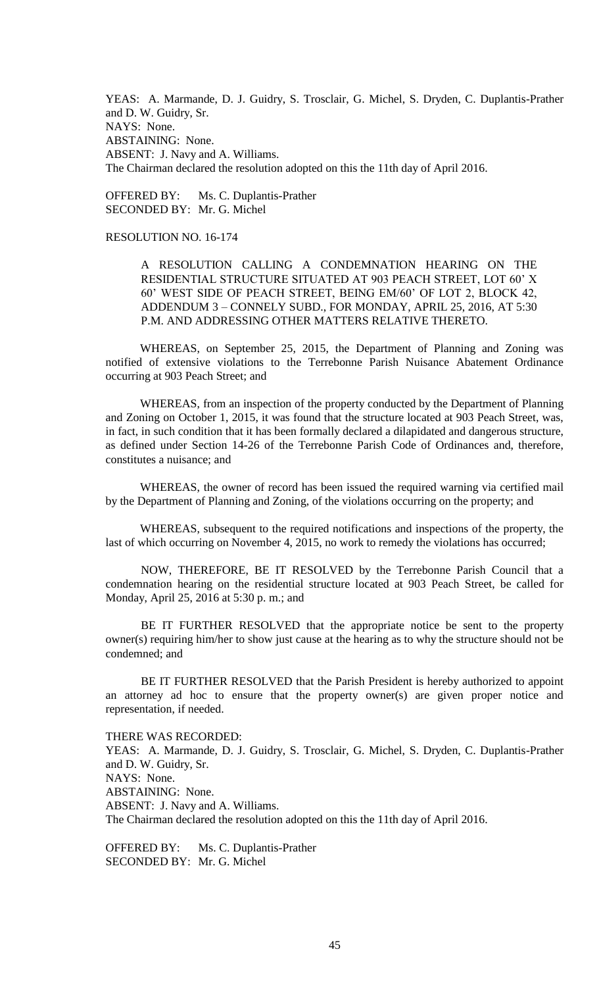YEAS: A. Marmande, D. J. Guidry, S. Trosclair, G. Michel, S. Dryden, C. Duplantis-Prather and D. W. Guidry, Sr. NAYS: None. ABSTAINING: None. ABSENT: J. Navy and A. Williams. The Chairman declared the resolution adopted on this the 11th day of April 2016.

OFFERED BY: Ms. C. Duplantis-Prather SECONDED BY: Mr. G. Michel

# RESOLUTION NO. 16-174

A RESOLUTION CALLING A CONDEMNATION HEARING ON THE RESIDENTIAL STRUCTURE SITUATED AT 903 PEACH STREET, LOT 60' X 60' WEST SIDE OF PEACH STREET, BEING EM/60' OF LOT 2, BLOCK 42, ADDENDUM 3 – CONNELY SUBD., FOR MONDAY, APRIL 25, 2016, AT 5:30 P.M. AND ADDRESSING OTHER MATTERS RELATIVE THERETO.

WHEREAS, on September 25, 2015, the Department of Planning and Zoning was notified of extensive violations to the Terrebonne Parish Nuisance Abatement Ordinance occurring at 903 Peach Street; and

WHEREAS, from an inspection of the property conducted by the Department of Planning and Zoning on October 1, 2015, it was found that the structure located at 903 Peach Street, was, in fact, in such condition that it has been formally declared a dilapidated and dangerous structure, as defined under Section 14-26 of the Terrebonne Parish Code of Ordinances and, therefore, constitutes a nuisance; and

WHEREAS, the owner of record has been issued the required warning via certified mail by the Department of Planning and Zoning, of the violations occurring on the property; and

WHEREAS, subsequent to the required notifications and inspections of the property, the last of which occurring on November 4, 2015, no work to remedy the violations has occurred;

NOW, THEREFORE, BE IT RESOLVED by the Terrebonne Parish Council that a condemnation hearing on the residential structure located at 903 Peach Street, be called for Monday, April 25, 2016 at 5:30 p. m.; and

BE IT FURTHER RESOLVED that the appropriate notice be sent to the property owner(s) requiring him/her to show just cause at the hearing as to why the structure should not be condemned; and

BE IT FURTHER RESOLVED that the Parish President is hereby authorized to appoint an attorney ad hoc to ensure that the property owner(s) are given proper notice and representation, if needed.

THERE WAS RECORDED: YEAS: A. Marmande, D. J. Guidry, S. Trosclair, G. Michel, S. Dryden, C. Duplantis-Prather and D. W. Guidry, Sr. NAYS: None. ABSTAINING: None. ABSENT: J. Navy and A. Williams. The Chairman declared the resolution adopted on this the 11th day of April 2016.

OFFERED BY: Ms. C. Duplantis-Prather SECONDED BY: Mr. G. Michel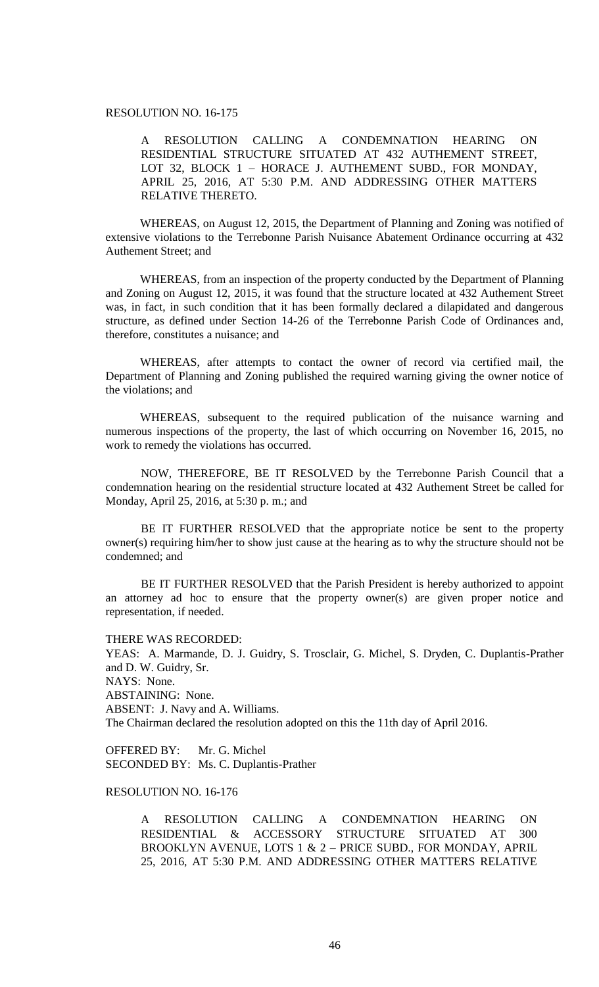# RESOLUTION NO. 16-175

A RESOLUTION CALLING A CONDEMNATION HEARING ON RESIDENTIAL STRUCTURE SITUATED AT 432 AUTHEMENT STREET, LOT 32, BLOCK 1 – HORACE J. AUTHEMENT SUBD., FOR MONDAY, APRIL 25, 2016, AT 5:30 P.M. AND ADDRESSING OTHER MATTERS RELATIVE THERETO.

WHEREAS, on August 12, 2015, the Department of Planning and Zoning was notified of extensive violations to the Terrebonne Parish Nuisance Abatement Ordinance occurring at 432 Authement Street; and

WHEREAS, from an inspection of the property conducted by the Department of Planning and Zoning on August 12, 2015, it was found that the structure located at 432 Authement Street was, in fact, in such condition that it has been formally declared a dilapidated and dangerous structure, as defined under Section 14-26 of the Terrebonne Parish Code of Ordinances and, therefore, constitutes a nuisance; and

WHEREAS, after attempts to contact the owner of record via certified mail, the Department of Planning and Zoning published the required warning giving the owner notice of the violations; and

WHEREAS, subsequent to the required publication of the nuisance warning and numerous inspections of the property, the last of which occurring on November 16, 2015, no work to remedy the violations has occurred.

NOW, THEREFORE, BE IT RESOLVED by the Terrebonne Parish Council that a condemnation hearing on the residential structure located at 432 Authement Street be called for Monday, April 25, 2016, at 5:30 p. m.; and

BE IT FURTHER RESOLVED that the appropriate notice be sent to the property owner(s) requiring him/her to show just cause at the hearing as to why the structure should not be condemned; and

BE IT FURTHER RESOLVED that the Parish President is hereby authorized to appoint an attorney ad hoc to ensure that the property owner(s) are given proper notice and representation, if needed.

THERE WAS RECORDED:

YEAS: A. Marmande, D. J. Guidry, S. Trosclair, G. Michel, S. Dryden, C. Duplantis-Prather and D. W. Guidry, Sr. NAYS: None. ABSTAINING: None. ABSENT: J. Navy and A. Williams. The Chairman declared the resolution adopted on this the 11th day of April 2016.

OFFERED BY: Mr. G. Michel SECONDED BY: Ms. C. Duplantis-Prather

# RESOLUTION NO. 16-176

A RESOLUTION CALLING A CONDEMNATION HEARING ON RESIDENTIAL & ACCESSORY STRUCTURE SITUATED AT 300 BROOKLYN AVENUE, LOTS 1 & 2 – PRICE SUBD., FOR MONDAY, APRIL 25, 2016, AT 5:30 P.M. AND ADDRESSING OTHER MATTERS RELATIVE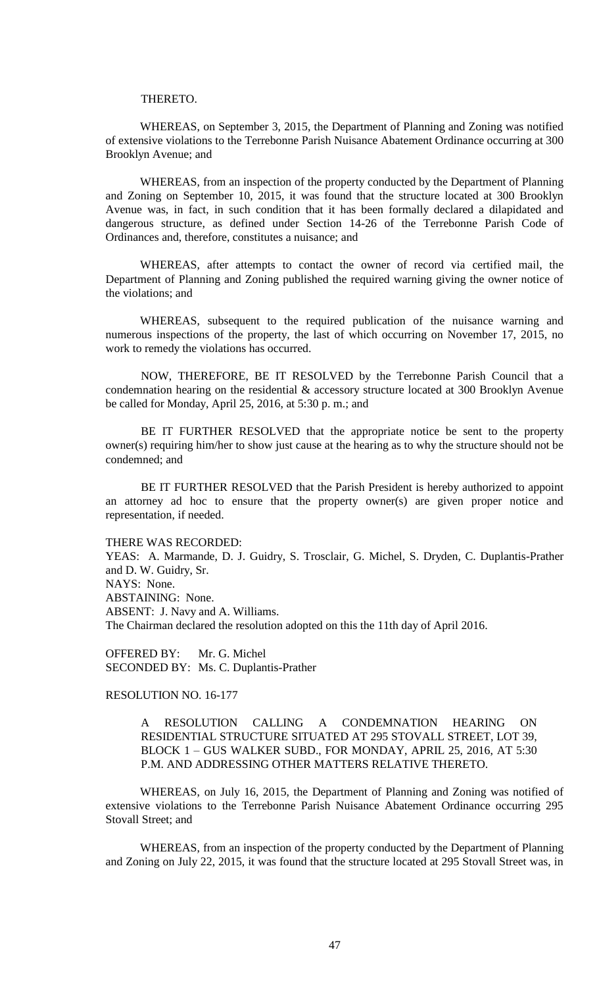### THERETO.

WHEREAS, on September 3, 2015, the Department of Planning and Zoning was notified of extensive violations to the Terrebonne Parish Nuisance Abatement Ordinance occurring at 300 Brooklyn Avenue; and

WHEREAS, from an inspection of the property conducted by the Department of Planning and Zoning on September 10, 2015, it was found that the structure located at 300 Brooklyn Avenue was, in fact, in such condition that it has been formally declared a dilapidated and dangerous structure, as defined under Section 14-26 of the Terrebonne Parish Code of Ordinances and, therefore, constitutes a nuisance; and

WHEREAS, after attempts to contact the owner of record via certified mail, the Department of Planning and Zoning published the required warning giving the owner notice of the violations; and

WHEREAS, subsequent to the required publication of the nuisance warning and numerous inspections of the property, the last of which occurring on November 17, 2015, no work to remedy the violations has occurred.

NOW, THEREFORE, BE IT RESOLVED by the Terrebonne Parish Council that a condemnation hearing on the residential & accessory structure located at 300 Brooklyn Avenue be called for Monday, April 25, 2016, at 5:30 p. m.; and

BE IT FURTHER RESOLVED that the appropriate notice be sent to the property owner(s) requiring him/her to show just cause at the hearing as to why the structure should not be condemned; and

BE IT FURTHER RESOLVED that the Parish President is hereby authorized to appoint an attorney ad hoc to ensure that the property owner(s) are given proper notice and representation, if needed.

#### THERE WAS RECORDED:

YEAS: A. Marmande, D. J. Guidry, S. Trosclair, G. Michel, S. Dryden, C. Duplantis-Prather and D. W. Guidry, Sr. NAYS: None. ABSTAINING: None. ABSENT: J. Navy and A. Williams. The Chairman declared the resolution adopted on this the 11th day of April 2016.

OFFERED BY: Mr. G. Michel SECONDED BY: Ms. C. Duplantis-Prather

# RESOLUTION NO. 16-177

A RESOLUTION CALLING A CONDEMNATION HEARING ON RESIDENTIAL STRUCTURE SITUATED AT 295 STOVALL STREET, LOT 39, BLOCK 1 – GUS WALKER SUBD., FOR MONDAY, APRIL 25, 2016, AT 5:30 P.M. AND ADDRESSING OTHER MATTERS RELATIVE THERETO.

WHEREAS, on July 16, 2015, the Department of Planning and Zoning was notified of extensive violations to the Terrebonne Parish Nuisance Abatement Ordinance occurring 295 Stovall Street; and

WHEREAS, from an inspection of the property conducted by the Department of Planning and Zoning on July 22, 2015, it was found that the structure located at 295 Stovall Street was, in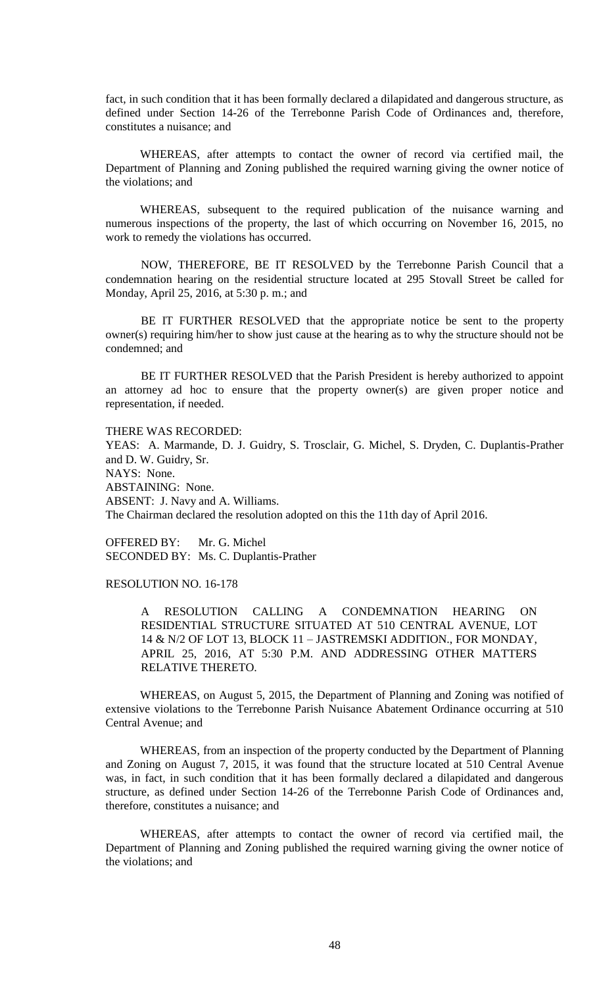fact, in such condition that it has been formally declared a dilapidated and dangerous structure, as defined under Section 14-26 of the Terrebonne Parish Code of Ordinances and, therefore, constitutes a nuisance; and

WHEREAS, after attempts to contact the owner of record via certified mail, the Department of Planning and Zoning published the required warning giving the owner notice of the violations; and

WHEREAS, subsequent to the required publication of the nuisance warning and numerous inspections of the property, the last of which occurring on November 16, 2015, no work to remedy the violations has occurred.

NOW, THEREFORE, BE IT RESOLVED by the Terrebonne Parish Council that a condemnation hearing on the residential structure located at 295 Stovall Street be called for Monday, April 25, 2016, at 5:30 p. m.; and

BE IT FURTHER RESOLVED that the appropriate notice be sent to the property owner(s) requiring him/her to show just cause at the hearing as to why the structure should not be condemned; and

BE IT FURTHER RESOLVED that the Parish President is hereby authorized to appoint an attorney ad hoc to ensure that the property owner(s) are given proper notice and representation, if needed.

THERE WAS RECORDED:

YEAS: A. Marmande, D. J. Guidry, S. Trosclair, G. Michel, S. Dryden, C. Duplantis-Prather and D. W. Guidry, Sr. NAYS: None. ABSTAINING: None. ABSENT: J. Navy and A. Williams. The Chairman declared the resolution adopted on this the 11th day of April 2016.

OFFERED BY: Mr. G. Michel SECONDED BY: Ms. C. Duplantis-Prather

RESOLUTION NO. 16-178

A RESOLUTION CALLING A CONDEMNATION HEARING ON RESIDENTIAL STRUCTURE SITUATED AT 510 CENTRAL AVENUE, LOT 14 & N/2 OF LOT 13, BLOCK 11 – JASTREMSKI ADDITION., FOR MONDAY, APRIL 25, 2016, AT 5:30 P.M. AND ADDRESSING OTHER MATTERS RELATIVE THERETO.

WHEREAS, on August 5, 2015, the Department of Planning and Zoning was notified of extensive violations to the Terrebonne Parish Nuisance Abatement Ordinance occurring at 510 Central Avenue; and

WHEREAS, from an inspection of the property conducted by the Department of Planning and Zoning on August 7, 2015, it was found that the structure located at 510 Central Avenue was, in fact, in such condition that it has been formally declared a dilapidated and dangerous structure, as defined under Section 14-26 of the Terrebonne Parish Code of Ordinances and, therefore, constitutes a nuisance; and

WHEREAS, after attempts to contact the owner of record via certified mail, the Department of Planning and Zoning published the required warning giving the owner notice of the violations; and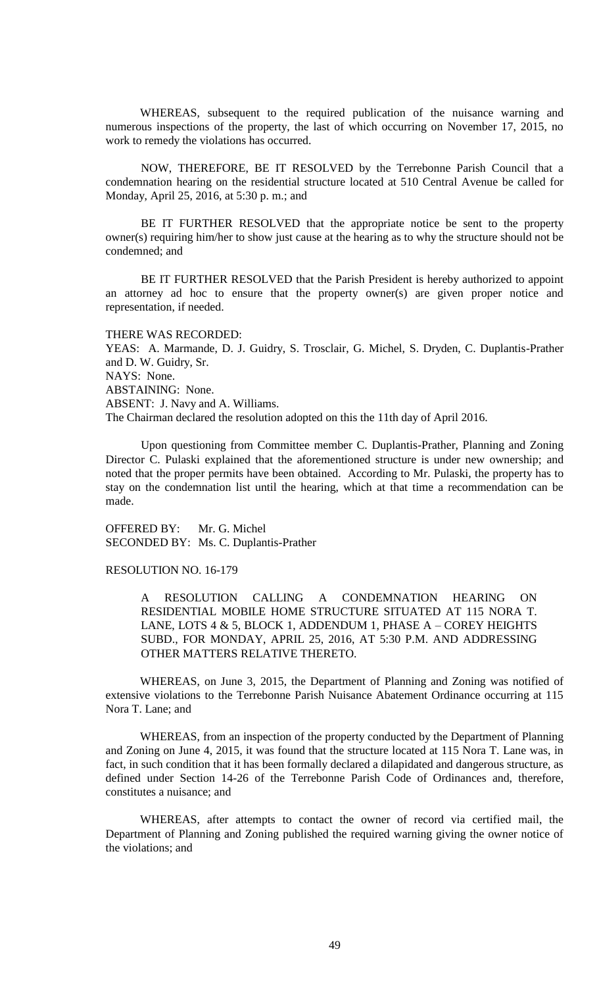WHEREAS, subsequent to the required publication of the nuisance warning and numerous inspections of the property, the last of which occurring on November 17, 2015, no work to remedy the violations has occurred.

NOW, THEREFORE, BE IT RESOLVED by the Terrebonne Parish Council that a condemnation hearing on the residential structure located at 510 Central Avenue be called for Monday, April 25, 2016, at 5:30 p. m.; and

BE IT FURTHER RESOLVED that the appropriate notice be sent to the property owner(s) requiring him/her to show just cause at the hearing as to why the structure should not be condemned; and

BE IT FURTHER RESOLVED that the Parish President is hereby authorized to appoint an attorney ad hoc to ensure that the property owner(s) are given proper notice and representation, if needed.

THERE WAS RECORDED: YEAS: A. Marmande, D. J. Guidry, S. Trosclair, G. Michel, S. Dryden, C. Duplantis-Prather and D. W. Guidry, Sr. NAYS: None. ABSTAINING: None. ABSENT: J. Navy and A. Williams. The Chairman declared the resolution adopted on this the 11th day of April 2016.

Upon questioning from Committee member C. Duplantis-Prather, Planning and Zoning Director C. Pulaski explained that the aforementioned structure is under new ownership; and noted that the proper permits have been obtained. According to Mr. Pulaski, the property has to stay on the condemnation list until the hearing, which at that time a recommendation can be made.

OFFERED BY: Mr. G. Michel SECONDED BY: Ms. C. Duplantis-Prather

# RESOLUTION NO. 16-179

A RESOLUTION CALLING A CONDEMNATION HEARING ON RESIDENTIAL MOBILE HOME STRUCTURE SITUATED AT 115 NORA T. LANE, LOTS 4  $&$  5, BLOCK 1, ADDENDUM 1, PHASE A – COREY HEIGHTS SUBD., FOR MONDAY, APRIL 25, 2016, AT 5:30 P.M. AND ADDRESSING OTHER MATTERS RELATIVE THERETO.

WHEREAS, on June 3, 2015, the Department of Planning and Zoning was notified of extensive violations to the Terrebonne Parish Nuisance Abatement Ordinance occurring at 115 Nora T. Lane; and

WHEREAS, from an inspection of the property conducted by the Department of Planning and Zoning on June 4, 2015, it was found that the structure located at 115 Nora T. Lane was, in fact, in such condition that it has been formally declared a dilapidated and dangerous structure, as defined under Section 14-26 of the Terrebonne Parish Code of Ordinances and, therefore, constitutes a nuisance; and

WHEREAS, after attempts to contact the owner of record via certified mail, the Department of Planning and Zoning published the required warning giving the owner notice of the violations; and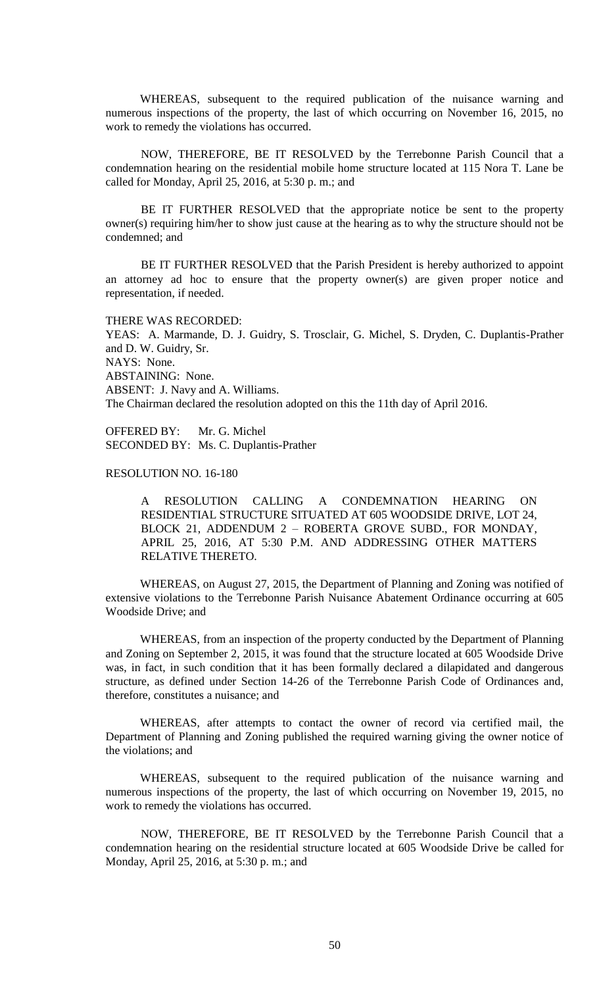WHEREAS, subsequent to the required publication of the nuisance warning and numerous inspections of the property, the last of which occurring on November 16, 2015, no work to remedy the violations has occurred.

NOW, THEREFORE, BE IT RESOLVED by the Terrebonne Parish Council that a condemnation hearing on the residential mobile home structure located at 115 Nora T. Lane be called for Monday, April 25, 2016, at 5:30 p. m.; and

BE IT FURTHER RESOLVED that the appropriate notice be sent to the property owner(s) requiring him/her to show just cause at the hearing as to why the structure should not be condemned; and

BE IT FURTHER RESOLVED that the Parish President is hereby authorized to appoint an attorney ad hoc to ensure that the property owner(s) are given proper notice and representation, if needed.

# THERE WAS RECORDED:

YEAS: A. Marmande, D. J. Guidry, S. Trosclair, G. Michel, S. Dryden, C. Duplantis-Prather and D. W. Guidry, Sr. NAYS: None. ABSTAINING: None. ABSENT: J. Navy and A. Williams. The Chairman declared the resolution adopted on this the 11th day of April 2016.

OFFERED BY: Mr. G. Michel SECONDED BY: Ms. C. Duplantis-Prather

### RESOLUTION NO. 16-180

A RESOLUTION CALLING A CONDEMNATION HEARING ON RESIDENTIAL STRUCTURE SITUATED AT 605 WOODSIDE DRIVE, LOT 24, BLOCK 21, ADDENDUM 2 – ROBERTA GROVE SUBD., FOR MONDAY, APRIL 25, 2016, AT 5:30 P.M. AND ADDRESSING OTHER MATTERS RELATIVE THERETO.

WHEREAS, on August 27, 2015, the Department of Planning and Zoning was notified of extensive violations to the Terrebonne Parish Nuisance Abatement Ordinance occurring at 605 Woodside Drive; and

WHEREAS, from an inspection of the property conducted by the Department of Planning and Zoning on September 2, 2015, it was found that the structure located at 605 Woodside Drive was, in fact, in such condition that it has been formally declared a dilapidated and dangerous structure, as defined under Section 14-26 of the Terrebonne Parish Code of Ordinances and, therefore, constitutes a nuisance; and

WHEREAS, after attempts to contact the owner of record via certified mail, the Department of Planning and Zoning published the required warning giving the owner notice of the violations; and

WHEREAS, subsequent to the required publication of the nuisance warning and numerous inspections of the property, the last of which occurring on November 19, 2015, no work to remedy the violations has occurred.

NOW, THEREFORE, BE IT RESOLVED by the Terrebonne Parish Council that a condemnation hearing on the residential structure located at 605 Woodside Drive be called for Monday, April 25, 2016, at 5:30 p. m.; and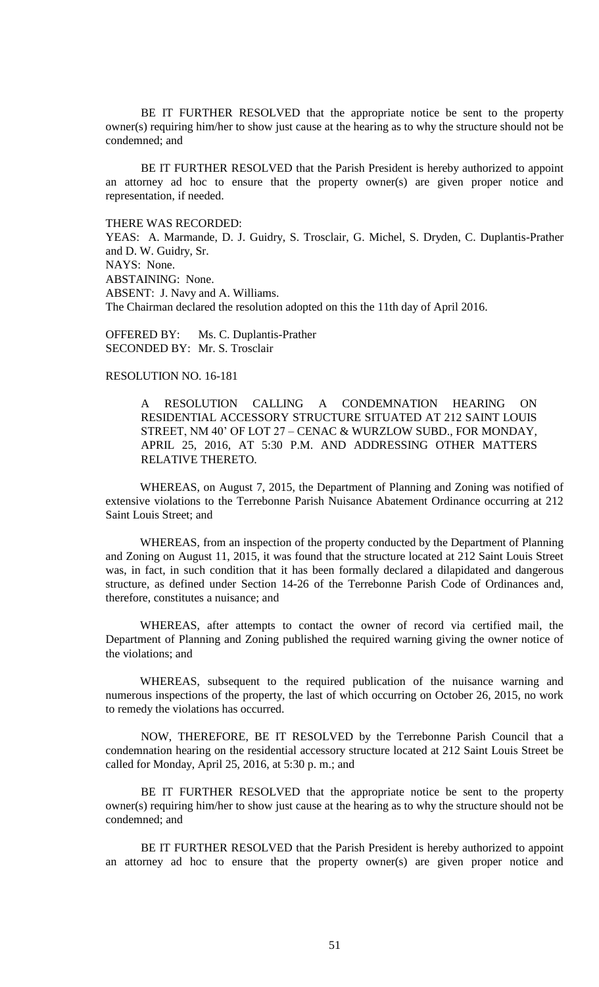BE IT FURTHER RESOLVED that the appropriate notice be sent to the property owner(s) requiring him/her to show just cause at the hearing as to why the structure should not be condemned; and

BE IT FURTHER RESOLVED that the Parish President is hereby authorized to appoint an attorney ad hoc to ensure that the property owner(s) are given proper notice and representation, if needed.

THERE WAS RECORDED:

YEAS: A. Marmande, D. J. Guidry, S. Trosclair, G. Michel, S. Dryden, C. Duplantis-Prather and D. W. Guidry, Sr. NAYS: None. ABSTAINING: None. ABSENT: J. Navy and A. Williams. The Chairman declared the resolution adopted on this the 11th day of April 2016.

OFFERED BY: Ms. C. Duplantis-Prather SECONDED BY: Mr. S. Trosclair

# RESOLUTION NO. 16-181

A RESOLUTION CALLING A CONDEMNATION HEARING ON RESIDENTIAL ACCESSORY STRUCTURE SITUATED AT 212 SAINT LOUIS STREET, NM 40' OF LOT 27 – CENAC & WURZLOW SUBD., FOR MONDAY, APRIL 25, 2016, AT 5:30 P.M. AND ADDRESSING OTHER MATTERS RELATIVE THERETO.

WHEREAS, on August 7, 2015, the Department of Planning and Zoning was notified of extensive violations to the Terrebonne Parish Nuisance Abatement Ordinance occurring at 212 Saint Louis Street; and

WHEREAS, from an inspection of the property conducted by the Department of Planning and Zoning on August 11, 2015, it was found that the structure located at 212 Saint Louis Street was, in fact, in such condition that it has been formally declared a dilapidated and dangerous structure, as defined under Section 14-26 of the Terrebonne Parish Code of Ordinances and, therefore, constitutes a nuisance; and

WHEREAS, after attempts to contact the owner of record via certified mail, the Department of Planning and Zoning published the required warning giving the owner notice of the violations; and

WHEREAS, subsequent to the required publication of the nuisance warning and numerous inspections of the property, the last of which occurring on October 26, 2015, no work to remedy the violations has occurred.

NOW, THEREFORE, BE IT RESOLVED by the Terrebonne Parish Council that a condemnation hearing on the residential accessory structure located at 212 Saint Louis Street be called for Monday, April 25, 2016, at 5:30 p. m.; and

BE IT FURTHER RESOLVED that the appropriate notice be sent to the property owner(s) requiring him/her to show just cause at the hearing as to why the structure should not be condemned; and

BE IT FURTHER RESOLVED that the Parish President is hereby authorized to appoint an attorney ad hoc to ensure that the property owner(s) are given proper notice and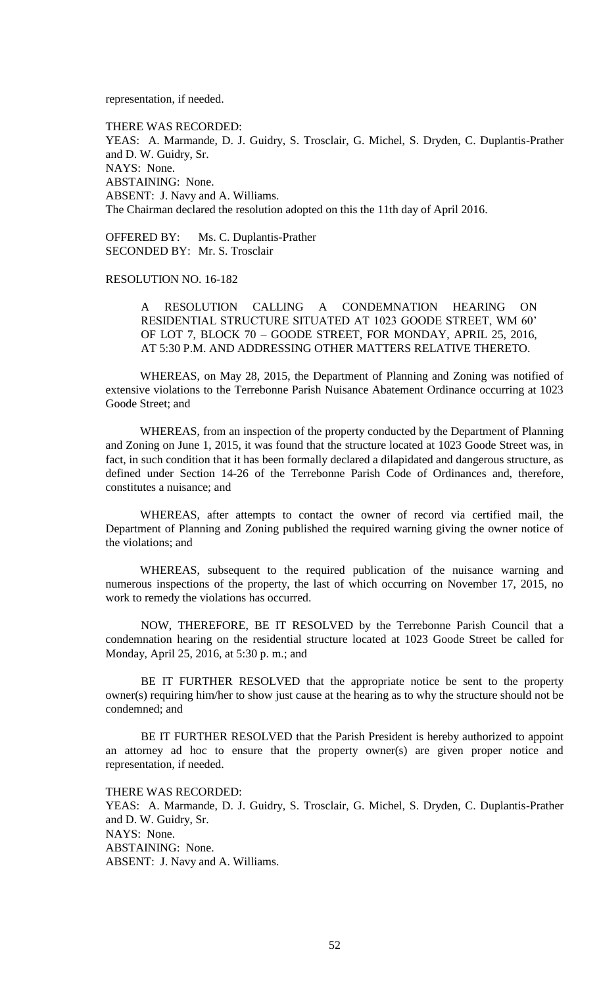representation, if needed.

THERE WAS RECORDED: YEAS: A. Marmande, D. J. Guidry, S. Trosclair, G. Michel, S. Dryden, C. Duplantis-Prather and D. W. Guidry, Sr. NAYS: None. ABSTAINING: None. ABSENT: J. Navy and A. Williams. The Chairman declared the resolution adopted on this the 11th day of April 2016.

OFFERED BY: Ms. C. Duplantis-Prather SECONDED BY: Mr. S. Trosclair

RESOLUTION NO. 16-182

A RESOLUTION CALLING A CONDEMNATION HEARING ON RESIDENTIAL STRUCTURE SITUATED AT 1023 GOODE STREET, WM 60' OF LOT 7, BLOCK 70 – GOODE STREET, FOR MONDAY, APRIL 25, 2016, AT 5:30 P.M. AND ADDRESSING OTHER MATTERS RELATIVE THERETO.

WHEREAS, on May 28, 2015, the Department of Planning and Zoning was notified of extensive violations to the Terrebonne Parish Nuisance Abatement Ordinance occurring at 1023 Goode Street; and

WHEREAS, from an inspection of the property conducted by the Department of Planning and Zoning on June 1, 2015, it was found that the structure located at 1023 Goode Street was, in fact, in such condition that it has been formally declared a dilapidated and dangerous structure, as defined under Section 14-26 of the Terrebonne Parish Code of Ordinances and, therefore, constitutes a nuisance; and

WHEREAS, after attempts to contact the owner of record via certified mail, the Department of Planning and Zoning published the required warning giving the owner notice of the violations; and

WHEREAS, subsequent to the required publication of the nuisance warning and numerous inspections of the property, the last of which occurring on November 17, 2015, no work to remedy the violations has occurred.

NOW, THEREFORE, BE IT RESOLVED by the Terrebonne Parish Council that a condemnation hearing on the residential structure located at 1023 Goode Street be called for Monday, April 25, 2016, at 5:30 p. m.; and

BE IT FURTHER RESOLVED that the appropriate notice be sent to the property owner(s) requiring him/her to show just cause at the hearing as to why the structure should not be condemned; and

BE IT FURTHER RESOLVED that the Parish President is hereby authorized to appoint an attorney ad hoc to ensure that the property owner(s) are given proper notice and representation, if needed.

THERE WAS RECORDED:

YEAS: A. Marmande, D. J. Guidry, S. Trosclair, G. Michel, S. Dryden, C. Duplantis-Prather and D. W. Guidry, Sr. NAYS: None. ABSTAINING: None. ABSENT: J. Navy and A. Williams.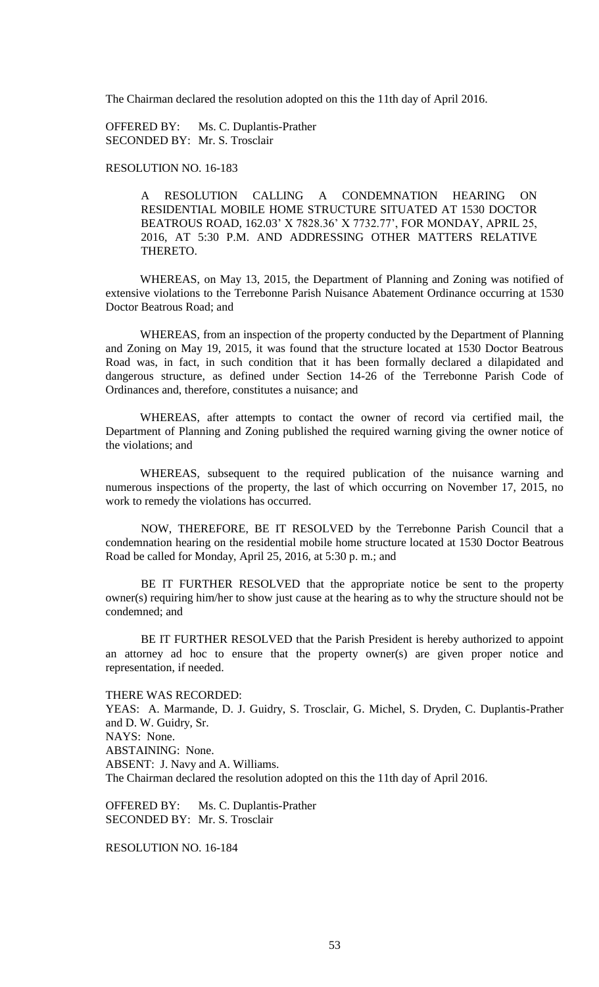The Chairman declared the resolution adopted on this the 11th day of April 2016.

OFFERED BY: Ms. C. Duplantis-Prather SECONDED BY: Mr. S. Trosclair

# RESOLUTION NO. 16-183

A RESOLUTION CALLING A CONDEMNATION HEARING ON RESIDENTIAL MOBILE HOME STRUCTURE SITUATED AT 1530 DOCTOR BEATROUS ROAD, 162.03' X 7828.36' X 7732.77', FOR MONDAY, APRIL 25, 2016, AT 5:30 P.M. AND ADDRESSING OTHER MATTERS RELATIVE THERETO.

WHEREAS, on May 13, 2015, the Department of Planning and Zoning was notified of extensive violations to the Terrebonne Parish Nuisance Abatement Ordinance occurring at 1530 Doctor Beatrous Road; and

WHEREAS, from an inspection of the property conducted by the Department of Planning and Zoning on May 19, 2015, it was found that the structure located at 1530 Doctor Beatrous Road was, in fact, in such condition that it has been formally declared a dilapidated and dangerous structure, as defined under Section 14-26 of the Terrebonne Parish Code of Ordinances and, therefore, constitutes a nuisance; and

WHEREAS, after attempts to contact the owner of record via certified mail, the Department of Planning and Zoning published the required warning giving the owner notice of the violations; and

WHEREAS, subsequent to the required publication of the nuisance warning and numerous inspections of the property, the last of which occurring on November 17, 2015, no work to remedy the violations has occurred.

NOW, THEREFORE, BE IT RESOLVED by the Terrebonne Parish Council that a condemnation hearing on the residential mobile home structure located at 1530 Doctor Beatrous Road be called for Monday, April 25, 2016, at 5:30 p. m.; and

BE IT FURTHER RESOLVED that the appropriate notice be sent to the property owner(s) requiring him/her to show just cause at the hearing as to why the structure should not be condemned; and

BE IT FURTHER RESOLVED that the Parish President is hereby authorized to appoint an attorney ad hoc to ensure that the property owner(s) are given proper notice and representation, if needed.

THERE WAS RECORDED:

YEAS: A. Marmande, D. J. Guidry, S. Trosclair, G. Michel, S. Dryden, C. Duplantis-Prather and D. W. Guidry, Sr. NAYS: None. ABSTAINING: None. ABSENT: J. Navy and A. Williams. The Chairman declared the resolution adopted on this the 11th day of April 2016.

OFFERED BY: Ms. C. Duplantis-Prather SECONDED BY: Mr. S. Trosclair

RESOLUTION NO. 16-184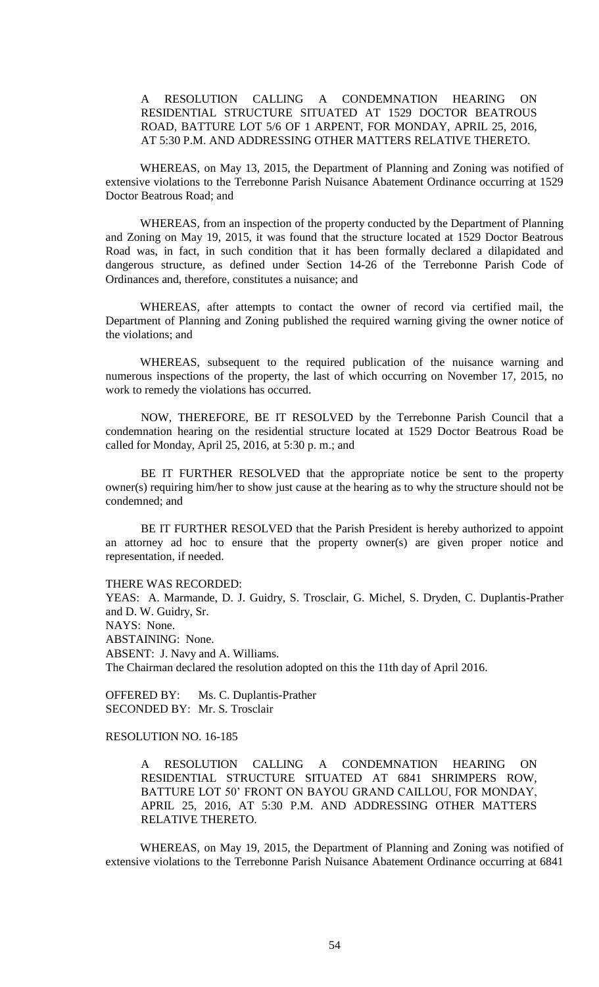# A RESOLUTION CALLING A CONDEMNATION HEARING ON RESIDENTIAL STRUCTURE SITUATED AT 1529 DOCTOR BEATROUS ROAD, BATTURE LOT 5/6 OF 1 ARPENT, FOR MONDAY, APRIL 25, 2016, AT 5:30 P.M. AND ADDRESSING OTHER MATTERS RELATIVE THERETO.

WHEREAS, on May 13, 2015, the Department of Planning and Zoning was notified of extensive violations to the Terrebonne Parish Nuisance Abatement Ordinance occurring at 1529 Doctor Beatrous Road; and

WHEREAS, from an inspection of the property conducted by the Department of Planning and Zoning on May 19, 2015, it was found that the structure located at 1529 Doctor Beatrous Road was, in fact, in such condition that it has been formally declared a dilapidated and dangerous structure, as defined under Section 14-26 of the Terrebonne Parish Code of Ordinances and, therefore, constitutes a nuisance; and

WHEREAS, after attempts to contact the owner of record via certified mail, the Department of Planning and Zoning published the required warning giving the owner notice of the violations; and

WHEREAS, subsequent to the required publication of the nuisance warning and numerous inspections of the property, the last of which occurring on November 17, 2015, no work to remedy the violations has occurred.

NOW, THEREFORE, BE IT RESOLVED by the Terrebonne Parish Council that a condemnation hearing on the residential structure located at 1529 Doctor Beatrous Road be called for Monday, April 25, 2016, at 5:30 p. m.; and

BE IT FURTHER RESOLVED that the appropriate notice be sent to the property owner(s) requiring him/her to show just cause at the hearing as to why the structure should not be condemned; and

BE IT FURTHER RESOLVED that the Parish President is hereby authorized to appoint an attorney ad hoc to ensure that the property owner(s) are given proper notice and representation, if needed.

THERE WAS RECORDED:

YEAS: A. Marmande, D. J. Guidry, S. Trosclair, G. Michel, S. Dryden, C. Duplantis-Prather and D. W. Guidry, Sr. NAYS: None. ABSTAINING: None. ABSENT: J. Navy and A. Williams. The Chairman declared the resolution adopted on this the 11th day of April 2016.

OFFERED BY: Ms. C. Duplantis-Prather SECONDED BY: Mr. S. Trosclair

# RESOLUTION NO. 16-185

A RESOLUTION CALLING A CONDEMNATION HEARING ON RESIDENTIAL STRUCTURE SITUATED AT 6841 SHRIMPERS ROW, BATTURE LOT 50' FRONT ON BAYOU GRAND CAILLOU, FOR MONDAY, APRIL 25, 2016, AT 5:30 P.M. AND ADDRESSING OTHER MATTERS RELATIVE THERETO.

WHEREAS, on May 19, 2015, the Department of Planning and Zoning was notified of extensive violations to the Terrebonne Parish Nuisance Abatement Ordinance occurring at 6841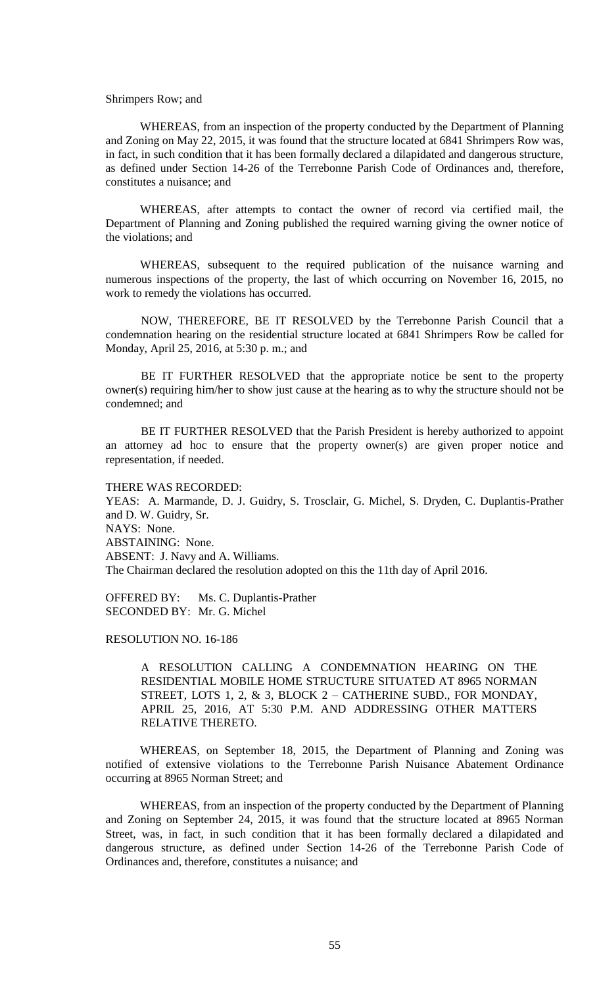### Shrimpers Row; and

WHEREAS, from an inspection of the property conducted by the Department of Planning and Zoning on May 22, 2015, it was found that the structure located at 6841 Shrimpers Row was, in fact, in such condition that it has been formally declared a dilapidated and dangerous structure, as defined under Section 14-26 of the Terrebonne Parish Code of Ordinances and, therefore, constitutes a nuisance; and

WHEREAS, after attempts to contact the owner of record via certified mail, the Department of Planning and Zoning published the required warning giving the owner notice of the violations; and

WHEREAS, subsequent to the required publication of the nuisance warning and numerous inspections of the property, the last of which occurring on November 16, 2015, no work to remedy the violations has occurred.

NOW, THEREFORE, BE IT RESOLVED by the Terrebonne Parish Council that a condemnation hearing on the residential structure located at 6841 Shrimpers Row be called for Monday, April 25, 2016, at 5:30 p. m.; and

BE IT FURTHER RESOLVED that the appropriate notice be sent to the property owner(s) requiring him/her to show just cause at the hearing as to why the structure should not be condemned; and

BE IT FURTHER RESOLVED that the Parish President is hereby authorized to appoint an attorney ad hoc to ensure that the property owner(s) are given proper notice and representation, if needed.

THERE WAS RECORDED:

YEAS: A. Marmande, D. J. Guidry, S. Trosclair, G. Michel, S. Dryden, C. Duplantis-Prather and D. W. Guidry, Sr. NAYS: None. ABSTAINING: None. ABSENT: J. Navy and A. Williams. The Chairman declared the resolution adopted on this the 11th day of April 2016.

OFFERED BY: Ms. C. Duplantis-Prather SECONDED BY: Mr. G. Michel

RESOLUTION NO. 16-186

A RESOLUTION CALLING A CONDEMNATION HEARING ON THE RESIDENTIAL MOBILE HOME STRUCTURE SITUATED AT 8965 NORMAN STREET, LOTS 1, 2, & 3, BLOCK 2 – CATHERINE SUBD., FOR MONDAY, APRIL 25, 2016, AT 5:30 P.M. AND ADDRESSING OTHER MATTERS RELATIVE THERETO.

WHEREAS, on September 18, 2015, the Department of Planning and Zoning was notified of extensive violations to the Terrebonne Parish Nuisance Abatement Ordinance occurring at 8965 Norman Street; and

WHEREAS, from an inspection of the property conducted by the Department of Planning and Zoning on September 24, 2015, it was found that the structure located at 8965 Norman Street, was, in fact, in such condition that it has been formally declared a dilapidated and dangerous structure, as defined under Section 14-26 of the Terrebonne Parish Code of Ordinances and, therefore, constitutes a nuisance; and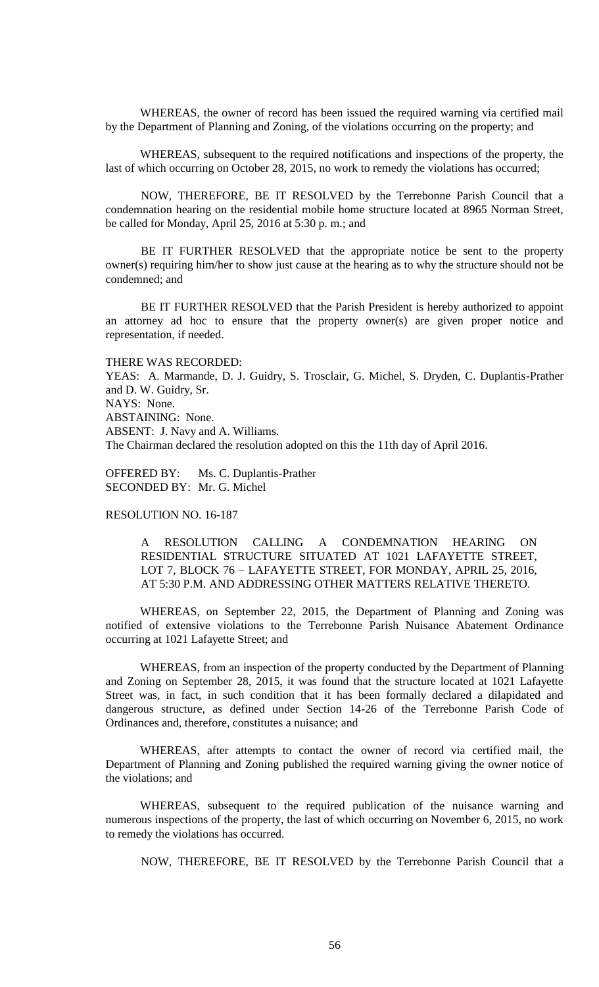WHEREAS, the owner of record has been issued the required warning via certified mail by the Department of Planning and Zoning, of the violations occurring on the property; and

WHEREAS, subsequent to the required notifications and inspections of the property, the last of which occurring on October 28, 2015, no work to remedy the violations has occurred;

NOW, THEREFORE, BE IT RESOLVED by the Terrebonne Parish Council that a condemnation hearing on the residential mobile home structure located at 8965 Norman Street, be called for Monday, April 25, 2016 at 5:30 p. m.; and

BE IT FURTHER RESOLVED that the appropriate notice be sent to the property owner(s) requiring him/her to show just cause at the hearing as to why the structure should not be condemned; and

BE IT FURTHER RESOLVED that the Parish President is hereby authorized to appoint an attorney ad hoc to ensure that the property owner(s) are given proper notice and representation, if needed.

#### THERE WAS RECORDED:

YEAS: A. Marmande, D. J. Guidry, S. Trosclair, G. Michel, S. Dryden, C. Duplantis-Prather and D. W. Guidry, Sr. NAYS: None. ABSTAINING: None. ABSENT: J. Navy and A. Williams. The Chairman declared the resolution adopted on this the 11th day of April 2016.

OFFERED BY: Ms. C. Duplantis-Prather SECONDED BY: Mr. G. Michel

# RESOLUTION NO. 16-187

A RESOLUTION CALLING A CONDEMNATION HEARING ON RESIDENTIAL STRUCTURE SITUATED AT 1021 LAFAYETTE STREET, LOT 7, BLOCK 76 – LAFAYETTE STREET, FOR MONDAY, APRIL 25, 2016, AT 5:30 P.M. AND ADDRESSING OTHER MATTERS RELATIVE THERETO.

WHEREAS, on September 22, 2015, the Department of Planning and Zoning was notified of extensive violations to the Terrebonne Parish Nuisance Abatement Ordinance occurring at 1021 Lafayette Street; and

WHEREAS, from an inspection of the property conducted by the Department of Planning and Zoning on September 28, 2015, it was found that the structure located at 1021 Lafayette Street was, in fact, in such condition that it has been formally declared a dilapidated and dangerous structure, as defined under Section 14-26 of the Terrebonne Parish Code of Ordinances and, therefore, constitutes a nuisance; and

WHEREAS, after attempts to contact the owner of record via certified mail, the Department of Planning and Zoning published the required warning giving the owner notice of the violations; and

WHEREAS, subsequent to the required publication of the nuisance warning and numerous inspections of the property, the last of which occurring on November 6, 2015, no work to remedy the violations has occurred.

NOW, THEREFORE, BE IT RESOLVED by the Terrebonne Parish Council that a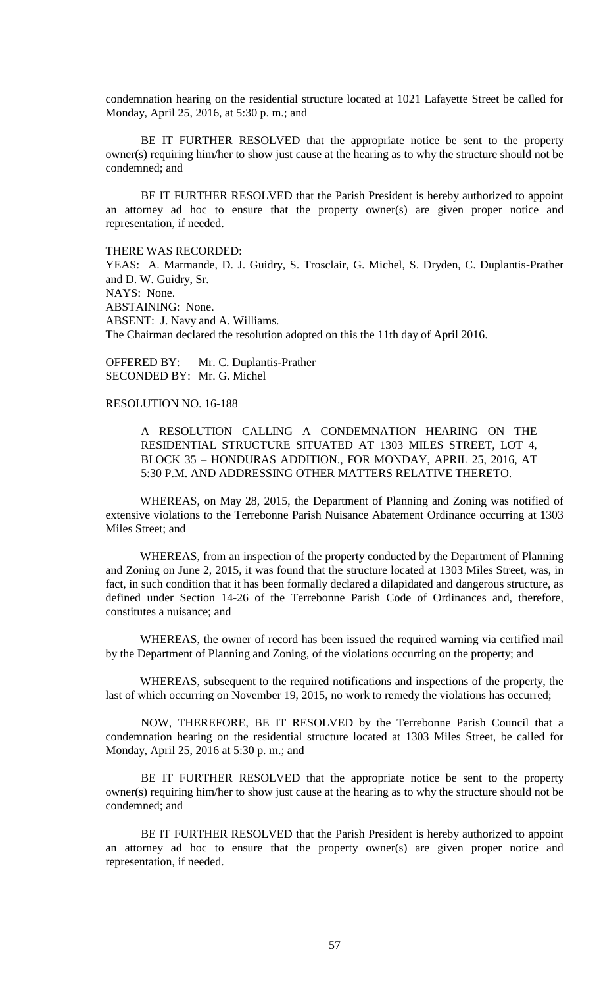condemnation hearing on the residential structure located at 1021 Lafayette Street be called for Monday, April 25, 2016, at 5:30 p. m.; and

BE IT FURTHER RESOLVED that the appropriate notice be sent to the property owner(s) requiring him/her to show just cause at the hearing as to why the structure should not be condemned; and

BE IT FURTHER RESOLVED that the Parish President is hereby authorized to appoint an attorney ad hoc to ensure that the property owner(s) are given proper notice and representation, if needed.

THERE WAS RECORDED:

YEAS: A. Marmande, D. J. Guidry, S. Trosclair, G. Michel, S. Dryden, C. Duplantis-Prather and D. W. Guidry, Sr. NAYS: None. ABSTAINING: None. ABSENT: J. Navy and A. Williams. The Chairman declared the resolution adopted on this the 11th day of April 2016.

OFFERED BY: Mr. C. Duplantis-Prather SECONDED BY: Mr. G. Michel

### RESOLUTION NO. 16-188

A RESOLUTION CALLING A CONDEMNATION HEARING ON THE RESIDENTIAL STRUCTURE SITUATED AT 1303 MILES STREET, LOT 4, BLOCK 35 – HONDURAS ADDITION., FOR MONDAY, APRIL 25, 2016, AT 5:30 P.M. AND ADDRESSING OTHER MATTERS RELATIVE THERETO.

WHEREAS, on May 28, 2015, the Department of Planning and Zoning was notified of extensive violations to the Terrebonne Parish Nuisance Abatement Ordinance occurring at 1303 Miles Street; and

WHEREAS, from an inspection of the property conducted by the Department of Planning and Zoning on June 2, 2015, it was found that the structure located at 1303 Miles Street, was, in fact, in such condition that it has been formally declared a dilapidated and dangerous structure, as defined under Section 14-26 of the Terrebonne Parish Code of Ordinances and, therefore, constitutes a nuisance; and

WHEREAS, the owner of record has been issued the required warning via certified mail by the Department of Planning and Zoning, of the violations occurring on the property; and

WHEREAS, subsequent to the required notifications and inspections of the property, the last of which occurring on November 19, 2015, no work to remedy the violations has occurred;

NOW, THEREFORE, BE IT RESOLVED by the Terrebonne Parish Council that a condemnation hearing on the residential structure located at 1303 Miles Street, be called for Monday, April 25, 2016 at 5:30 p. m.; and

BE IT FURTHER RESOLVED that the appropriate notice be sent to the property owner(s) requiring him/her to show just cause at the hearing as to why the structure should not be condemned; and

BE IT FURTHER RESOLVED that the Parish President is hereby authorized to appoint an attorney ad hoc to ensure that the property owner(s) are given proper notice and representation, if needed.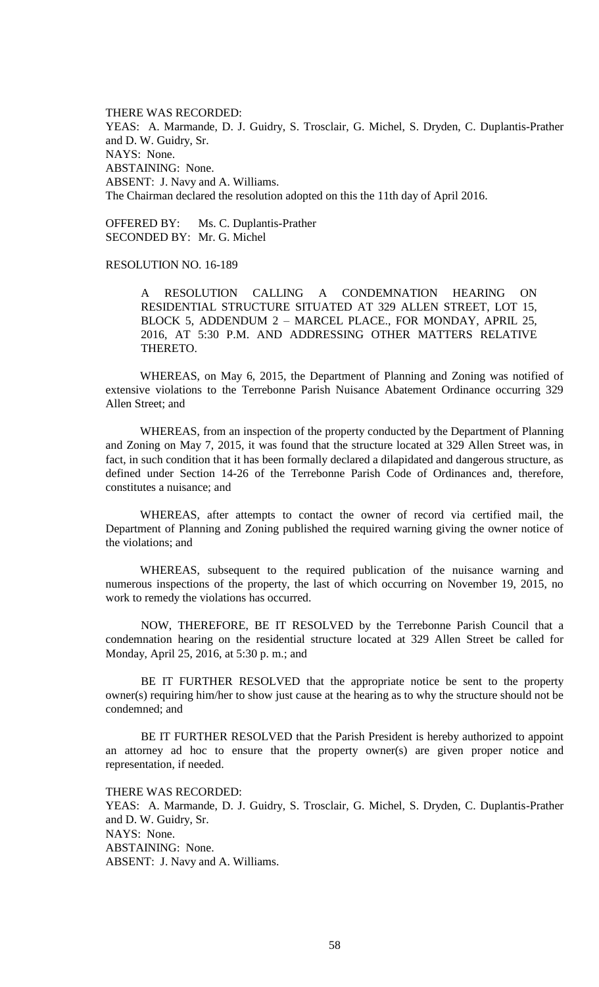THERE WAS RECORDED: YEAS: A. Marmande, D. J. Guidry, S. Trosclair, G. Michel, S. Dryden, C. Duplantis-Prather and D. W. Guidry, Sr. NAYS: None. ABSTAINING: None. ABSENT: J. Navy and A. Williams. The Chairman declared the resolution adopted on this the 11th day of April 2016.

OFFERED BY: Ms. C. Duplantis-Prather SECONDED BY: Mr. G. Michel

RESOLUTION NO. 16-189

A RESOLUTION CALLING A CONDEMNATION HEARING ON RESIDENTIAL STRUCTURE SITUATED AT 329 ALLEN STREET, LOT 15, BLOCK 5, ADDENDUM 2 – MARCEL PLACE., FOR MONDAY, APRIL 25, 2016, AT 5:30 P.M. AND ADDRESSING OTHER MATTERS RELATIVE THERETO.

WHEREAS, on May 6, 2015, the Department of Planning and Zoning was notified of extensive violations to the Terrebonne Parish Nuisance Abatement Ordinance occurring 329 Allen Street; and

WHEREAS, from an inspection of the property conducted by the Department of Planning and Zoning on May 7, 2015, it was found that the structure located at 329 Allen Street was, in fact, in such condition that it has been formally declared a dilapidated and dangerous structure, as defined under Section 14-26 of the Terrebonne Parish Code of Ordinances and, therefore, constitutes a nuisance; and

WHEREAS, after attempts to contact the owner of record via certified mail, the Department of Planning and Zoning published the required warning giving the owner notice of the violations; and

WHEREAS, subsequent to the required publication of the nuisance warning and numerous inspections of the property, the last of which occurring on November 19, 2015, no work to remedy the violations has occurred.

NOW, THEREFORE, BE IT RESOLVED by the Terrebonne Parish Council that a condemnation hearing on the residential structure located at 329 Allen Street be called for Monday, April 25, 2016, at 5:30 p. m.; and

BE IT FURTHER RESOLVED that the appropriate notice be sent to the property owner(s) requiring him/her to show just cause at the hearing as to why the structure should not be condemned; and

BE IT FURTHER RESOLVED that the Parish President is hereby authorized to appoint an attorney ad hoc to ensure that the property owner(s) are given proper notice and representation, if needed.

THERE WAS RECORDED:

YEAS: A. Marmande, D. J. Guidry, S. Trosclair, G. Michel, S. Dryden, C. Duplantis-Prather and D. W. Guidry, Sr. NAYS: None. ABSTAINING: None. ABSENT: J. Navy and A. Williams.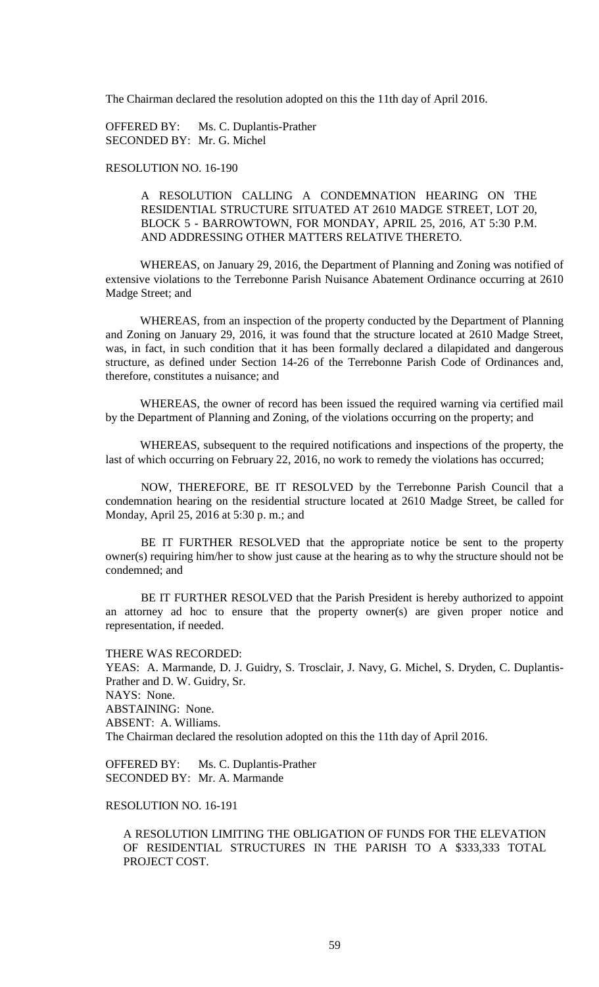The Chairman declared the resolution adopted on this the 11th day of April 2016.

OFFERED BY: Ms. C. Duplantis-Prather SECONDED BY: Mr. G. Michel

# RESOLUTION NO. 16-190

A RESOLUTION CALLING A CONDEMNATION HEARING ON THE RESIDENTIAL STRUCTURE SITUATED AT 2610 MADGE STREET, LOT 20, BLOCK 5 - BARROWTOWN, FOR MONDAY, APRIL 25, 2016, AT 5:30 P.M. AND ADDRESSING OTHER MATTERS RELATIVE THERETO.

WHEREAS, on January 29, 2016, the Department of Planning and Zoning was notified of extensive violations to the Terrebonne Parish Nuisance Abatement Ordinance occurring at 2610 Madge Street; and

WHEREAS, from an inspection of the property conducted by the Department of Planning and Zoning on January 29, 2016, it was found that the structure located at 2610 Madge Street, was, in fact, in such condition that it has been formally declared a dilapidated and dangerous structure, as defined under Section 14-26 of the Terrebonne Parish Code of Ordinances and, therefore, constitutes a nuisance; and

WHEREAS, the owner of record has been issued the required warning via certified mail by the Department of Planning and Zoning, of the violations occurring on the property; and

WHEREAS, subsequent to the required notifications and inspections of the property, the last of which occurring on February 22, 2016, no work to remedy the violations has occurred;

NOW, THEREFORE, BE IT RESOLVED by the Terrebonne Parish Council that a condemnation hearing on the residential structure located at 2610 Madge Street, be called for Monday, April 25, 2016 at 5:30 p. m.; and

BE IT FURTHER RESOLVED that the appropriate notice be sent to the property owner(s) requiring him/her to show just cause at the hearing as to why the structure should not be condemned; and

BE IT FURTHER RESOLVED that the Parish President is hereby authorized to appoint an attorney ad hoc to ensure that the property owner(s) are given proper notice and representation, if needed.

THERE WAS RECORDED: YEAS: A. Marmande, D. J. Guidry, S. Trosclair, J. Navy, G. Michel, S. Dryden, C. Duplantis-Prather and D. W. Guidry, Sr. NAYS: None. ABSTAINING: None. ABSENT: A. Williams. The Chairman declared the resolution adopted on this the 11th day of April 2016.

OFFERED BY: Ms. C. Duplantis-Prather SECONDED BY: Mr. A. Marmande

# RESOLUTION NO. 16-191

A RESOLUTION LIMITING THE OBLIGATION OF FUNDS FOR THE ELEVATION OF RESIDENTIAL STRUCTURES IN THE PARISH TO A \$333,333 TOTAL PROJECT COST.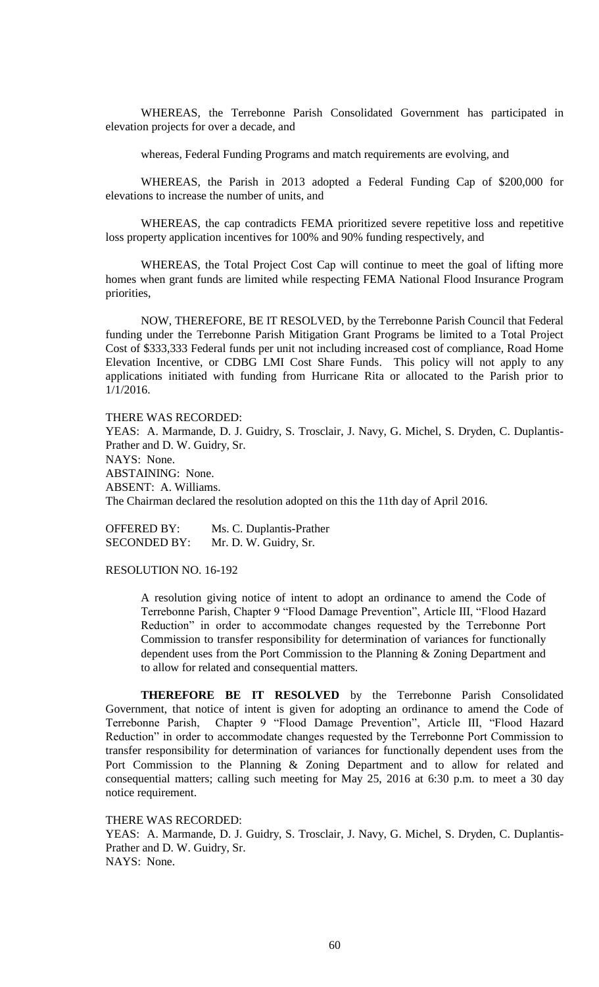WHEREAS, the Terrebonne Parish Consolidated Government has participated in elevation projects for over a decade, and

whereas, Federal Funding Programs and match requirements are evolving, and

WHEREAS, the Parish in 2013 adopted a Federal Funding Cap of \$200,000 for elevations to increase the number of units, and

WHEREAS, the cap contradicts FEMA prioritized severe repetitive loss and repetitive loss property application incentives for 100% and 90% funding respectively, and

WHEREAS, the Total Project Cost Cap will continue to meet the goal of lifting more homes when grant funds are limited while respecting FEMA National Flood Insurance Program priorities,

NOW, THEREFORE, BE IT RESOLVED, by the Terrebonne Parish Council that Federal funding under the Terrebonne Parish Mitigation Grant Programs be limited to a Total Project Cost of \$333,333 Federal funds per unit not including increased cost of compliance, Road Home Elevation Incentive, or CDBG LMI Cost Share Funds. This policy will not apply to any applications initiated with funding from Hurricane Rita or allocated to the Parish prior to 1/1/2016.

THERE WAS RECORDED:

YEAS: A. Marmande, D. J. Guidry, S. Trosclair, J. Navy, G. Michel, S. Dryden, C. Duplantis-Prather and D. W. Guidry, Sr. NAYS: None. ABSTAINING: None. ABSENT: A. Williams. The Chairman declared the resolution adopted on this the 11th day of April 2016.

OFFERED BY: Ms. C. Duplantis-Prather SECONDED BY: Mr. D. W. Guidry, Sr.

RESOLUTION NO. 16-192

A resolution giving notice of intent to adopt an ordinance to amend the Code of Terrebonne Parish, Chapter 9 "Flood Damage Prevention", Article III, "Flood Hazard Reduction" in order to accommodate changes requested by the Terrebonne Port Commission to transfer responsibility for determination of variances for functionally dependent uses from the Port Commission to the Planning & Zoning Department and to allow for related and consequential matters.

**THEREFORE BE IT RESOLVED** by the Terrebonne Parish Consolidated Government, that notice of intent is given for adopting an ordinance to amend the Code of Terrebonne Parish, Chapter 9 "Flood Damage Prevention", Article III, "Flood Hazard Reduction" in order to accommodate changes requested by the Terrebonne Port Commission to transfer responsibility for determination of variances for functionally dependent uses from the Port Commission to the Planning & Zoning Department and to allow for related and consequential matters; calling such meeting for May 25, 2016 at 6:30 p.m. to meet a 30 day notice requirement.

THERE WAS RECORDED: YEAS: A. Marmande, D. J. Guidry, S. Trosclair, J. Navy, G. Michel, S. Dryden, C. Duplantis-Prather and D. W. Guidry, Sr. NAYS: None.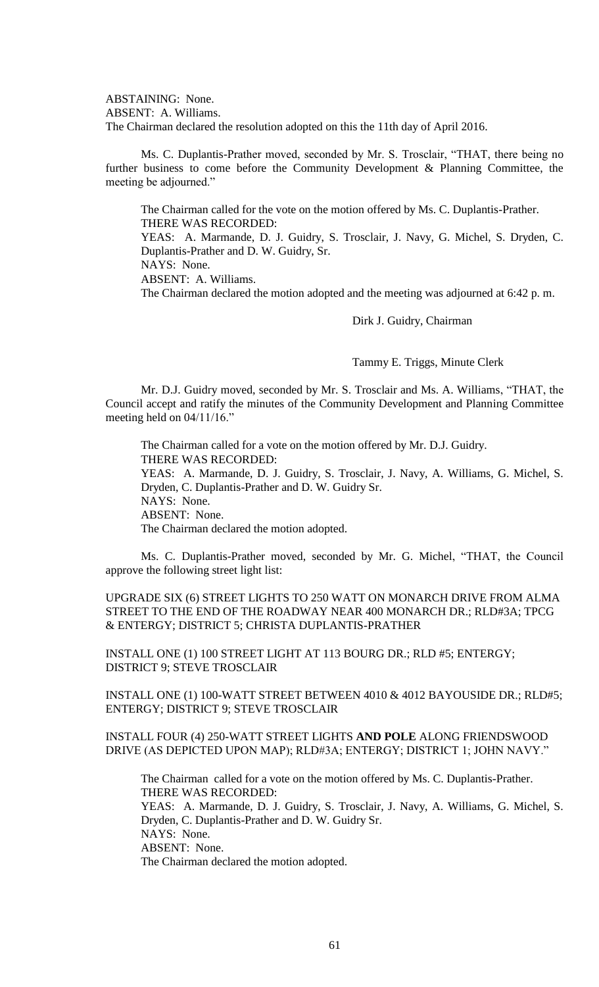ABSTAINING: None. ABSENT: A. Williams. The Chairman declared the resolution adopted on this the 11th day of April 2016.

Ms. C. Duplantis-Prather moved, seconded by Mr. S. Trosclair, "THAT, there being no further business to come before the Community Development & Planning Committee, the meeting be adjourned."

The Chairman called for the vote on the motion offered by Ms. C. Duplantis-Prather. THERE WAS RECORDED:

YEAS: A. Marmande, D. J. Guidry, S. Trosclair, J. Navy, G. Michel, S. Dryden, C. Duplantis-Prather and D. W. Guidry, Sr.

NAYS: None.

ABSENT: A. Williams.

The Chairman declared the motion adopted and the meeting was adjourned at 6:42 p. m.

Dirk J. Guidry, Chairman

Tammy E. Triggs, Minute Clerk

Mr. D.J. Guidry moved, seconded by Mr. S. Trosclair and Ms. A. Williams, "THAT, the Council accept and ratify the minutes of the Community Development and Planning Committee meeting held on  $04/11/16$ ."

The Chairman called for a vote on the motion offered by Mr. D.J. Guidry. THERE WAS RECORDED: YEAS: A. Marmande, D. J. Guidry, S. Trosclair, J. Navy, A. Williams, G. Michel, S. Dryden, C. Duplantis-Prather and D. W. Guidry Sr. NAYS: None. ABSENT: None. The Chairman declared the motion adopted.

Ms. C. Duplantis-Prather moved, seconded by Mr. G. Michel, "THAT, the Council approve the following street light list:

# UPGRADE SIX (6) STREET LIGHTS TO 250 WATT ON MONARCH DRIVE FROM ALMA STREET TO THE END OF THE ROADWAY NEAR 400 MONARCH DR.; RLD#3A; TPCG & ENTERGY; DISTRICT 5; CHRISTA DUPLANTIS-PRATHER

INSTALL ONE (1) 100 STREET LIGHT AT 113 BOURG DR.; RLD #5; ENTERGY; DISTRICT 9; STEVE TROSCLAIR

INSTALL ONE (1) 100-WATT STREET BETWEEN 4010 & 4012 BAYOUSIDE DR.; RLD#5; ENTERGY; DISTRICT 9; STEVE TROSCLAIR

# INSTALL FOUR (4) 250-WATT STREET LIGHTS **AND POLE** ALONG FRIENDSWOOD DRIVE (AS DEPICTED UPON MAP); RLD#3A; ENTERGY; DISTRICT 1; JOHN NAVY."

The Chairman called for a vote on the motion offered by Ms. C. Duplantis-Prather. THERE WAS RECORDED: YEAS: A. Marmande, D. J. Guidry, S. Trosclair, J. Navy, A. Williams, G. Michel, S. Dryden, C. Duplantis-Prather and D. W. Guidry Sr. NAYS: None. ABSENT: None. The Chairman declared the motion adopted.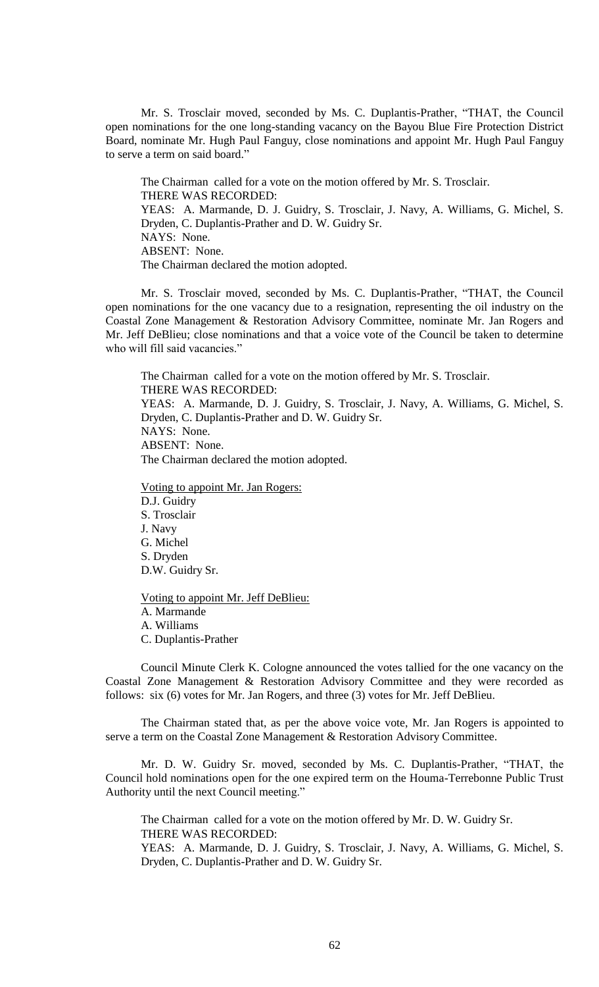Mr. S. Trosclair moved, seconded by Ms. C. Duplantis-Prather, "THAT, the Council open nominations for the one long-standing vacancy on the Bayou Blue Fire Protection District Board, nominate Mr. Hugh Paul Fanguy, close nominations and appoint Mr. Hugh Paul Fanguy to serve a term on said board."

The Chairman called for a vote on the motion offered by Mr. S. Trosclair. THERE WAS RECORDED: YEAS: A. Marmande, D. J. Guidry, S. Trosclair, J. Navy, A. Williams, G. Michel, S. Dryden, C. Duplantis-Prather and D. W. Guidry Sr. NAYS: None. ABSENT: None. The Chairman declared the motion adopted.

Mr. S. Trosclair moved, seconded by Ms. C. Duplantis-Prather, "THAT, the Council open nominations for the one vacancy due to a resignation, representing the oil industry on the Coastal Zone Management & Restoration Advisory Committee, nominate Mr. Jan Rogers and Mr. Jeff DeBlieu; close nominations and that a voice vote of the Council be taken to determine who will fill said vacancies."

The Chairman called for a vote on the motion offered by Mr. S. Trosclair. THERE WAS RECORDED: YEAS: A. Marmande, D. J. Guidry, S. Trosclair, J. Navy, A. Williams, G. Michel, S. Dryden, C. Duplantis-Prather and D. W. Guidry Sr. NAYS: None. ABSENT: None. The Chairman declared the motion adopted.

Voting to appoint Mr. Jan Rogers: D.J. Guidry S. Trosclair J. Navy G. Michel S. Dryden D.W. Guidry Sr.

Voting to appoint Mr. Jeff DeBlieu: A. Marmande A. Williams C. Duplantis-Prather

Council Minute Clerk K. Cologne announced the votes tallied for the one vacancy on the Coastal Zone Management & Restoration Advisory Committee and they were recorded as follows: six (6) votes for Mr. Jan Rogers, and three (3) votes for Mr. Jeff DeBlieu.

The Chairman stated that, as per the above voice vote, Mr. Jan Rogers is appointed to serve a term on the Coastal Zone Management & Restoration Advisory Committee.

Mr. D. W. Guidry Sr. moved, seconded by Ms. C. Duplantis-Prather, "THAT, the Council hold nominations open for the one expired term on the Houma-Terrebonne Public Trust Authority until the next Council meeting."

The Chairman called for a vote on the motion offered by Mr. D. W. Guidry Sr. THERE WAS RECORDED: YEAS: A. Marmande, D. J. Guidry, S. Trosclair, J. Navy, A. Williams, G. Michel, S. Dryden, C. Duplantis-Prather and D. W. Guidry Sr.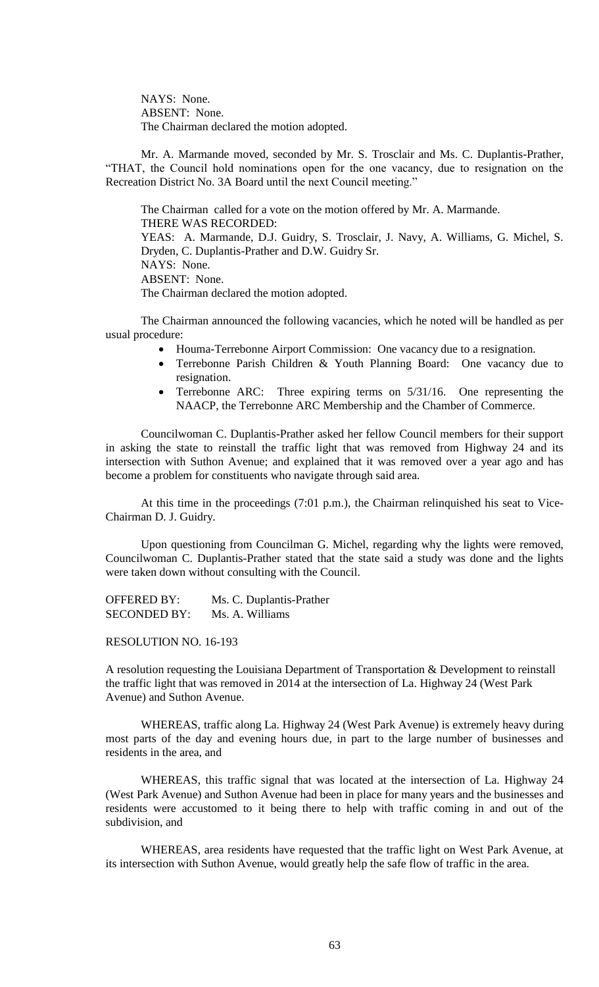NAYS: None. ABSENT: None. The Chairman declared the motion adopted.

Mr. A. Marmande moved, seconded by Mr. S. Trosclair and Ms. C. Duplantis-Prather, "THAT, the Council hold nominations open for the one vacancy, due to resignation on the Recreation District No. 3A Board until the next Council meeting."

The Chairman called for a vote on the motion offered by Mr. A. Marmande. THERE WAS RECORDED: YEAS: A. Marmande, D.J. Guidry, S. Trosclair, J. Navy, A. Williams, G. Michel, S. Dryden, C. Duplantis-Prather and D.W. Guidry Sr. NAYS: None. ABSENT: None. The Chairman declared the motion adopted.

The Chairman announced the following vacancies, which he noted will be handled as per usual procedure:

- Houma-Terrebonne Airport Commission: One vacancy due to a resignation.
- Terrebonne Parish Children & Youth Planning Board: One vacancy due to resignation.
- Terrebonne ARC: Three expiring terms on  $5/31/16$ . One representing the NAACP, the Terrebonne ARC Membership and the Chamber of Commerce.

Councilwoman C. Duplantis-Prather asked her fellow Council members for their support in asking the state to reinstall the traffic light that was removed from Highway 24 and its intersection with Suthon Avenue; and explained that it was removed over a year ago and has become a problem for constituents who navigate through said area.

At this time in the proceedings (7:01 p.m.), the Chairman relinquished his seat to Vice-Chairman D. J. Guidry.

Upon questioning from Councilman G. Michel, regarding why the lights were removed, Councilwoman C. Duplantis-Prather stated that the state said a study was done and the lights were taken down without consulting with the Council.

OFFERED BY: Ms. C. Duplantis-Prather SECONDED BY: Ms. A. Williams

RESOLUTION NO. 16-193

A resolution requesting the Louisiana Department of Transportation & Development to reinstall the traffic light that was removed in 2014 at the intersection of La. Highway 24 (West Park Avenue) and Suthon Avenue.

WHEREAS, traffic along La. Highway 24 (West Park Avenue) is extremely heavy during most parts of the day and evening hours due, in part to the large number of businesses and residents in the area, and

WHEREAS, this traffic signal that was located at the intersection of La. Highway 24 (West Park Avenue) and Suthon Avenue had been in place for many years and the businesses and residents were accustomed to it being there to help with traffic coming in and out of the subdivision, and

WHEREAS, area residents have requested that the traffic light on West Park Avenue, at its intersection with Suthon Avenue, would greatly help the safe flow of traffic in the area.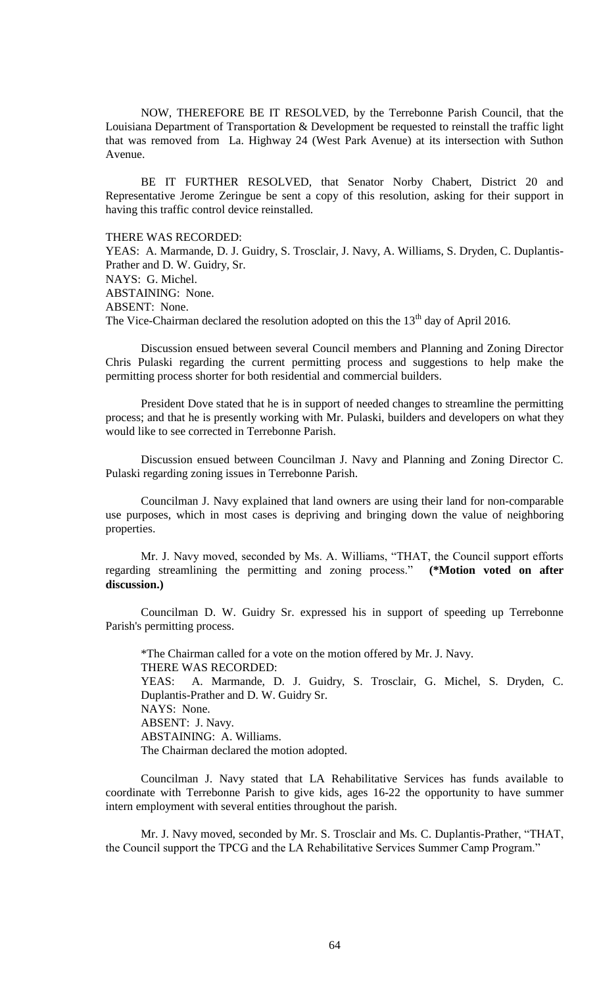NOW, THEREFORE BE IT RESOLVED, by the Terrebonne Parish Council, that the Louisiana Department of Transportation & Development be requested to reinstall the traffic light that was removed from La. Highway 24 (West Park Avenue) at its intersection with Suthon Avenue.

BE IT FURTHER RESOLVED, that Senator Norby Chabert, District 20 and Representative Jerome Zeringue be sent a copy of this resolution, asking for their support in having this traffic control device reinstalled.

THERE WAS RECORDED:

YEAS: A. Marmande, D. J. Guidry, S. Trosclair, J. Navy, A. Williams, S. Dryden, C. Duplantis-Prather and D. W. Guidry, Sr. NAYS: G. Michel. ABSTAINING: None. ABSENT: None. The Vice-Chairman declared the resolution adopted on this the  $13<sup>th</sup>$  day of April 2016.

Discussion ensued between several Council members and Planning and Zoning Director Chris Pulaski regarding the current permitting process and suggestions to help make the permitting process shorter for both residential and commercial builders.

President Dove stated that he is in support of needed changes to streamline the permitting process; and that he is presently working with Mr. Pulaski, builders and developers on what they would like to see corrected in Terrebonne Parish.

Discussion ensued between Councilman J. Navy and Planning and Zoning Director C. Pulaski regarding zoning issues in Terrebonne Parish.

Councilman J. Navy explained that land owners are using their land for non-comparable use purposes, which in most cases is depriving and bringing down the value of neighboring properties.

Mr. J. Navy moved, seconded by Ms. A. Williams, "THAT, the Council support efforts regarding streamlining the permitting and zoning process." **(\*Motion voted on after discussion.)**

Councilman D. W. Guidry Sr. expressed his in support of speeding up Terrebonne Parish's permitting process.

\*The Chairman called for a vote on the motion offered by Mr. J. Navy. THERE WAS RECORDED: YEAS: A. Marmande, D. J. Guidry, S. Trosclair, G. Michel, S. Dryden, C. Duplantis-Prather and D. W. Guidry Sr. NAYS: None. ABSENT: J. Navy. ABSTAINING: A. Williams. The Chairman declared the motion adopted.

Councilman J. Navy stated that LA Rehabilitative Services has funds available to coordinate with Terrebonne Parish to give kids, ages 16-22 the opportunity to have summer intern employment with several entities throughout the parish.

Mr. J. Navy moved, seconded by Mr. S. Trosclair and Ms. C. Duplantis-Prather, "THAT, the Council support the TPCG and the LA Rehabilitative Services Summer Camp Program."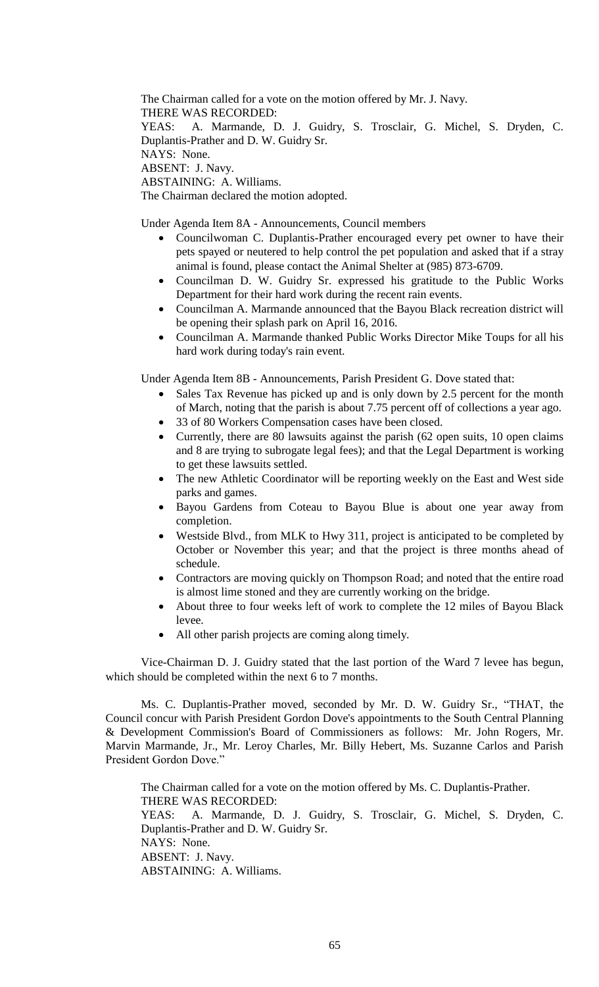The Chairman called for a vote on the motion offered by Mr. J. Navy. THERE WAS RECORDED: YEAS: A. Marmande, D. J. Guidry, S. Trosclair, G. Michel, S. Dryden, C. Duplantis-Prather and D. W. Guidry Sr. NAYS: None. ABSENT: J. Navy. ABSTAINING: A. Williams. The Chairman declared the motion adopted.

Under Agenda Item 8A - Announcements, Council members

- Councilwoman C. Duplantis-Prather encouraged every pet owner to have their pets spayed or neutered to help control the pet population and asked that if a stray animal is found, please contact the Animal Shelter at (985) 873-6709.
- Councilman D. W. Guidry Sr. expressed his gratitude to the Public Works Department for their hard work during the recent rain events.
- Councilman A. Marmande announced that the Bayou Black recreation district will be opening their splash park on April 16, 2016.
- Councilman A. Marmande thanked Public Works Director Mike Toups for all his hard work during today's rain event.

Under Agenda Item 8B - Announcements, Parish President G. Dove stated that:

- Sales Tax Revenue has picked up and is only down by 2.5 percent for the month of March, noting that the parish is about 7.75 percent off of collections a year ago.
- 33 of 80 Workers Compensation cases have been closed.
- Currently, there are 80 lawsuits against the parish (62 open suits, 10 open claims and 8 are trying to subrogate legal fees); and that the Legal Department is working to get these lawsuits settled.
- The new Athletic Coordinator will be reporting weekly on the East and West side parks and games.
- Bayou Gardens from Coteau to Bayou Blue is about one year away from completion.
- Westside Blvd., from MLK to Hwy 311, project is anticipated to be completed by October or November this year; and that the project is three months ahead of schedule.
- Contractors are moving quickly on Thompson Road; and noted that the entire road is almost lime stoned and they are currently working on the bridge.
- About three to four weeks left of work to complete the 12 miles of Bayou Black levee.
- All other parish projects are coming along timely.

Vice-Chairman D. J. Guidry stated that the last portion of the Ward 7 levee has begun, which should be completed within the next 6 to 7 months.

Ms. C. Duplantis-Prather moved, seconded by Mr. D. W. Guidry Sr., "THAT, the Council concur with Parish President Gordon Dove's appointments to the South Central Planning & Development Commission's Board of Commissioners as follows: Mr. John Rogers, Mr. Marvin Marmande, Jr., Mr. Leroy Charles, Mr. Billy Hebert, Ms. Suzanne Carlos and Parish President Gordon Dove."

The Chairman called for a vote on the motion offered by Ms. C. Duplantis-Prather. THERE WAS RECORDED: YEAS: A. Marmande, D. J. Guidry, S. Trosclair, G. Michel, S. Dryden, C. Duplantis-Prather and D. W. Guidry Sr. NAYS: None. ABSENT: J. Navy. ABSTAINING: A. Williams.